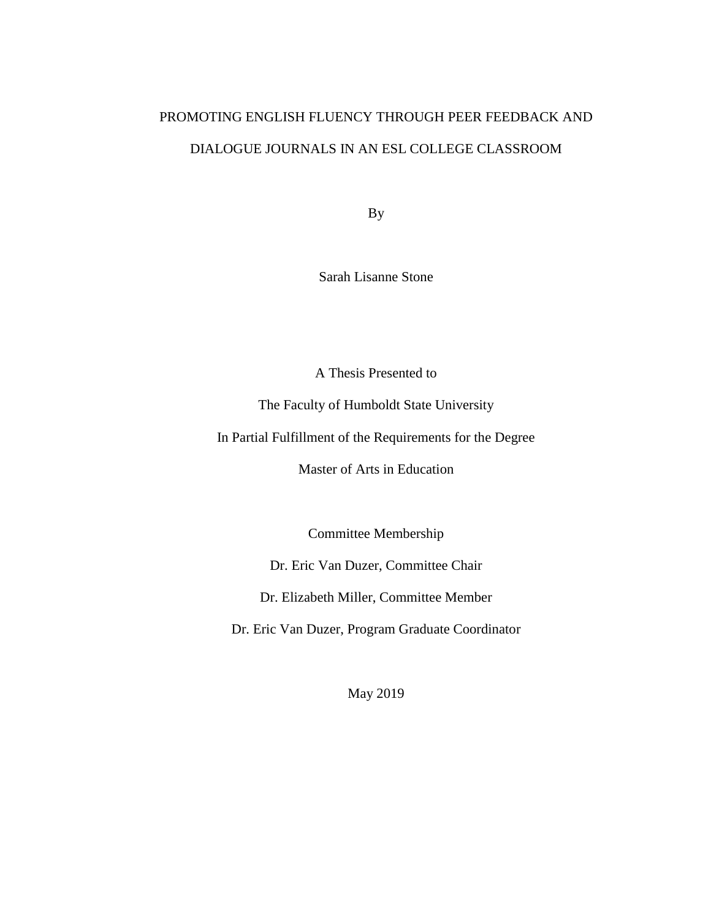# PROMOTING ENGLISH FLUENCY THROUGH PEER FEEDBACK AND DIALOGUE JOURNALS IN AN ESL COLLEGE CLASSROOM

By

Sarah Lisanne Stone

A Thesis Presented to

The Faculty of Humboldt State University

In Partial Fulfillment of the Requirements for the Degree

Master of Arts in Education

Committee Membership

Dr. Eric Van Duzer, Committee Chair

Dr. Elizabeth Miller, Committee Member

Dr. Eric Van Duzer, Program Graduate Coordinator

May 2019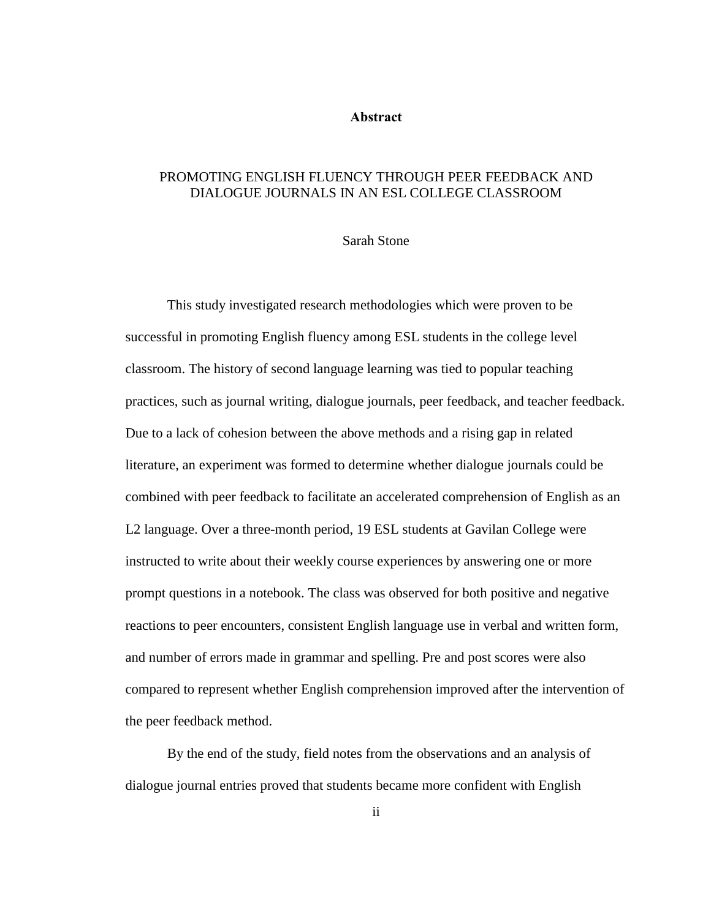### **Abstract**

# <span id="page-1-0"></span>PROMOTING ENGLISH FLUENCY THROUGH PEER FEEDBACK AND DIALOGUE JOURNALS IN AN ESL COLLEGE CLASSROOM

#### Sarah Stone

This study investigated research methodologies which were proven to be successful in promoting English fluency among ESL students in the college level classroom. The history of second language learning was tied to popular teaching practices, such as journal writing, dialogue journals, peer feedback, and teacher feedback. Due to a lack of cohesion between the above methods and a rising gap in related literature, an experiment was formed to determine whether dialogue journals could be combined with peer feedback to facilitate an accelerated comprehension of English as an L2 language. Over a three-month period, 19 ESL students at Gavilan College were instructed to write about their weekly course experiences by answering one or more prompt questions in a notebook. The class was observed for both positive and negative reactions to peer encounters, consistent English language use in verbal and written form, and number of errors made in grammar and spelling. Pre and post scores were also compared to represent whether English comprehension improved after the intervention of the peer feedback method.

By the end of the study, field notes from the observations and an analysis of dialogue journal entries proved that students became more confident with English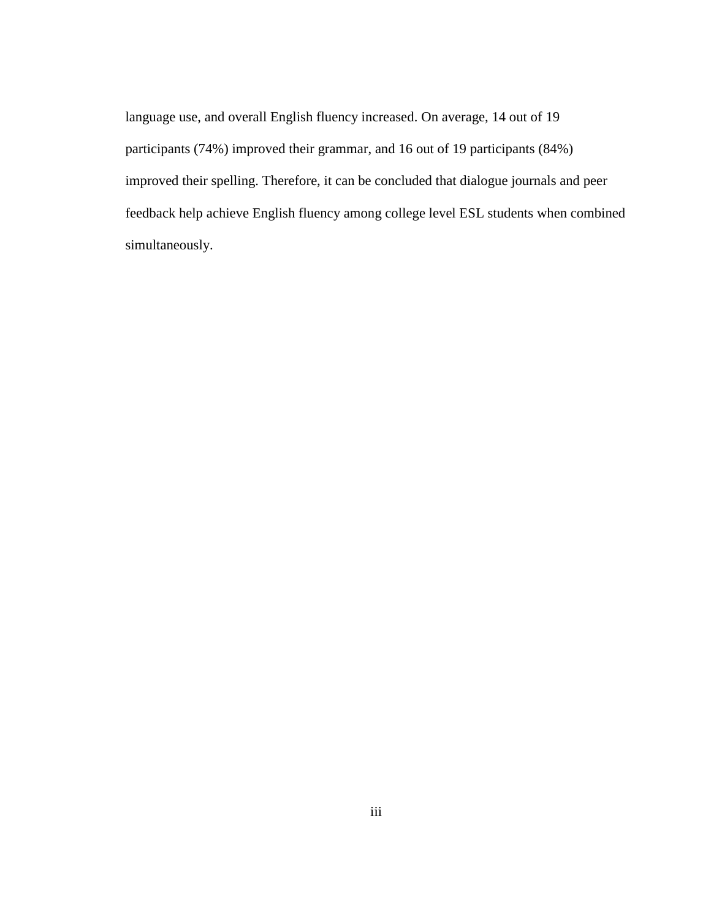language use, and overall English fluency increased. On average, 14 out of 19 participants (74%) improved their grammar, and 16 out of 19 participants (84%) improved their spelling. Therefore, it can be concluded that dialogue journals and peer feedback help achieve English fluency among college level ESL students when combined simultaneously.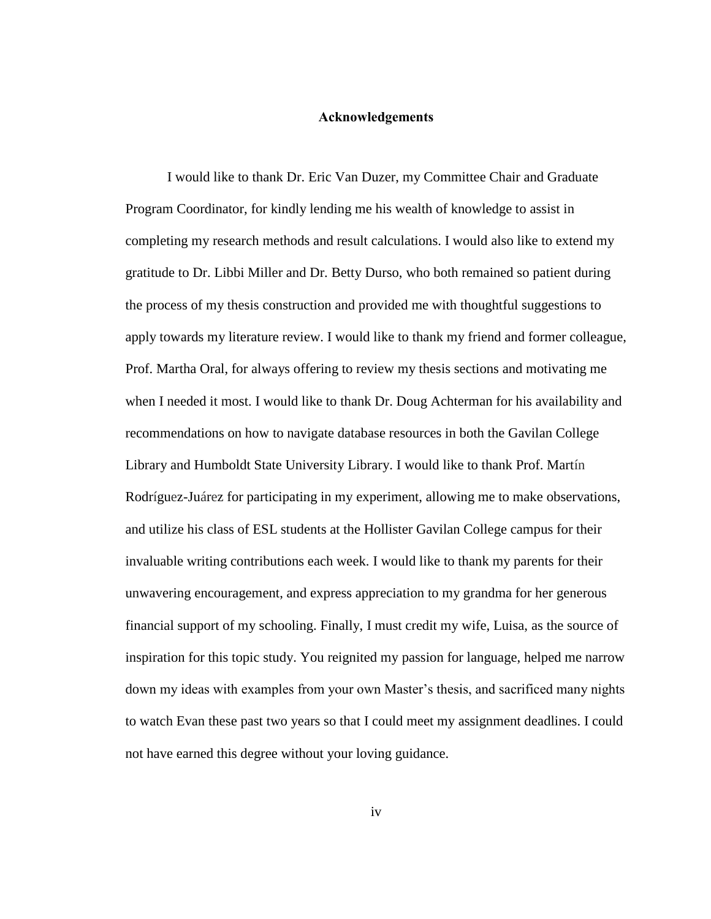## **Acknowledgements**

<span id="page-3-0"></span>I would like to thank Dr. Eric Van Duzer, my Committee Chair and Graduate Program Coordinator, for kindly lending me his wealth of knowledge to assist in completing my research methods and result calculations. I would also like to extend my gratitude to Dr. Libbi Miller and Dr. Betty Durso, who both remained so patient during the process of my thesis construction and provided me with thoughtful suggestions to apply towards my literature review. I would like to thank my friend and former colleague, Prof. Martha Oral, for always offering to review my thesis sections and motivating me when I needed it most. I would like to thank Dr. Doug Achterman for his availability and recommendations on how to navigate database resources in both the Gavilan College Library and Humboldt State University Library. I would like to thank Prof. Martín Rodríguez-Juárez for participating in my experiment, allowing me to make observations, and utilize his class of ESL students at the Hollister Gavilan College campus for their invaluable writing contributions each week. I would like to thank my parents for their unwavering encouragement, and express appreciation to my grandma for her generous financial support of my schooling. Finally, I must credit my wife, Luisa, as the source of inspiration for this topic study. You reignited my passion for language, helped me narrow down my ideas with examples from your own Master's thesis, and sacrificed many nights to watch Evan these past two years so that I could meet my assignment deadlines. I could not have earned this degree without your loving guidance.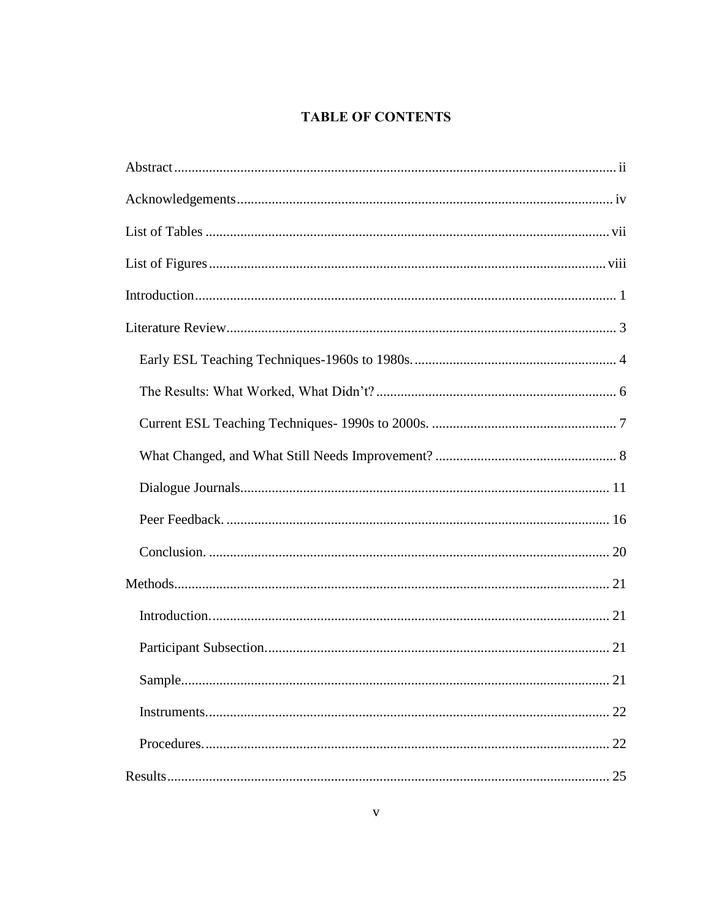# **TABLE OF CONTENTS**

| . 21 |
|------|
|      |
|      |
|      |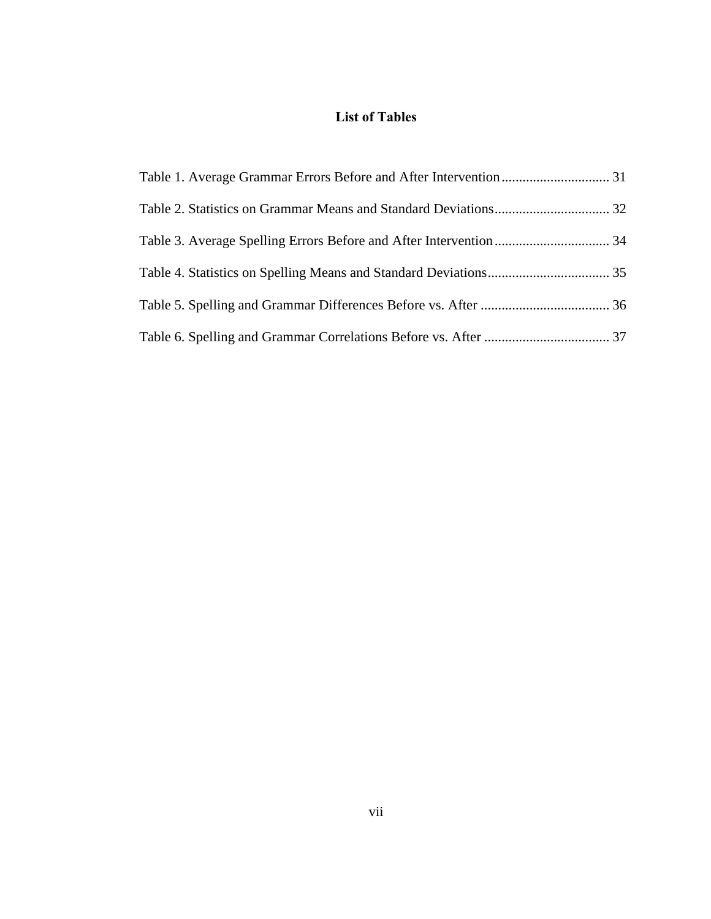# **List of Tables**

<span id="page-6-0"></span>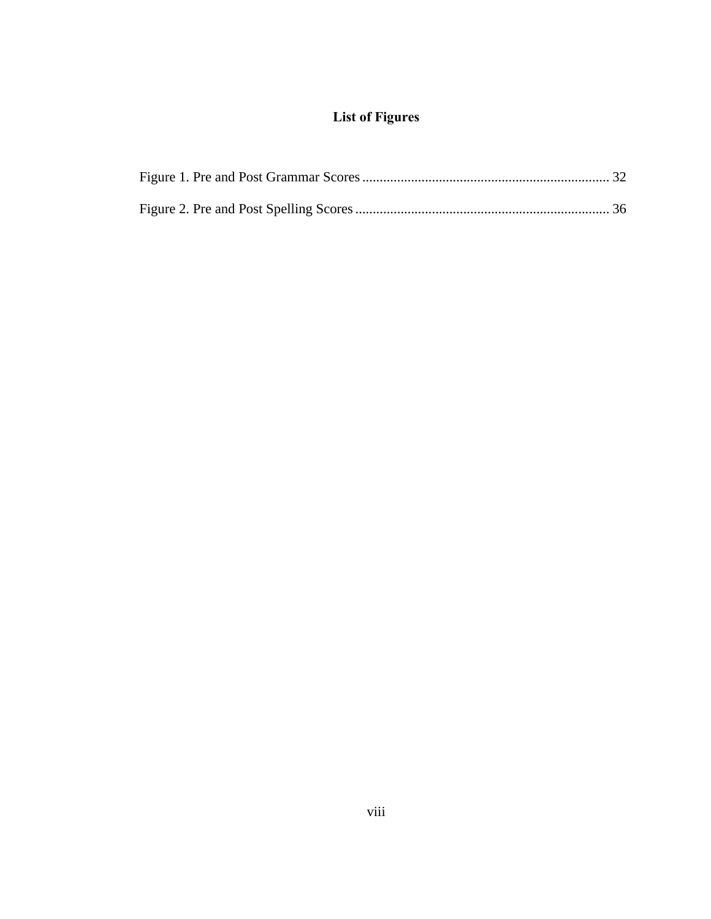# **List of Figures**

<span id="page-7-0"></span>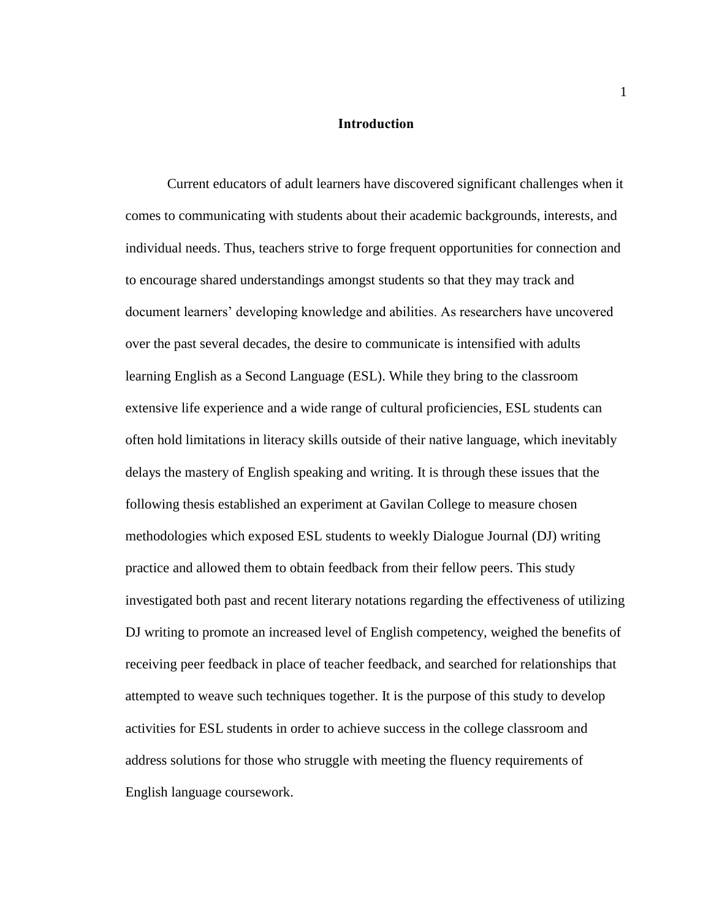#### **Introduction**

<span id="page-8-0"></span>Current educators of adult learners have discovered significant challenges when it comes to communicating with students about their academic backgrounds, interests, and individual needs. Thus, teachers strive to forge frequent opportunities for connection and to encourage shared understandings amongst students so that they may track and document learners' developing knowledge and abilities. As researchers have uncovered over the past several decades, the desire to communicate is intensified with adults learning English as a Second Language (ESL). While they bring to the classroom extensive life experience and a wide range of cultural proficiencies, ESL students can often hold limitations in literacy skills outside of their native language, which inevitably delays the mastery of English speaking and writing. It is through these issues that the following thesis established an experiment at Gavilan College to measure chosen methodologies which exposed ESL students to weekly Dialogue Journal (DJ) writing practice and allowed them to obtain feedback from their fellow peers. This study investigated both past and recent literary notations regarding the effectiveness of utilizing DJ writing to promote an increased level of English competency, weighed the benefits of receiving peer feedback in place of teacher feedback, and searched for relationships that attempted to weave such techniques together. It is the purpose of this study to develop activities for ESL students in order to achieve success in the college classroom and address solutions for those who struggle with meeting the fluency requirements of English language coursework.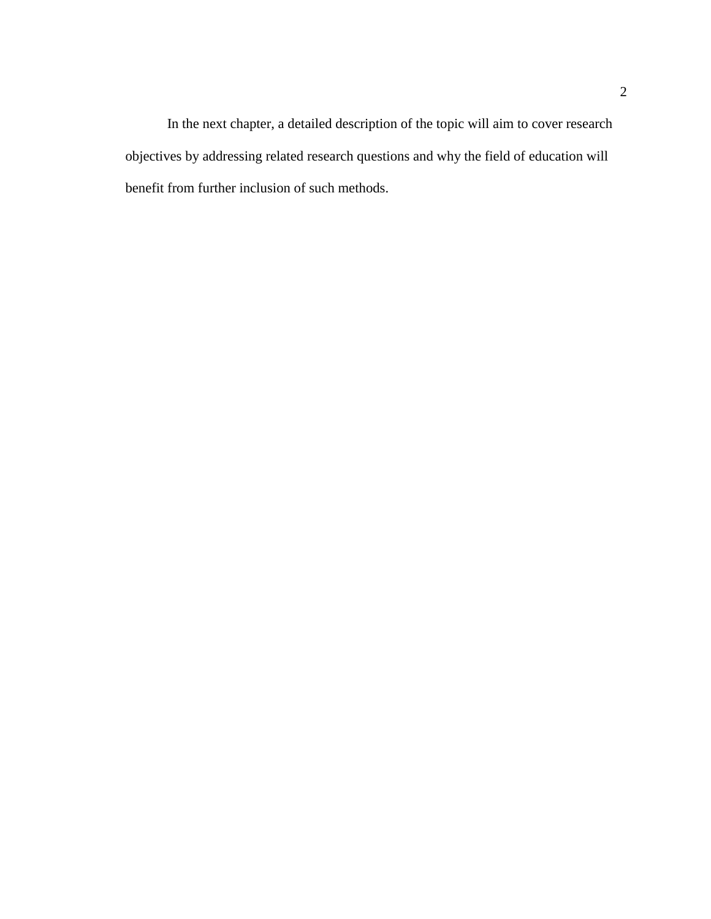In the next chapter, a detailed description of the topic will aim to cover research objectives by addressing related research questions and why the field of education will benefit from further inclusion of such methods.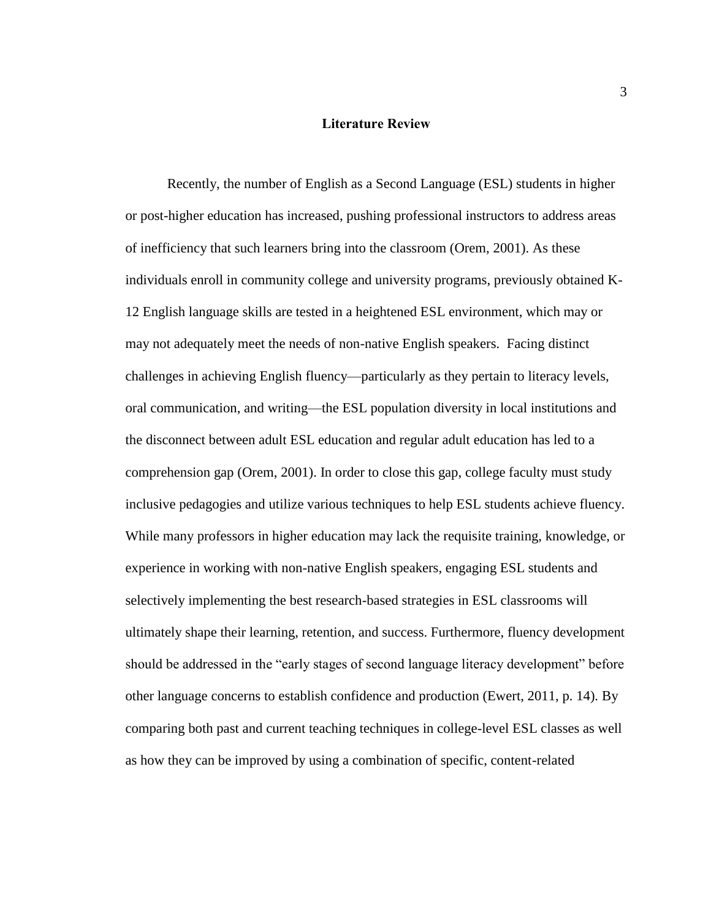#### **Literature Review**

<span id="page-10-0"></span>Recently, the number of English as a Second Language (ESL) students in higher or post-higher education has increased, pushing professional instructors to address areas of inefficiency that such learners bring into the classroom (Orem, 2001). As these individuals enroll in community college and university programs, previously obtained K-12 English language skills are tested in a heightened ESL environment, which may or may not adequately meet the needs of non-native English speakers. Facing distinct challenges in achieving English fluency—particularly as they pertain to literacy levels, oral communication, and writing—the ESL population diversity in local institutions and the disconnect between adult ESL education and regular adult education has led to a comprehension gap (Orem, 2001). In order to close this gap, college faculty must study inclusive pedagogies and utilize various techniques to help ESL students achieve fluency. While many professors in higher education may lack the requisite training, knowledge, or experience in working with non-native English speakers, engaging ESL students and selectively implementing the best research-based strategies in ESL classrooms will ultimately shape their learning, retention, and success. Furthermore, fluency development should be addressed in the "early stages of second language literacy development" before other language concerns to establish confidence and production (Ewert, 2011, p. 14). By comparing both past and current teaching techniques in college-level ESL classes as well as how they can be improved by using a combination of specific, content-related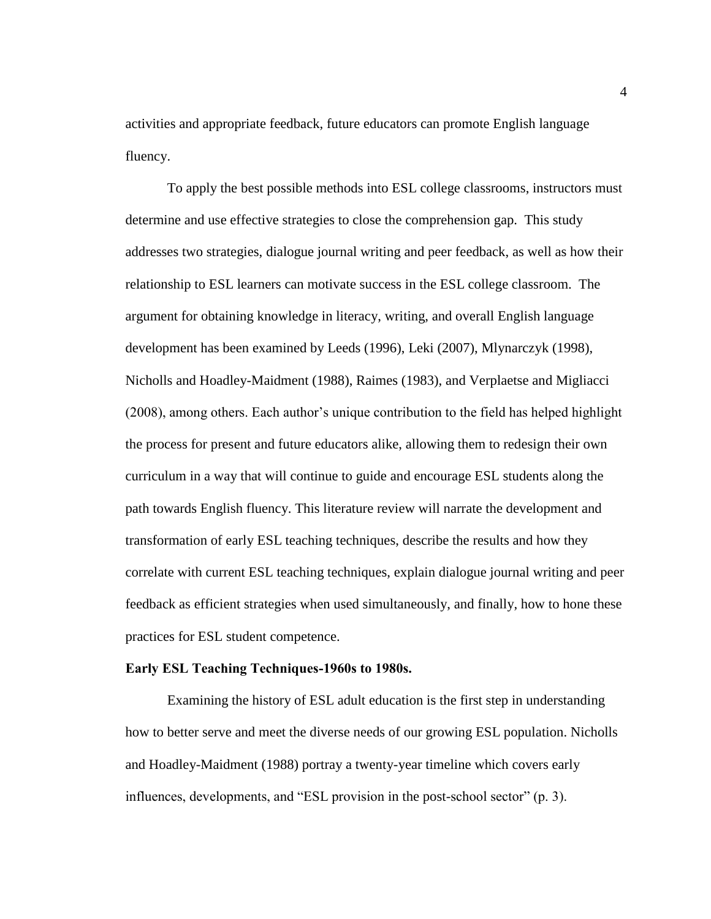activities and appropriate feedback, future educators can promote English language fluency.

To apply the best possible methods into ESL college classrooms, instructors must determine and use effective strategies to close the comprehension gap. This study addresses two strategies, dialogue journal writing and peer feedback, as well as how their relationship to ESL learners can motivate success in the ESL college classroom. The argument for obtaining knowledge in literacy, writing, and overall English language development has been examined by Leeds (1996), Leki (2007), Mlynarczyk (1998), Nicholls and Hoadley-Maidment (1988), Raimes (1983), and Verplaetse and Migliacci (2008), among others. Each author's unique contribution to the field has helped highlight the process for present and future educators alike, allowing them to redesign their own curriculum in a way that will continue to guide and encourage ESL students along the path towards English fluency. This literature review will narrate the development and transformation of early ESL teaching techniques, describe the results and how they correlate with current ESL teaching techniques, explain dialogue journal writing and peer feedback as efficient strategies when used simultaneously, and finally, how to hone these practices for ESL student competence.

#### <span id="page-11-0"></span>**Early ESL Teaching Techniques-1960s to 1980s.**

Examining the history of ESL adult education is the first step in understanding how to better serve and meet the diverse needs of our growing ESL population. Nicholls and Hoadley-Maidment (1988) portray a twenty-year timeline which covers early influences, developments, and "ESL provision in the post-school sector" (p. 3).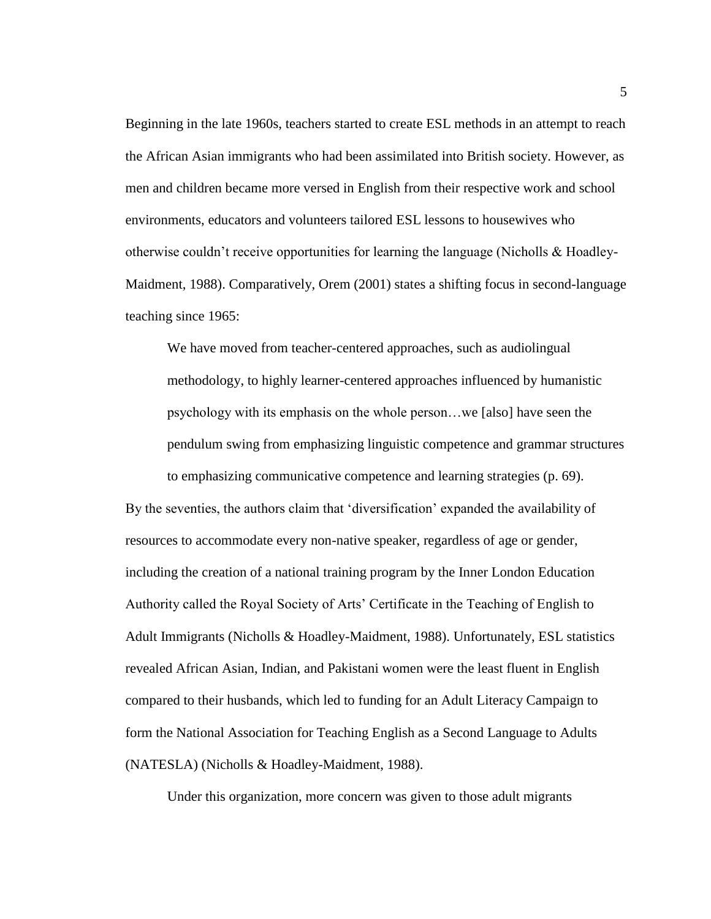Beginning in the late 1960s, teachers started to create ESL methods in an attempt to reach the African Asian immigrants who had been assimilated into British society. However, as men and children became more versed in English from their respective work and school environments, educators and volunteers tailored ESL lessons to housewives who otherwise couldn't receive opportunities for learning the language (Nicholls  $\&$  Hoadley-Maidment, 1988). Comparatively, Orem (2001) states a shifting focus in second-language teaching since 1965:

We have moved from teacher-centered approaches, such as audiolingual methodology, to highly learner-centered approaches influenced by humanistic psychology with its emphasis on the whole person…we [also] have seen the pendulum swing from emphasizing linguistic competence and grammar structures to emphasizing communicative competence and learning strategies (p. 69).

By the seventies, the authors claim that 'diversification' expanded the availability of resources to accommodate every non-native speaker, regardless of age or gender, including the creation of a national training program by the Inner London Education Authority called the Royal Society of Arts' Certificate in the Teaching of English to Adult Immigrants (Nicholls & Hoadley-Maidment, 1988). Unfortunately, ESL statistics revealed African Asian, Indian, and Pakistani women were the least fluent in English compared to their husbands, which led to funding for an Adult Literacy Campaign to form the National Association for Teaching English as a Second Language to Adults (NATESLA) (Nicholls & Hoadley-Maidment, 1988).

Under this organization, more concern was given to those adult migrants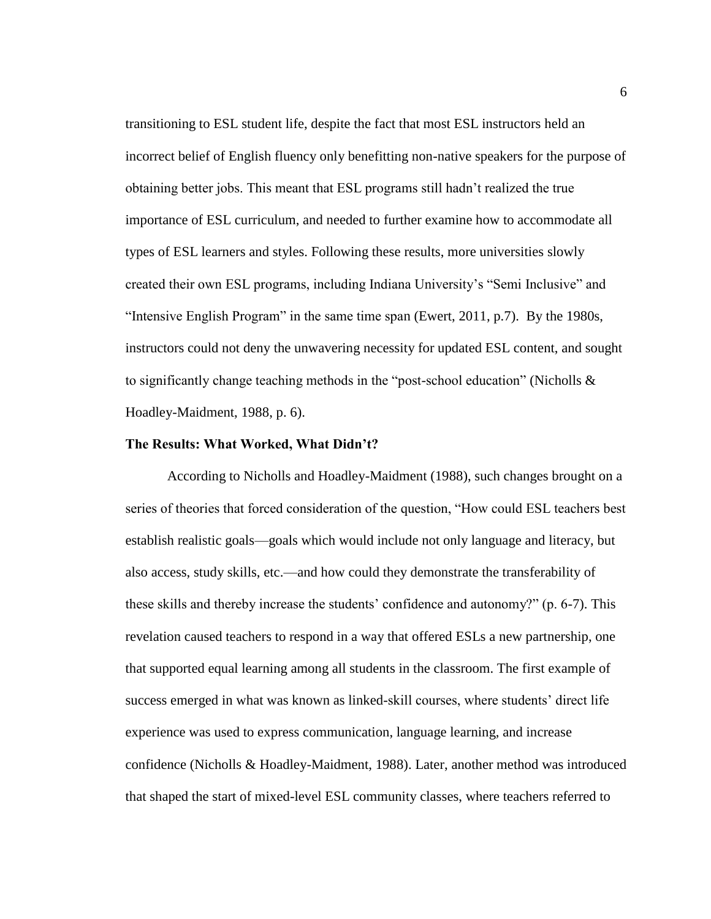transitioning to ESL student life, despite the fact that most ESL instructors held an incorrect belief of English fluency only benefitting non-native speakers for the purpose of obtaining better jobs. This meant that ESL programs still hadn't realized the true importance of ESL curriculum, and needed to further examine how to accommodate all types of ESL learners and styles. Following these results, more universities slowly created their own ESL programs, including Indiana University's "Semi Inclusive" and "Intensive English Program" in the same time span (Ewert, 2011, p.7). By the 1980s, instructors could not deny the unwavering necessity for updated ESL content, and sought to significantly change teaching methods in the "post-school education" (Nicholls  $\&$ Hoadley-Maidment, 1988, p. 6).

#### <span id="page-13-0"></span>**The Results: What Worked, What Didn't?**

According to Nicholls and Hoadley-Maidment (1988), such changes brought on a series of theories that forced consideration of the question, "How could ESL teachers best establish realistic goals—goals which would include not only language and literacy, but also access, study skills, etc.—and how could they demonstrate the transferability of these skills and thereby increase the students' confidence and autonomy?" (p. 6-7). This revelation caused teachers to respond in a way that offered ESLs a new partnership, one that supported equal learning among all students in the classroom. The first example of success emerged in what was known as linked-skill courses, where students' direct life experience was used to express communication, language learning, and increase confidence (Nicholls & Hoadley-Maidment, 1988). Later, another method was introduced that shaped the start of mixed-level ESL community classes, where teachers referred to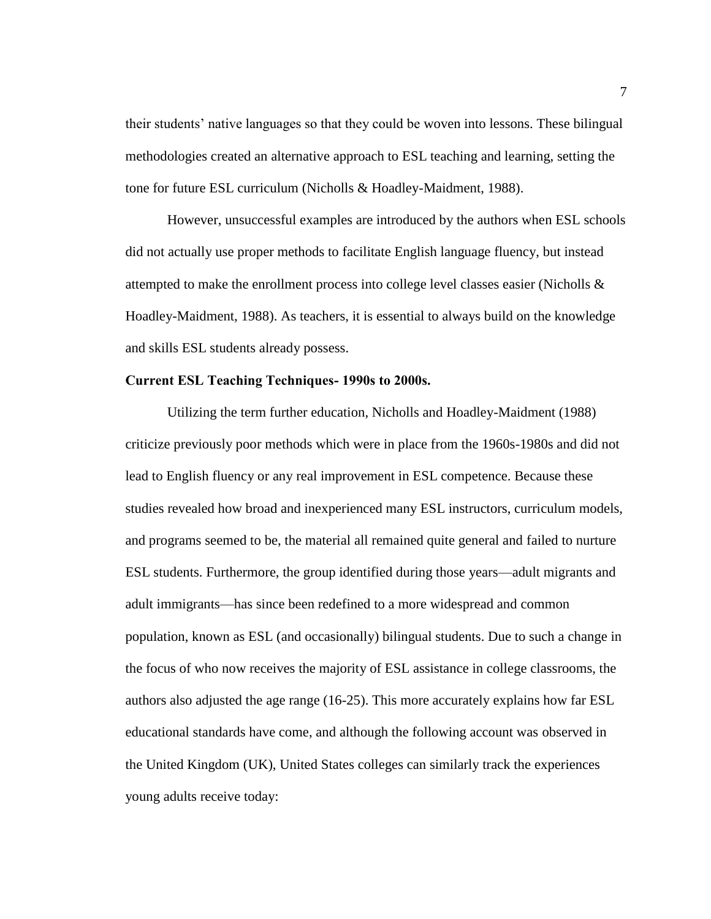their students' native languages so that they could be woven into lessons. These bilingual methodologies created an alternative approach to ESL teaching and learning, setting the tone for future ESL curriculum (Nicholls & Hoadley-Maidment, 1988).

However, unsuccessful examples are introduced by the authors when ESL schools did not actually use proper methods to facilitate English language fluency, but instead attempted to make the enrollment process into college level classes easier (Nicholls  $\&$ Hoadley-Maidment, 1988). As teachers, it is essential to always build on the knowledge and skills ESL students already possess.

#### <span id="page-14-0"></span>**Current ESL Teaching Techniques- 1990s to 2000s.**

Utilizing the term further education, Nicholls and Hoadley-Maidment (1988) criticize previously poor methods which were in place from the 1960s-1980s and did not lead to English fluency or any real improvement in ESL competence. Because these studies revealed how broad and inexperienced many ESL instructors, curriculum models, and programs seemed to be, the material all remained quite general and failed to nurture ESL students. Furthermore, the group identified during those years—adult migrants and adult immigrants—has since been redefined to a more widespread and common population, known as ESL (and occasionally) bilingual students. Due to such a change in the focus of who now receives the majority of ESL assistance in college classrooms, the authors also adjusted the age range (16-25). This more accurately explains how far ESL educational standards have come, and although the following account was observed in the United Kingdom (UK), United States colleges can similarly track the experiences young adults receive today: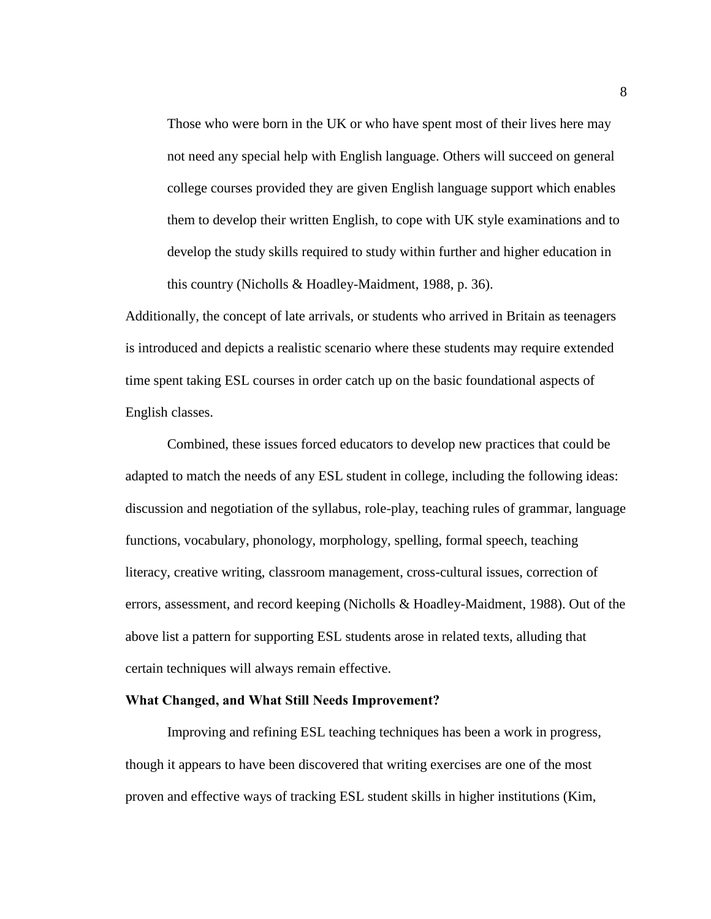Those who were born in the UK or who have spent most of their lives here may not need any special help with English language. Others will succeed on general college courses provided they are given English language support which enables them to develop their written English, to cope with UK style examinations and to develop the study skills required to study within further and higher education in this country (Nicholls & Hoadley-Maidment, 1988, p. 36).

Additionally, the concept of late arrivals, or students who arrived in Britain as teenagers is introduced and depicts a realistic scenario where these students may require extended time spent taking ESL courses in order catch up on the basic foundational aspects of English classes.

Combined, these issues forced educators to develop new practices that could be adapted to match the needs of any ESL student in college, including the following ideas: discussion and negotiation of the syllabus, role-play, teaching rules of grammar, language functions, vocabulary, phonology, morphology, spelling, formal speech, teaching literacy, creative writing, classroom management, cross-cultural issues, correction of errors, assessment, and record keeping (Nicholls & Hoadley-Maidment, 1988). Out of the above list a pattern for supporting ESL students arose in related texts, alluding that certain techniques will always remain effective.

#### <span id="page-15-0"></span>**What Changed, and What Still Needs Improvement?**

Improving and refining ESL teaching techniques has been a work in progress, though it appears to have been discovered that writing exercises are one of the most proven and effective ways of tracking ESL student skills in higher institutions (Kim,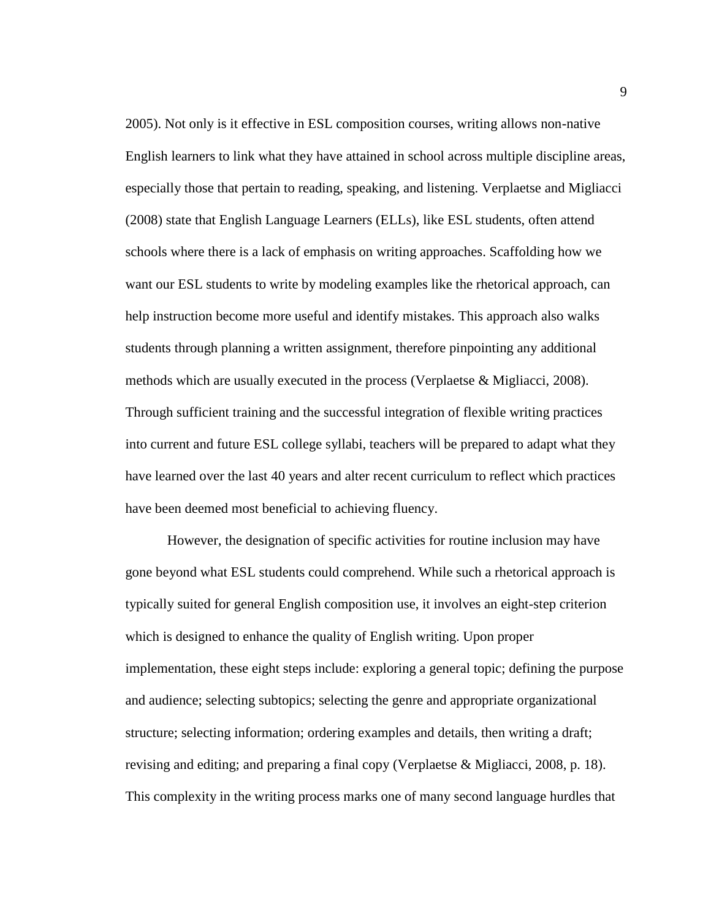2005). Not only is it effective in ESL composition courses, writing allows non-native English learners to link what they have attained in school across multiple discipline areas, especially those that pertain to reading, speaking, and listening. Verplaetse and Migliacci (2008) state that English Language Learners (ELLs), like ESL students, often attend schools where there is a lack of emphasis on writing approaches. Scaffolding how we want our ESL students to write by modeling examples like the rhetorical approach, can help instruction become more useful and identify mistakes. This approach also walks students through planning a written assignment, therefore pinpointing any additional methods which are usually executed in the process (Verplaetse & Migliacci, 2008). Through sufficient training and the successful integration of flexible writing practices into current and future ESL college syllabi, teachers will be prepared to adapt what they have learned over the last 40 years and alter recent curriculum to reflect which practices have been deemed most beneficial to achieving fluency.

However, the designation of specific activities for routine inclusion may have gone beyond what ESL students could comprehend. While such a rhetorical approach is typically suited for general English composition use, it involves an eight-step criterion which is designed to enhance the quality of English writing. Upon proper implementation, these eight steps include: exploring a general topic; defining the purpose and audience; selecting subtopics; selecting the genre and appropriate organizational structure; selecting information; ordering examples and details, then writing a draft; revising and editing; and preparing a final copy (Verplaetse & Migliacci, 2008, p. 18). This complexity in the writing process marks one of many second language hurdles that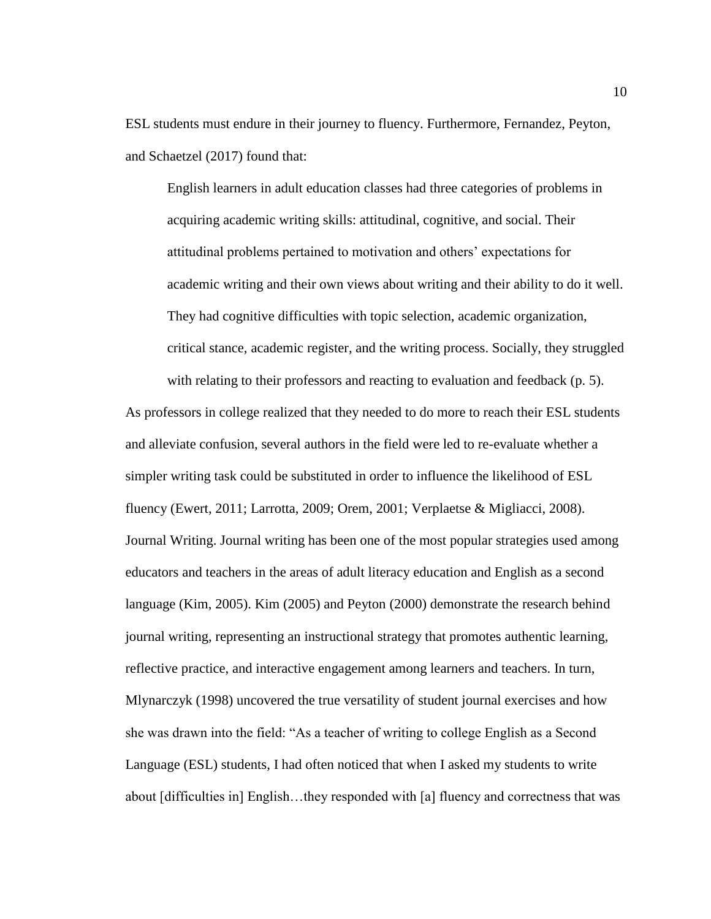ESL students must endure in their journey to fluency. Furthermore, Fernandez, Peyton, and Schaetzel (2017) found that:

English learners in adult education classes had three categories of problems in acquiring academic writing skills: attitudinal, cognitive, and social. Their attitudinal problems pertained to motivation and others' expectations for academic writing and their own views about writing and their ability to do it well. They had cognitive difficulties with topic selection, academic organization, critical stance, academic register, and the writing process. Socially, they struggled with relating to their professors and reacting to evaluation and feedback (p. 5).

As professors in college realized that they needed to do more to reach their ESL students and alleviate confusion, several authors in the field were led to re-evaluate whether a simpler writing task could be substituted in order to influence the likelihood of ESL fluency (Ewert, 2011; Larrotta, 2009; Orem, 2001; Verplaetse & Migliacci, 2008). Journal Writing. Journal writing has been one of the most popular strategies used among educators and teachers in the areas of adult literacy education and English as a second language (Kim, 2005). Kim (2005) and Peyton (2000) demonstrate the research behind journal writing, representing an instructional strategy that promotes authentic learning, reflective practice, and interactive engagement among learners and teachers. In turn, Mlynarczyk (1998) uncovered the true versatility of student journal exercises and how she was drawn into the field: "As a teacher of writing to college English as a Second Language (ESL) students, I had often noticed that when I asked my students to write about [difficulties in] English…they responded with [a] fluency and correctness that was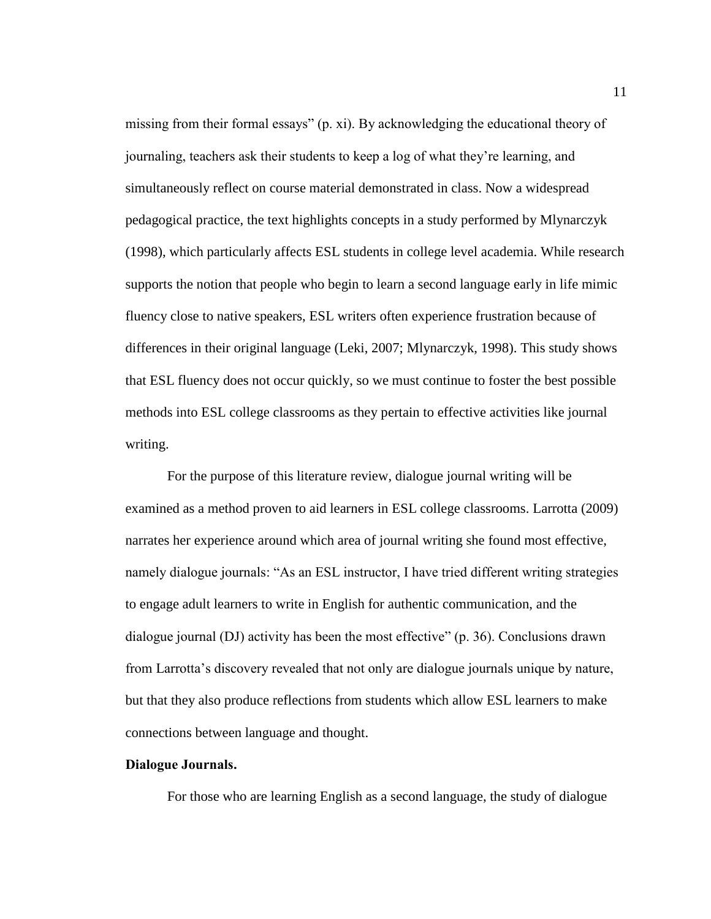missing from their formal essays" (p. xi). By acknowledging the educational theory of journaling, teachers ask their students to keep a log of what they're learning, and simultaneously reflect on course material demonstrated in class. Now a widespread pedagogical practice, the text highlights concepts in a study performed by Mlynarczyk (1998), which particularly affects ESL students in college level academia. While research supports the notion that people who begin to learn a second language early in life mimic fluency close to native speakers, ESL writers often experience frustration because of differences in their original language (Leki, 2007; Mlynarczyk, 1998). This study shows that ESL fluency does not occur quickly, so we must continue to foster the best possible methods into ESL college classrooms as they pertain to effective activities like journal writing.

For the purpose of this literature review, dialogue journal writing will be examined as a method proven to aid learners in ESL college classrooms. Larrotta (2009) narrates her experience around which area of journal writing she found most effective, namely dialogue journals: "As an ESL instructor, I have tried different writing strategies to engage adult learners to write in English for authentic communication, and the dialogue journal (DJ) activity has been the most effective" (p. 36). Conclusions drawn from Larrotta's discovery revealed that not only are dialogue journals unique by nature, but that they also produce reflections from students which allow ESL learners to make connections between language and thought.

# <span id="page-18-0"></span>**Dialogue Journals.**

For those who are learning English as a second language, the study of dialogue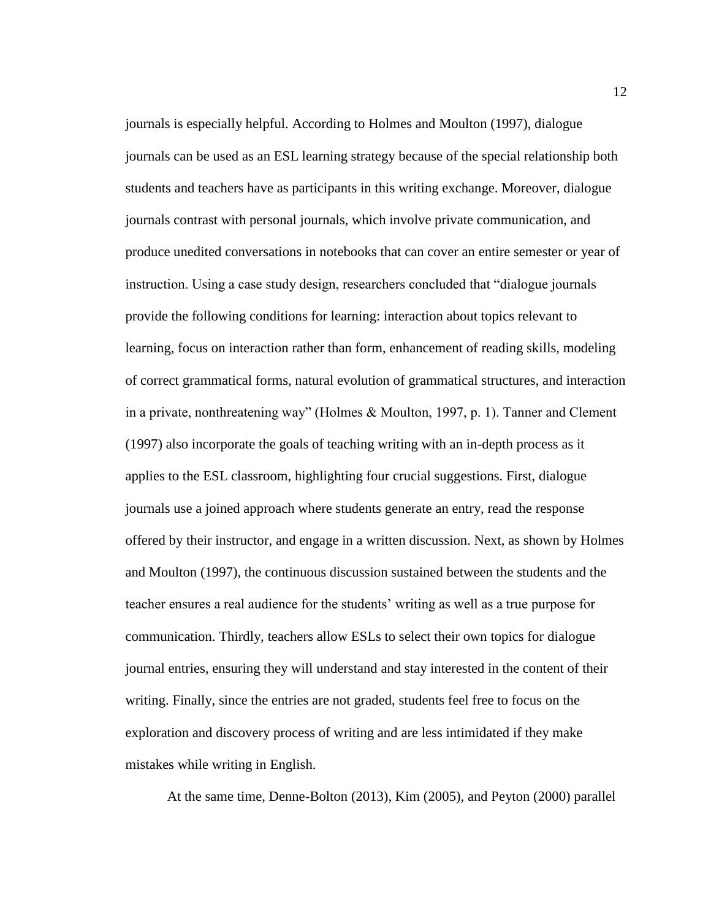journals is especially helpful. According to Holmes and Moulton (1997), dialogue journals can be used as an ESL learning strategy because of the special relationship both students and teachers have as participants in this writing exchange. Moreover, dialogue journals contrast with personal journals, which involve private communication, and produce unedited conversations in notebooks that can cover an entire semester or year of instruction. Using a case study design, researchers concluded that "dialogue journals provide the following conditions for learning: interaction about topics relevant to learning, focus on interaction rather than form, enhancement of reading skills, modeling of correct grammatical forms, natural evolution of grammatical structures, and interaction in a private, nonthreatening way" (Holmes & Moulton, 1997, p. 1). Tanner and Clement (1997) also incorporate the goals of teaching writing with an in-depth process as it applies to the ESL classroom, highlighting four crucial suggestions. First, dialogue journals use a joined approach where students generate an entry, read the response offered by their instructor, and engage in a written discussion. Next, as shown by Holmes and Moulton (1997), the continuous discussion sustained between the students and the teacher ensures a real audience for the students' writing as well as a true purpose for communication. Thirdly, teachers allow ESLs to select their own topics for dialogue journal entries, ensuring they will understand and stay interested in the content of their writing. Finally, since the entries are not graded, students feel free to focus on the exploration and discovery process of writing and are less intimidated if they make mistakes while writing in English.

At the same time, Denne-Bolton (2013), Kim (2005), and Peyton (2000) parallel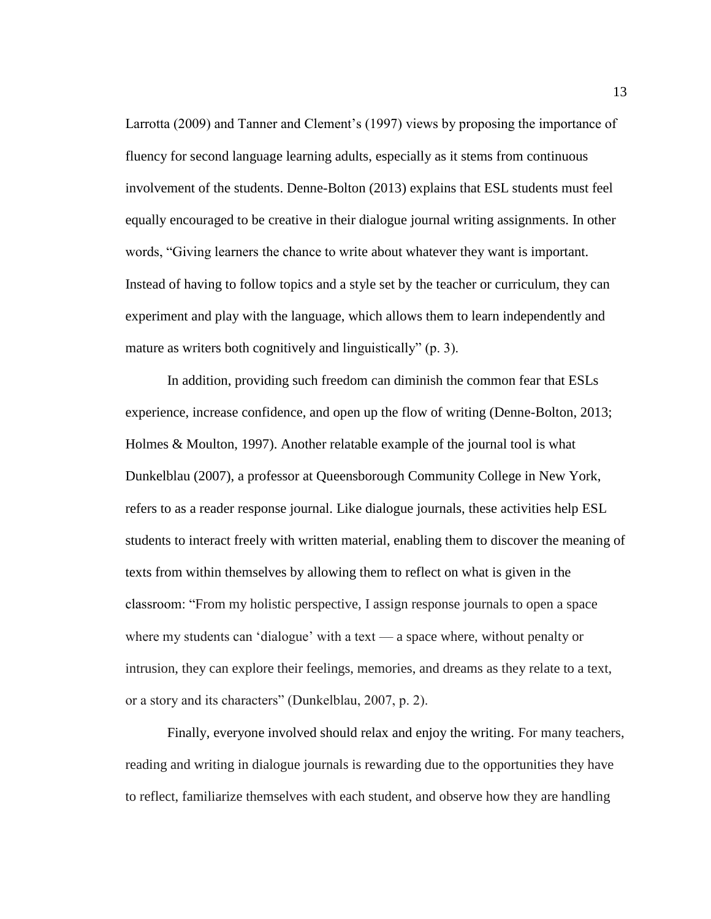Larrotta (2009) and Tanner and Clement's (1997) views by proposing the importance of fluency for second language learning adults, especially as it stems from continuous involvement of the students. Denne-Bolton (2013) explains that ESL students must feel equally encouraged to be creative in their dialogue journal writing assignments. In other words, "Giving learners the chance to write about whatever they want is important. Instead of having to follow topics and a style set by the teacher or curriculum, they can experiment and play with the language, which allows them to learn independently and mature as writers both cognitively and linguistically" (p. 3).

In addition, providing such freedom can diminish the common fear that ESLs experience, increase confidence, and open up the flow of writing (Denne-Bolton, 2013; Holmes & Moulton, 1997). Another relatable example of the journal tool is what Dunkelblau (2007), a professor at Queensborough Community College in New York, refers to as a reader response journal. Like dialogue journals, these activities help ESL students to interact freely with written material, enabling them to discover the meaning of texts from within themselves by allowing them to reflect on what is given in the classroom: "From my holistic perspective, I assign response journals to open a space where my students can 'dialogue' with a text — a space where, without penalty or intrusion, they can explore their feelings, memories, and dreams as they relate to a text, or a story and its characters" (Dunkelblau, 2007, p. 2).

Finally, everyone involved should relax and enjoy the writing. For many teachers, reading and writing in dialogue journals is rewarding due to the opportunities they have to reflect, familiarize themselves with each student, and observe how they are handling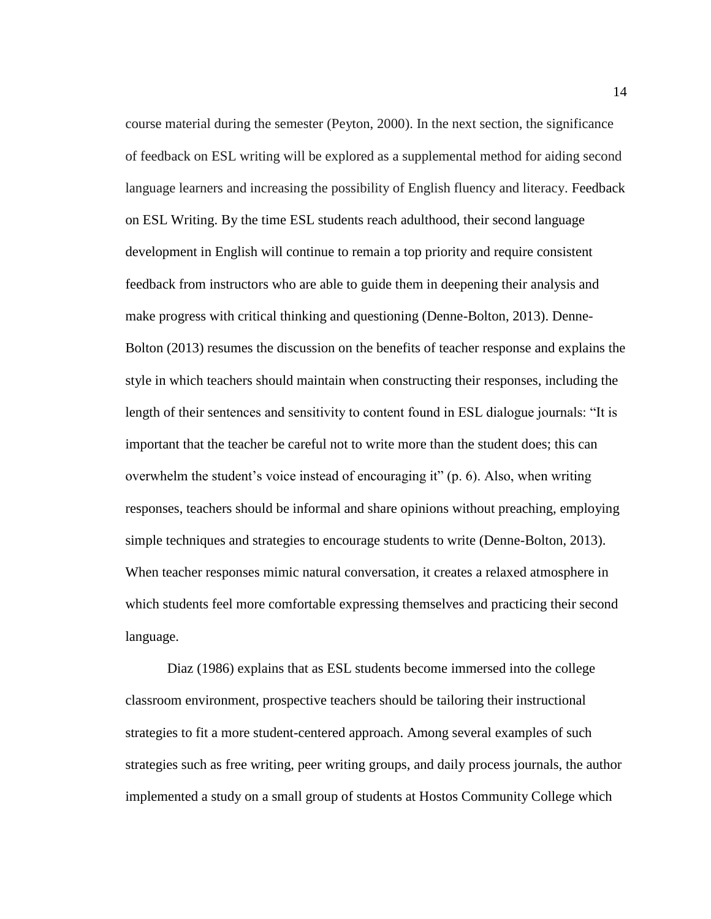course material during the semester (Peyton, 2000). In the next section, the significance of feedback on ESL writing will be explored as a supplemental method for aiding second language learners and increasing the possibility of English fluency and literacy. Feedback on ESL Writing. By the time ESL students reach adulthood, their second language development in English will continue to remain a top priority and require consistent feedback from instructors who are able to guide them in deepening their analysis and make progress with critical thinking and questioning (Denne-Bolton, 2013). Denne-Bolton (2013) resumes the discussion on the benefits of teacher response and explains the style in which teachers should maintain when constructing their responses, including the length of their sentences and sensitivity to content found in ESL dialogue journals: "It is important that the teacher be careful not to write more than the student does; this can overwhelm the student's voice instead of encouraging it" (p. 6). Also, when writing responses, teachers should be informal and share opinions without preaching, employing simple techniques and strategies to encourage students to write (Denne-Bolton, 2013). When teacher responses mimic natural conversation, it creates a relaxed atmosphere in which students feel more comfortable expressing themselves and practicing their second language.

Diaz (1986) explains that as ESL students become immersed into the college classroom environment, prospective teachers should be tailoring their instructional strategies to fit a more student-centered approach. Among several examples of such strategies such as free writing, peer writing groups, and daily process journals, the author implemented a study on a small group of students at Hostos Community College which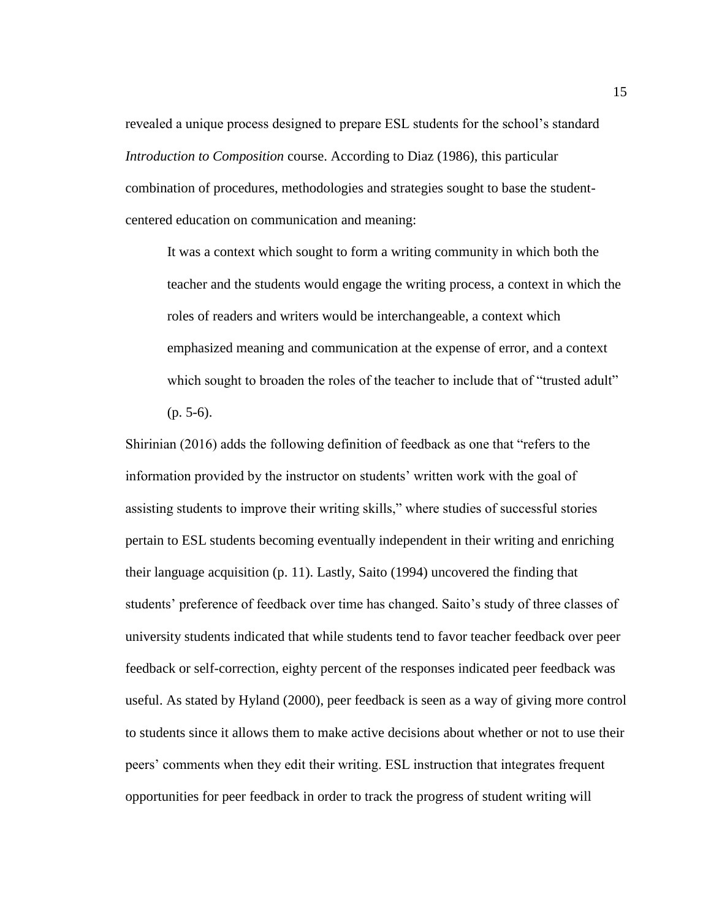revealed a unique process designed to prepare ESL students for the school's standard *Introduction to Composition* course. According to Diaz (1986), this particular combination of procedures, methodologies and strategies sought to base the studentcentered education on communication and meaning:

It was a context which sought to form a writing community in which both the teacher and the students would engage the writing process, a context in which the roles of readers and writers would be interchangeable, a context which emphasized meaning and communication at the expense of error, and a context which sought to broaden the roles of the teacher to include that of "trusted adult"  $(p. 5-6)$ .

Shirinian (2016) adds the following definition of feedback as one that "refers to the information provided by the instructor on students' written work with the goal of assisting students to improve their writing skills," where studies of successful stories pertain to ESL students becoming eventually independent in their writing and enriching their language acquisition (p. 11). Lastly, Saito (1994) uncovered the finding that students' preference of feedback over time has changed. Saito's study of three classes of university students indicated that while students tend to favor teacher feedback over peer feedback or self-correction, eighty percent of the responses indicated peer feedback was useful. As stated by Hyland (2000), peer feedback is seen as a way of giving more control to students since it allows them to make active decisions about whether or not to use their peers' comments when they edit their writing. ESL instruction that integrates frequent opportunities for peer feedback in order to track the progress of student writing will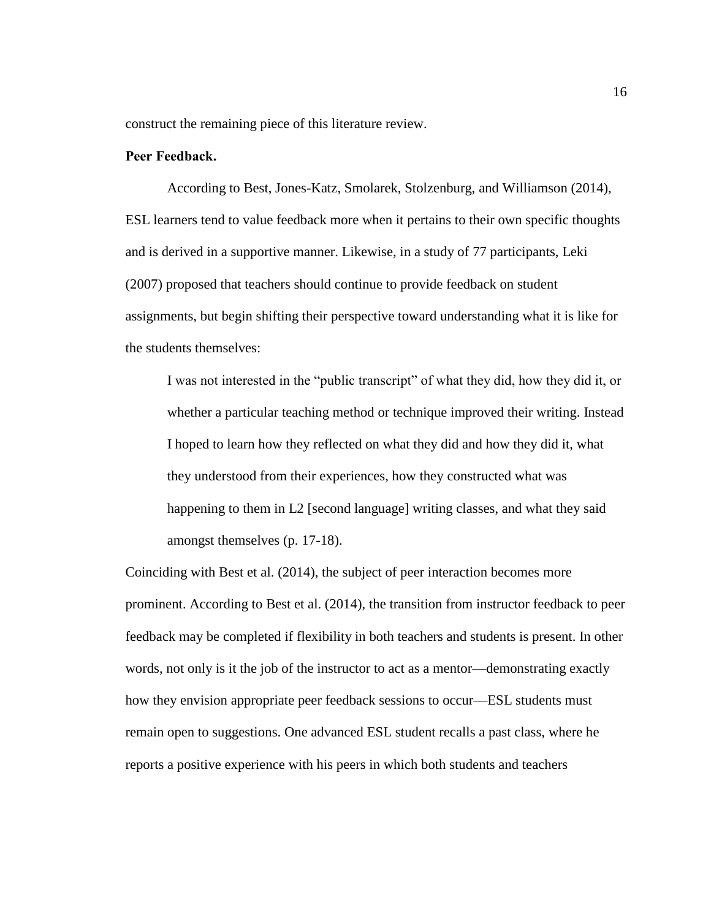construct the remaining piece of this literature review.

## <span id="page-23-0"></span>**Peer Feedback.**

According to Best, Jones-Katz, Smolarek, Stolzenburg, and Williamson (2014), ESL learners tend to value feedback more when it pertains to their own specific thoughts and is derived in a supportive manner. Likewise, in a study of 77 participants, Leki (2007) proposed that teachers should continue to provide feedback on student assignments, but begin shifting their perspective toward understanding what it is like for the students themselves:

I was not interested in the "public transcript" of what they did, how they did it, or whether a particular teaching method or technique improved their writing. Instead I hoped to learn how they reflected on what they did and how they did it, what they understood from their experiences, how they constructed what was happening to them in L2 [second language] writing classes, and what they said amongst themselves (p. 17-18).

Coinciding with Best et al. (2014), the subject of peer interaction becomes more prominent. According to Best et al. (2014), the transition from instructor feedback to peer feedback may be completed if flexibility in both teachers and students is present. In other words, not only is it the job of the instructor to act as a mentor—demonstrating exactly how they envision appropriate peer feedback sessions to occur—ESL students must remain open to suggestions. One advanced ESL student recalls a past class, where he reports a positive experience with his peers in which both students and teachers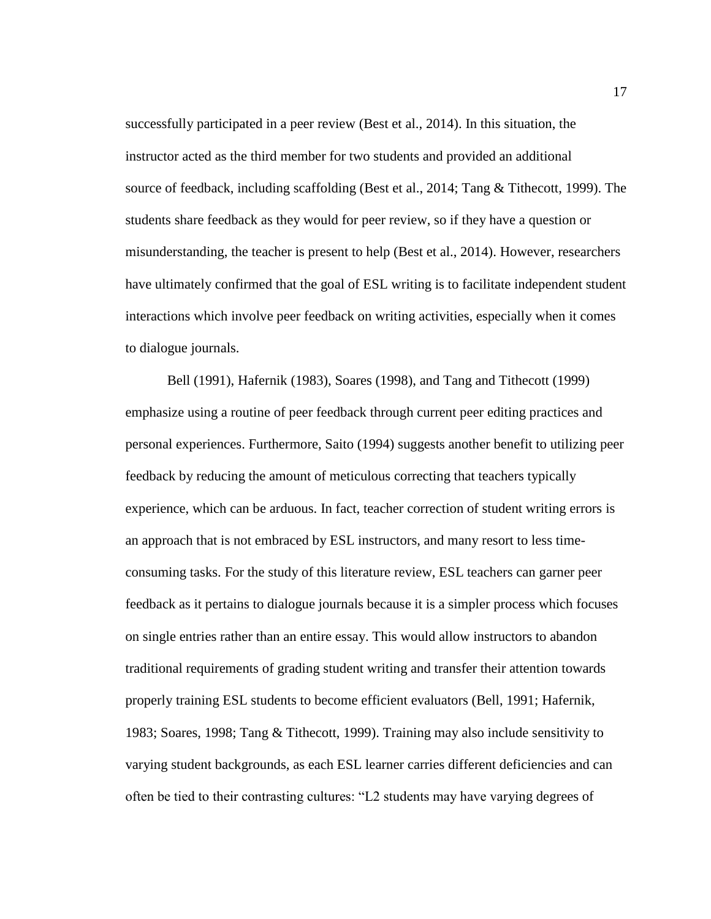successfully participated in a peer review (Best et al., 2014). In this situation, the instructor acted as the third member for two students and provided an additional source of feedback, including scaffolding (Best et al., 2014; Tang & Tithecott, 1999). The students share feedback as they would for peer review, so if they have a question or misunderstanding, the teacher is present to help (Best et al., 2014). However, researchers have ultimately confirmed that the goal of ESL writing is to facilitate independent student interactions which involve peer feedback on writing activities, especially when it comes to dialogue journals.

Bell (1991), Hafernik (1983), Soares (1998), and Tang and Tithecott (1999) emphasize using a routine of peer feedback through current peer editing practices and personal experiences. Furthermore, Saito (1994) suggests another benefit to utilizing peer feedback by reducing the amount of meticulous correcting that teachers typically experience, which can be arduous. In fact, teacher correction of student writing errors is an approach that is not embraced by ESL instructors, and many resort to less timeconsuming tasks. For the study of this literature review, ESL teachers can garner peer feedback as it pertains to dialogue journals because it is a simpler process which focuses on single entries rather than an entire essay. This would allow instructors to abandon traditional requirements of grading student writing and transfer their attention towards properly training ESL students to become efficient evaluators (Bell, 1991; Hafernik, 1983; Soares, 1998; Tang & Tithecott, 1999). Training may also include sensitivity to varying student backgrounds, as each ESL learner carries different deficiencies and can often be tied to their contrasting cultures: "L2 students may have varying degrees of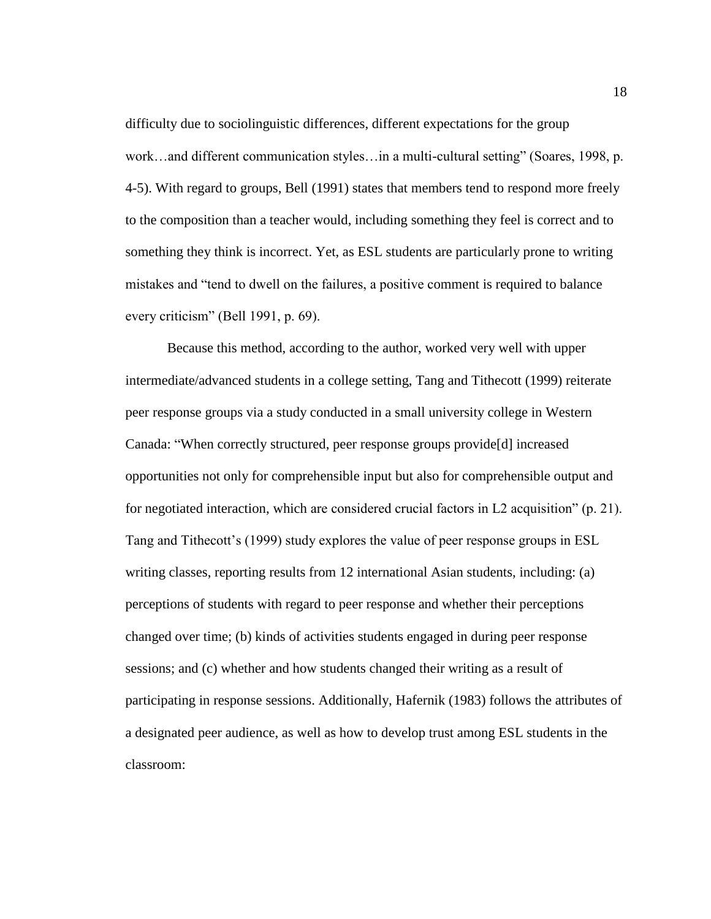difficulty due to sociolinguistic differences, different expectations for the group work…and different communication styles…in a multi-cultural setting" (Soares, 1998, p. 4-5). With regard to groups, Bell (1991) states that members tend to respond more freely to the composition than a teacher would, including something they feel is correct and to something they think is incorrect. Yet, as ESL students are particularly prone to writing mistakes and "tend to dwell on the failures, a positive comment is required to balance every criticism" (Bell 1991, p. 69).

Because this method, according to the author, worked very well with upper intermediate/advanced students in a college setting, Tang and Tithecott (1999) reiterate peer response groups via a study conducted in a small university college in Western Canada: "When correctly structured, peer response groups provide[d] increased opportunities not only for comprehensible input but also for comprehensible output and for negotiated interaction, which are considered crucial factors in L2 acquisition" (p. 21). Tang and Tithecott's (1999) study explores the value of peer response groups in ESL writing classes, reporting results from 12 international Asian students, including: (a) perceptions of students with regard to peer response and whether their perceptions changed over time; (b) kinds of activities students engaged in during peer response sessions; and (c) whether and how students changed their writing as a result of participating in response sessions. Additionally, Hafernik (1983) follows the attributes of a designated peer audience, as well as how to develop trust among ESL students in the classroom: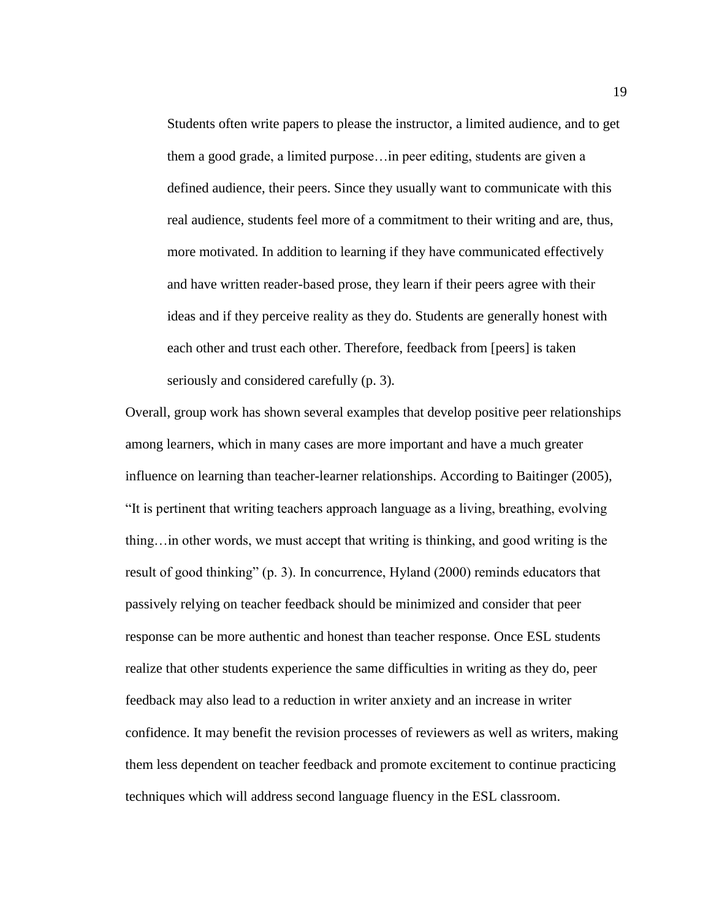Students often write papers to please the instructor, a limited audience, and to get them a good grade, a limited purpose…in peer editing, students are given a defined audience, their peers. Since they usually want to communicate with this real audience, students feel more of a commitment to their writing and are, thus, more motivated. In addition to learning if they have communicated effectively and have written reader-based prose, they learn if their peers agree with their ideas and if they perceive reality as they do. Students are generally honest with each other and trust each other. Therefore, feedback from [peers] is taken seriously and considered carefully (p. 3).

Overall, group work has shown several examples that develop positive peer relationships among learners, which in many cases are more important and have a much greater influence on learning than teacher-learner relationships. According to Baitinger (2005), "It is pertinent that writing teachers approach language as a living, breathing, evolving thing…in other words, we must accept that writing is thinking, and good writing is the result of good thinking" (p. 3). In concurrence, Hyland (2000) reminds educators that passively relying on teacher feedback should be minimized and consider that peer response can be more authentic and honest than teacher response. Once ESL students realize that other students experience the same difficulties in writing as they do, peer feedback may also lead to a reduction in writer anxiety and an increase in writer confidence. It may benefit the revision processes of reviewers as well as writers, making them less dependent on teacher feedback and promote excitement to continue practicing techniques which will address second language fluency in the ESL classroom.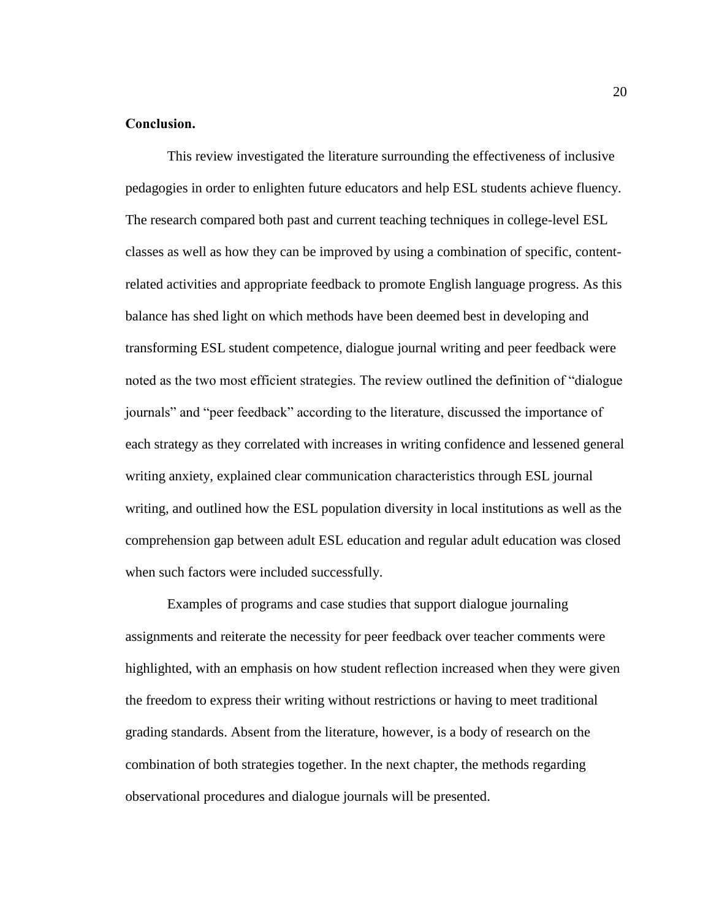# <span id="page-27-0"></span>**Conclusion.**

This review investigated the literature surrounding the effectiveness of inclusive pedagogies in order to enlighten future educators and help ESL students achieve fluency. The research compared both past and current teaching techniques in college-level ESL classes as well as how they can be improved by using a combination of specific, contentrelated activities and appropriate feedback to promote English language progress. As this balance has shed light on which methods have been deemed best in developing and transforming ESL student competence, dialogue journal writing and peer feedback were noted as the two most efficient strategies. The review outlined the definition of "dialogue journals" and "peer feedback" according to the literature, discussed the importance of each strategy as they correlated with increases in writing confidence and lessened general writing anxiety, explained clear communication characteristics through ESL journal writing, and outlined how the ESL population diversity in local institutions as well as the comprehension gap between adult ESL education and regular adult education was closed when such factors were included successfully.

Examples of programs and case studies that support dialogue journaling assignments and reiterate the necessity for peer feedback over teacher comments were highlighted, with an emphasis on how student reflection increased when they were given the freedom to express their writing without restrictions or having to meet traditional grading standards. Absent from the literature, however, is a body of research on the combination of both strategies together. In the next chapter, the methods regarding observational procedures and dialogue journals will be presented.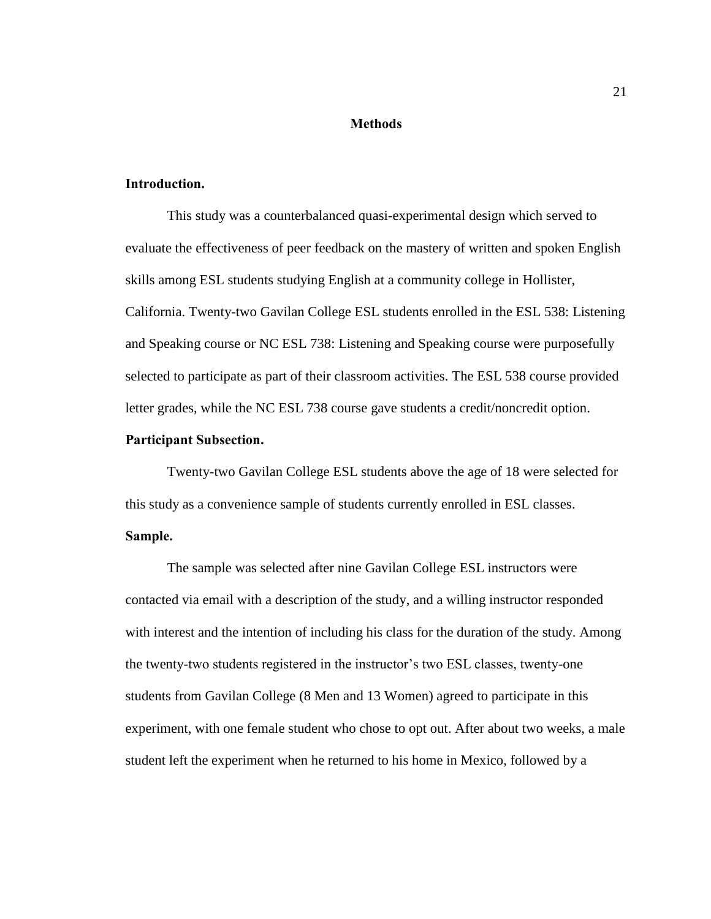#### **Methods**

# <span id="page-28-1"></span><span id="page-28-0"></span>**Introduction.**

This study was a counterbalanced quasi-experimental design which served to evaluate the effectiveness of peer feedback on the mastery of written and spoken English skills among ESL students studying English at a community college in Hollister, California. Twenty-two Gavilan College ESL students enrolled in the ESL 538: Listening and Speaking course or NC ESL 738: Listening and Speaking course were purposefully selected to participate as part of their classroom activities. The ESL 538 course provided letter grades, while the NC ESL 738 course gave students a credit/noncredit option.

# <span id="page-28-2"></span>**Participant Subsection.**

Twenty-two Gavilan College ESL students above the age of 18 were selected for this study as a convenience sample of students currently enrolled in ESL classes.

# <span id="page-28-3"></span>**Sample.**

The sample was selected after nine Gavilan College ESL instructors were contacted via email with a description of the study, and a willing instructor responded with interest and the intention of including his class for the duration of the study. Among the twenty-two students registered in the instructor's two ESL classes, twenty-one students from Gavilan College (8 Men and 13 Women) agreed to participate in this experiment, with one female student who chose to opt out. After about two weeks, a male student left the experiment when he returned to his home in Mexico, followed by a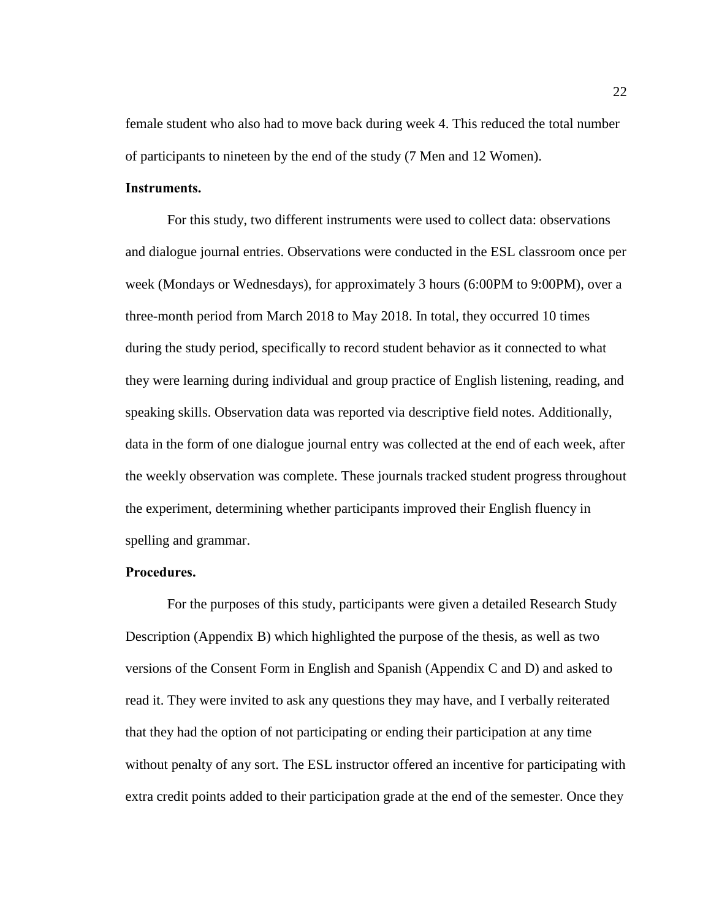female student who also had to move back during week 4. This reduced the total number of participants to nineteen by the end of the study (7 Men and 12 Women).

# <span id="page-29-0"></span>**Instruments.**

For this study, two different instruments were used to collect data: observations and dialogue journal entries. Observations were conducted in the ESL classroom once per week (Mondays or Wednesdays), for approximately 3 hours (6:00PM to 9:00PM), over a three-month period from March 2018 to May 2018. In total, they occurred 10 times during the study period, specifically to record student behavior as it connected to what they were learning during individual and group practice of English listening, reading, and speaking skills. Observation data was reported via descriptive field notes. Additionally, data in the form of one dialogue journal entry was collected at the end of each week, after the weekly observation was complete. These journals tracked student progress throughout the experiment, determining whether participants improved their English fluency in spelling and grammar.

## <span id="page-29-1"></span>**Procedures.**

For the purposes of this study, participants were given a detailed Research Study Description (Appendix B) which highlighted the purpose of the thesis, as well as two versions of the Consent Form in English and Spanish (Appendix C and D) and asked to read it. They were invited to ask any questions they may have, and I verbally reiterated that they had the option of not participating or ending their participation at any time without penalty of any sort. The ESL instructor offered an incentive for participating with extra credit points added to their participation grade at the end of the semester. Once they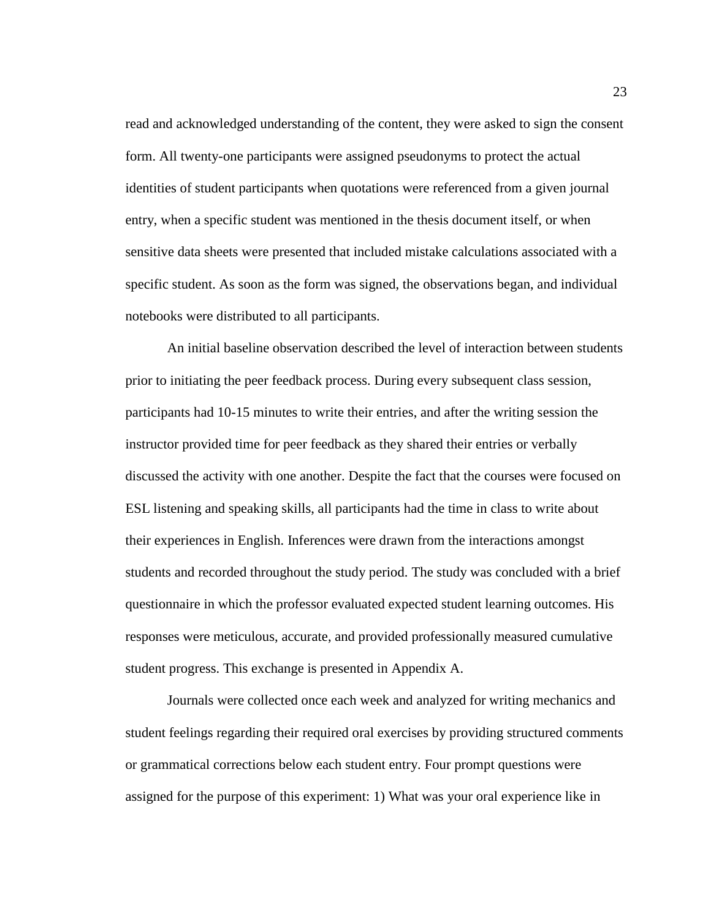read and acknowledged understanding of the content, they were asked to sign the consent form. All twenty-one participants were assigned pseudonyms to protect the actual identities of student participants when quotations were referenced from a given journal entry, when a specific student was mentioned in the thesis document itself, or when sensitive data sheets were presented that included mistake calculations associated with a specific student. As soon as the form was signed, the observations began, and individual notebooks were distributed to all participants.

An initial baseline observation described the level of interaction between students prior to initiating the peer feedback process. During every subsequent class session, participants had 10-15 minutes to write their entries, and after the writing session the instructor provided time for peer feedback as they shared their entries or verbally discussed the activity with one another. Despite the fact that the courses were focused on ESL listening and speaking skills, all participants had the time in class to write about their experiences in English. Inferences were drawn from the interactions amongst students and recorded throughout the study period. The study was concluded with a brief questionnaire in which the professor evaluated expected student learning outcomes. His responses were meticulous, accurate, and provided professionally measured cumulative student progress. This exchange is presented in Appendix A.

Journals were collected once each week and analyzed for writing mechanics and student feelings regarding their required oral exercises by providing structured comments or grammatical corrections below each student entry. Four prompt questions were assigned for the purpose of this experiment: 1) What was your oral experience like in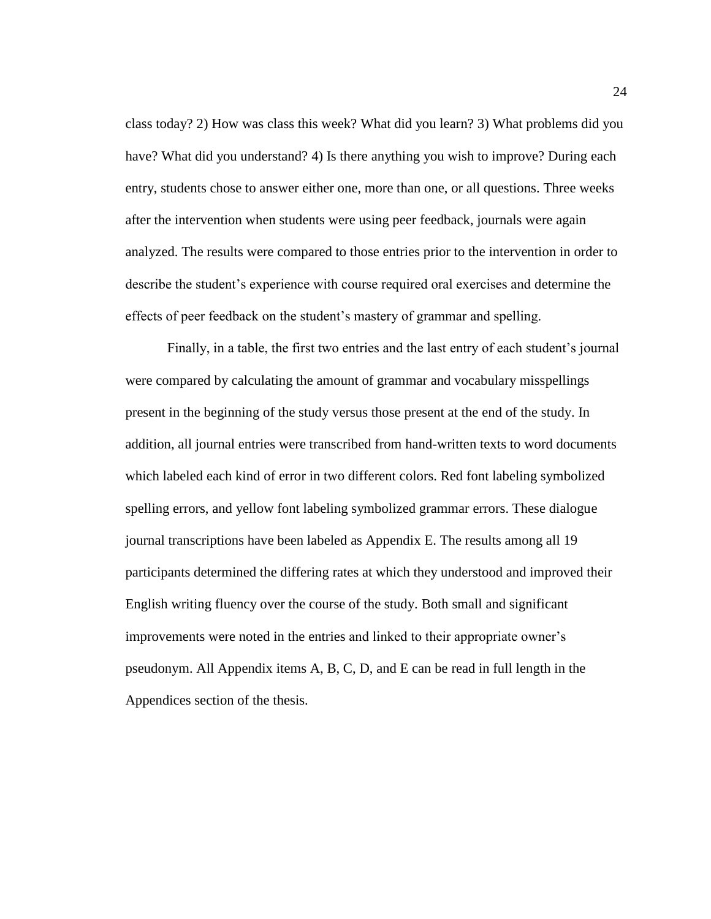class today? 2) How was class this week? What did you learn? 3) What problems did you have? What did you understand? 4) Is there anything you wish to improve? During each entry, students chose to answer either one, more than one, or all questions. Three weeks after the intervention when students were using peer feedback, journals were again analyzed. The results were compared to those entries prior to the intervention in order to describe the student's experience with course required oral exercises and determine the effects of peer feedback on the student's mastery of grammar and spelling.

Finally, in a table, the first two entries and the last entry of each student's journal were compared by calculating the amount of grammar and vocabulary misspellings present in the beginning of the study versus those present at the end of the study. In addition, all journal entries were transcribed from hand-written texts to word documents which labeled each kind of error in two different colors. Red font labeling symbolized spelling errors, and yellow font labeling symbolized grammar errors. These dialogue journal transcriptions have been labeled as Appendix E. The results among all 19 participants determined the differing rates at which they understood and improved their English writing fluency over the course of the study. Both small and significant improvements were noted in the entries and linked to their appropriate owner's pseudonym. All Appendix items A, B, C, D, and E can be read in full length in the Appendices section of the thesis.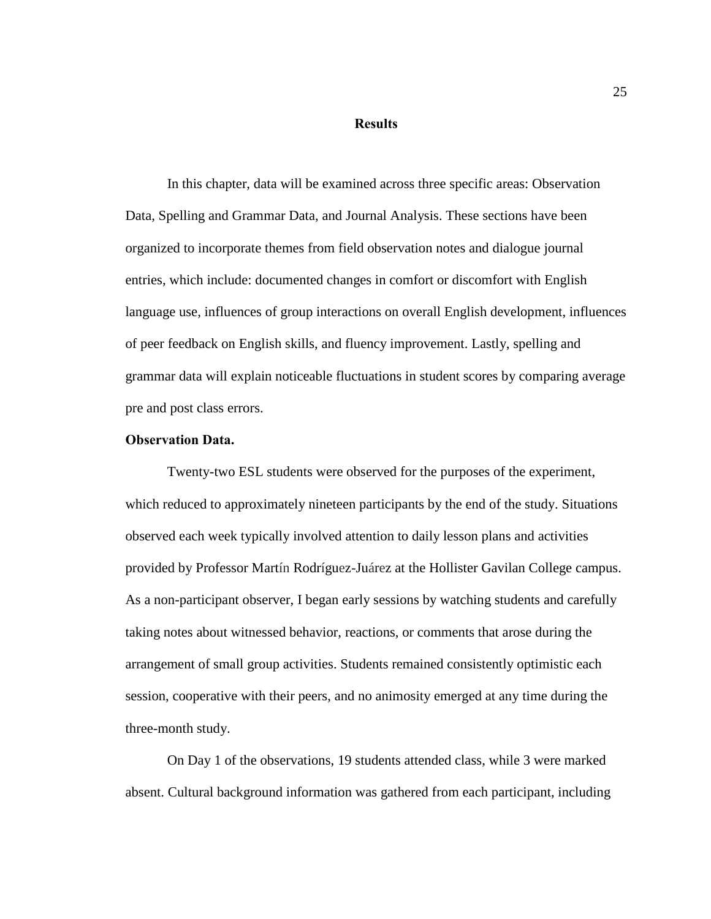#### **Results**

<span id="page-32-0"></span>In this chapter, data will be examined across three specific areas: Observation Data, Spelling and Grammar Data, and Journal Analysis. These sections have been organized to incorporate themes from field observation notes and dialogue journal entries, which include: documented changes in comfort or discomfort with English language use, influences of group interactions on overall English development, influences of peer feedback on English skills, and fluency improvement. Lastly, spelling and grammar data will explain noticeable fluctuations in student scores by comparing average pre and post class errors.

# <span id="page-32-1"></span>**Observation Data.**

Twenty-two ESL students were observed for the purposes of the experiment, which reduced to approximately nineteen participants by the end of the study. Situations observed each week typically involved attention to daily lesson plans and activities provided by Professor Martín Rodríguez-Juárez at the Hollister Gavilan College campus. As a non-participant observer, I began early sessions by watching students and carefully taking notes about witnessed behavior, reactions, or comments that arose during the arrangement of small group activities. Students remained consistently optimistic each session, cooperative with their peers, and no animosity emerged at any time during the three-month study.

On Day 1 of the observations, 19 students attended class, while 3 were marked absent. Cultural background information was gathered from each participant, including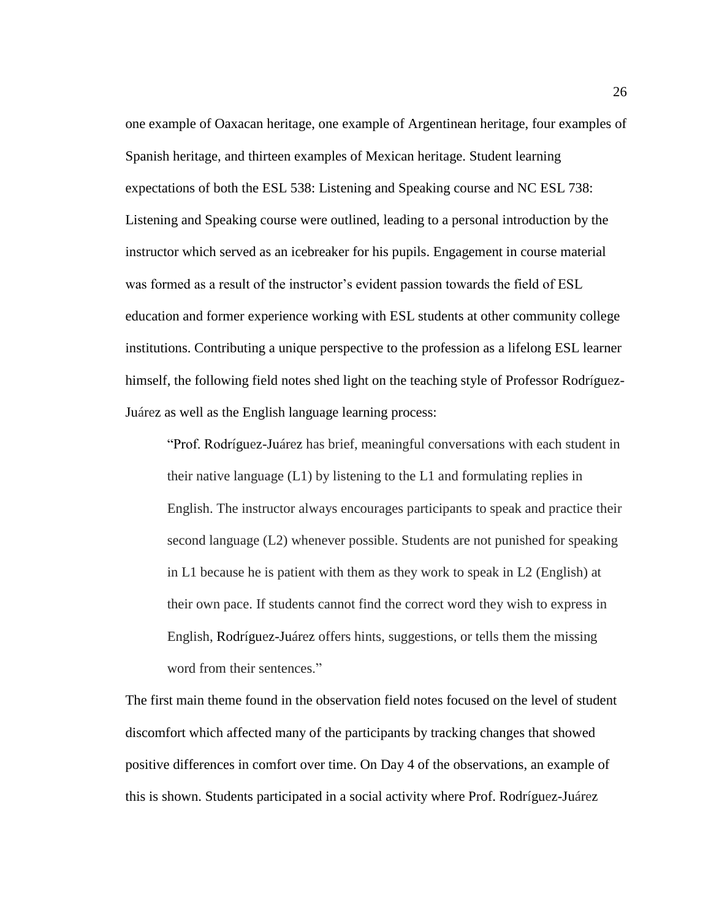one example of Oaxacan heritage, one example of Argentinean heritage, four examples of Spanish heritage, and thirteen examples of Mexican heritage. Student learning expectations of both the ESL 538: Listening and Speaking course and NC ESL 738: Listening and Speaking course were outlined, leading to a personal introduction by the instructor which served as an icebreaker for his pupils. Engagement in course material was formed as a result of the instructor's evident passion towards the field of ESL education and former experience working with ESL students at other community college institutions. Contributing a unique perspective to the profession as a lifelong ESL learner himself, the following field notes shed light on the teaching style of Professor Rodríguez-Juárez as well as the English language learning process:

"Prof. Rodríguez-Juárez has brief, meaningful conversations with each student in their native language (L1) by listening to the L1 and formulating replies in English. The instructor always encourages participants to speak and practice their second language (L2) whenever possible. Students are not punished for speaking in L1 because he is patient with them as they work to speak in L2 (English) at their own pace. If students cannot find the correct word they wish to express in English, Rodríguez-Juárez offers hints, suggestions, or tells them the missing word from their sentences."

The first main theme found in the observation field notes focused on the level of student discomfort which affected many of the participants by tracking changes that showed positive differences in comfort over time. On Day 4 of the observations, an example of this is shown. Students participated in a social activity where Prof. Rodríguez-Juárez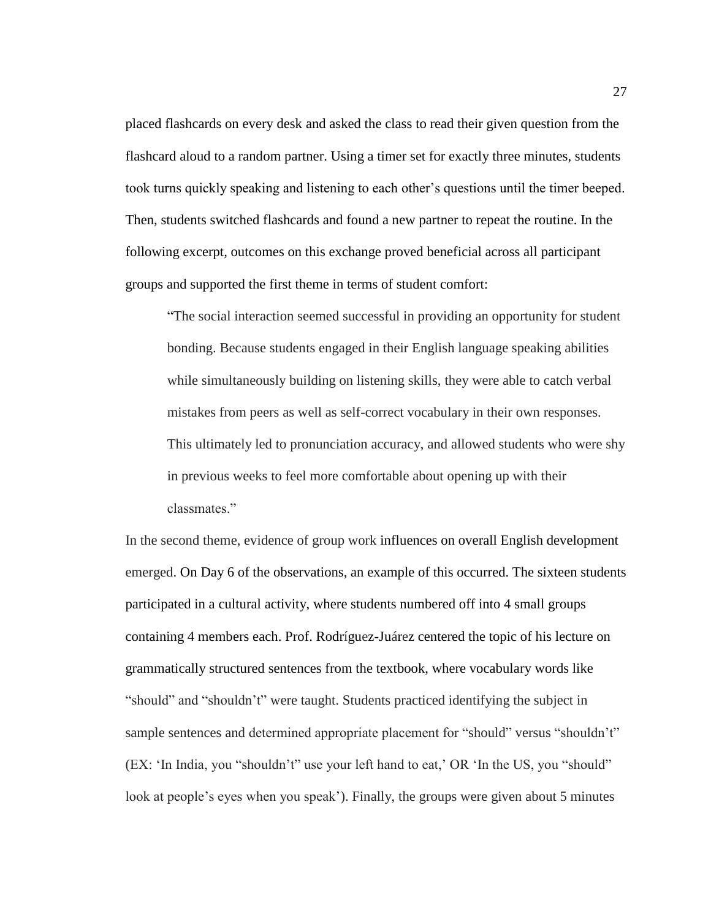placed flashcards on every desk and asked the class to read their given question from the flashcard aloud to a random partner. Using a timer set for exactly three minutes, students took turns quickly speaking and listening to each other's questions until the timer beeped. Then, students switched flashcards and found a new partner to repeat the routine. In the following excerpt, outcomes on this exchange proved beneficial across all participant groups and supported the first theme in terms of student comfort:

"The social interaction seemed successful in providing an opportunity for student bonding. Because students engaged in their English language speaking abilities while simultaneously building on listening skills, they were able to catch verbal mistakes from peers as well as self-correct vocabulary in their own responses. This ultimately led to pronunciation accuracy, and allowed students who were shy in previous weeks to feel more comfortable about opening up with their classmates."

In the second theme, evidence of group work influences on overall English development emerged. On Day 6 of the observations, an example of this occurred. The sixteen students participated in a cultural activity, where students numbered off into 4 small groups containing 4 members each. Prof. Rodríguez-Juárez centered the topic of his lecture on grammatically structured sentences from the textbook, where vocabulary words like "should" and "shouldn't" were taught. Students practiced identifying the subject in sample sentences and determined appropriate placement for "should" versus "shouldn't" (EX: 'In India, you "shouldn't" use your left hand to eat,' OR 'In the US, you "should" look at people's eyes when you speak'). Finally, the groups were given about 5 minutes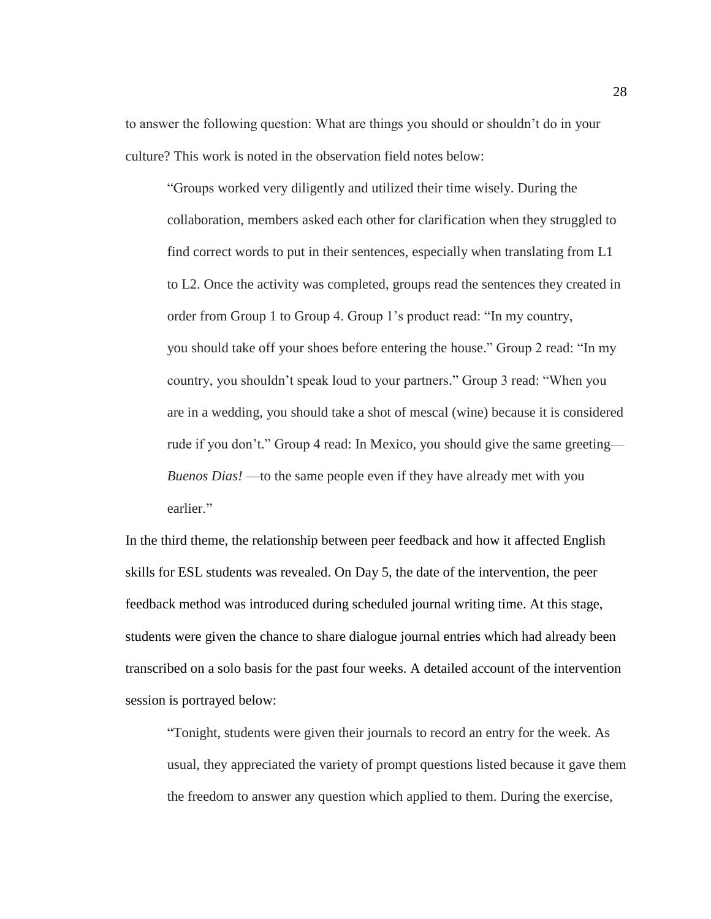to answer the following question: What are things you should or shouldn't do in your culture? This work is noted in the observation field notes below:

"Groups worked very diligently and utilized their time wisely. During the collaboration, members asked each other for clarification when they struggled to find correct words to put in their sentences, especially when translating from L1 to L2. Once the activity was completed, groups read the sentences they created in order from Group 1 to Group 4. Group 1's product read: "In my country, you should take off your shoes before entering the house." Group 2 read: "In my country, you shouldn't speak loud to your partners." Group 3 read: "When you are in a wedding, you should take a shot of mescal (wine) because it is considered rude if you don't." Group 4 read: In Mexico, you should give the same greeting— *Buenos Dias!* —to the same people even if they have already met with you earlier."

In the third theme, the relationship between peer feedback and how it affected English skills for ESL students was revealed. On Day 5, the date of the intervention, the peer feedback method was introduced during scheduled journal writing time. At this stage, students were given the chance to share dialogue journal entries which had already been transcribed on a solo basis for the past four weeks. A detailed account of the intervention session is portrayed below:

"Tonight, students were given their journals to record an entry for the week. As usual, they appreciated the variety of prompt questions listed because it gave them the freedom to answer any question which applied to them. During the exercise,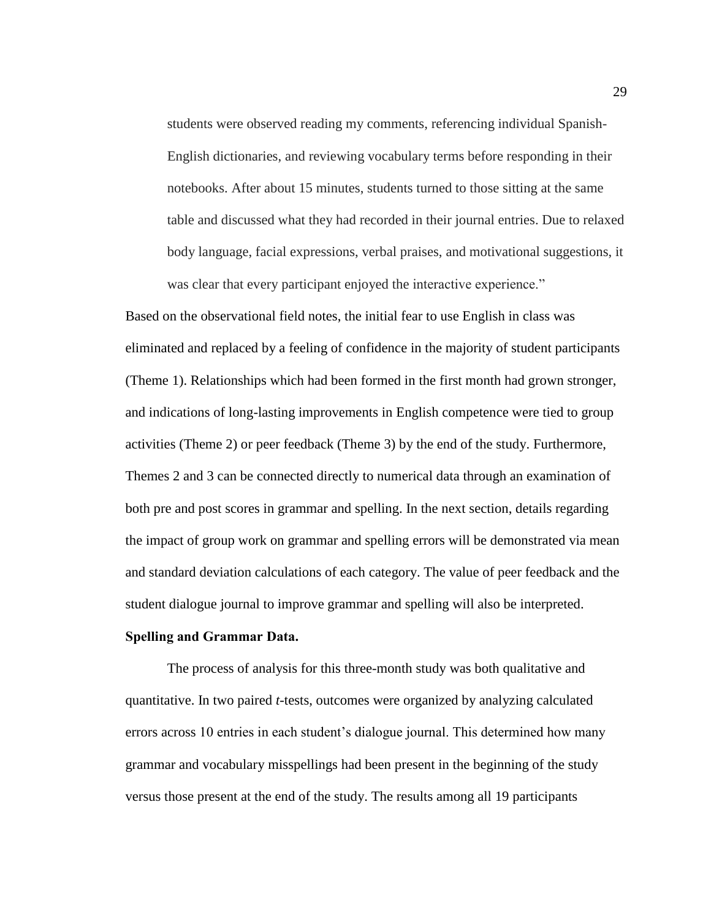students were observed reading my comments, referencing individual Spanish-English dictionaries, and reviewing vocabulary terms before responding in their notebooks. After about 15 minutes, students turned to those sitting at the same table and discussed what they had recorded in their journal entries. Due to relaxed body language, facial expressions, verbal praises, and motivational suggestions, it was clear that every participant enjoyed the interactive experience."

Based on the observational field notes, the initial fear to use English in class was eliminated and replaced by a feeling of confidence in the majority of student participants (Theme 1). Relationships which had been formed in the first month had grown stronger, and indications of long-lasting improvements in English competence were tied to group activities (Theme 2) or peer feedback (Theme 3) by the end of the study. Furthermore, Themes 2 and 3 can be connected directly to numerical data through an examination of both pre and post scores in grammar and spelling. In the next section, details regarding the impact of group work on grammar and spelling errors will be demonstrated via mean and standard deviation calculations of each category. The value of peer feedback and the student dialogue journal to improve grammar and spelling will also be interpreted.

#### **Spelling and Grammar Data.**

The process of analysis for this three-month study was both qualitative and quantitative. In two paired *t*-tests, outcomes were organized by analyzing calculated errors across 10 entries in each student's dialogue journal. This determined how many grammar and vocabulary misspellings had been present in the beginning of the study versus those present at the end of the study. The results among all 19 participants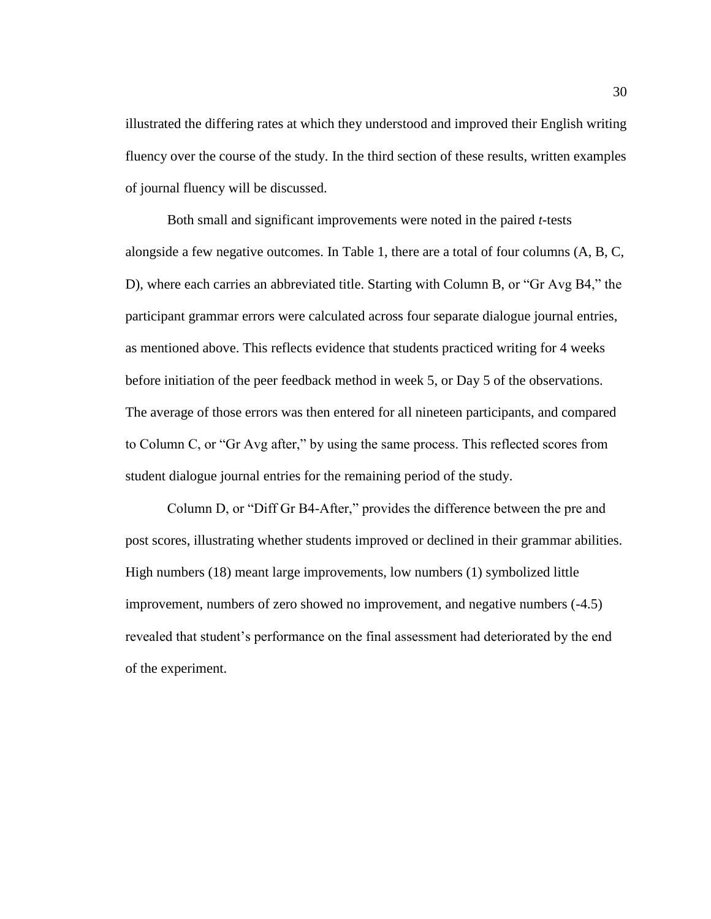illustrated the differing rates at which they understood and improved their English writing fluency over the course of the study. In the third section of these results, written examples of journal fluency will be discussed.

Both small and significant improvements were noted in the paired *t-*tests alongside a few negative outcomes. In Table 1, there are a total of four columns (A, B, C, D), where each carries an abbreviated title. Starting with Column B, or "Gr Avg B4," the participant grammar errors were calculated across four separate dialogue journal entries, as mentioned above. This reflects evidence that students practiced writing for 4 weeks before initiation of the peer feedback method in week 5, or Day 5 of the observations. The average of those errors was then entered for all nineteen participants, and compared to Column C, or "Gr Avg after," by using the same process. This reflected scores from student dialogue journal entries for the remaining period of the study.

Column D, or "Diff Gr B4-After," provides the difference between the pre and post scores, illustrating whether students improved or declined in their grammar abilities. High numbers (18) meant large improvements, low numbers (1) symbolized little improvement, numbers of zero showed no improvement, and negative numbers (-4.5) revealed that student's performance on the final assessment had deteriorated by the end of the experiment.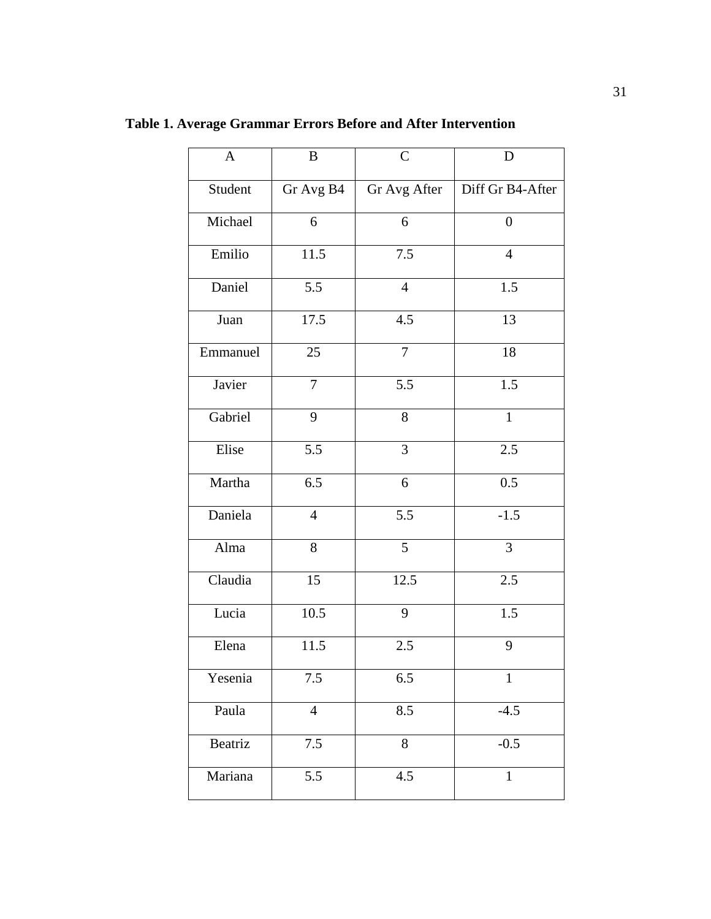| $\mathbf{A}$ | $\bf{B}$       | $\mathbf C$    | D                |
|--------------|----------------|----------------|------------------|
| Student      | Gr Avg B4      | Gr Avg After   | Diff Gr B4-After |
| Michael      | 6              | 6              | $\overline{0}$   |
| Emilio       | 11.5           | 7.5            | $\overline{4}$   |
| Daniel       | 5.5            | $\overline{4}$ | 1.5              |
| Juan         | 17.5           | 4.5            | 13               |
| Emmanuel     | 25             | $\overline{7}$ | $18\,$           |
| Javier       | $\overline{7}$ | 5.5            | 1.5              |
| Gabriel      | 9              | 8              | $\mathbf{1}$     |
| Elise        | 5.5            | 3              | 2.5              |
| Martha       | 6.5            | 6              | $0.5\,$          |
| Daniela      | $\overline{4}$ | 5.5            | $-1.5$           |
| Alma         | 8              | 5              | $\overline{3}$   |
| Claudia      | 15             | 12.5           | 2.5              |
| Lucia        | 10.5           | 9              | 1.5              |
| Elena        | 11.5           | 2.5            | 9                |
| Yesenia      | 7.5            | 6.5            | $\mathbf{1}$     |
| Paula        | $\overline{4}$ | 8.5            | $-4.5$           |
| Beatriz      | $7.5\,$        | 8              | $-0.5$           |
| Mariana      | 5.5            | 4.5            | $\mathbf{1}$     |

**Table 1. Average Grammar Errors Before and After Intervention**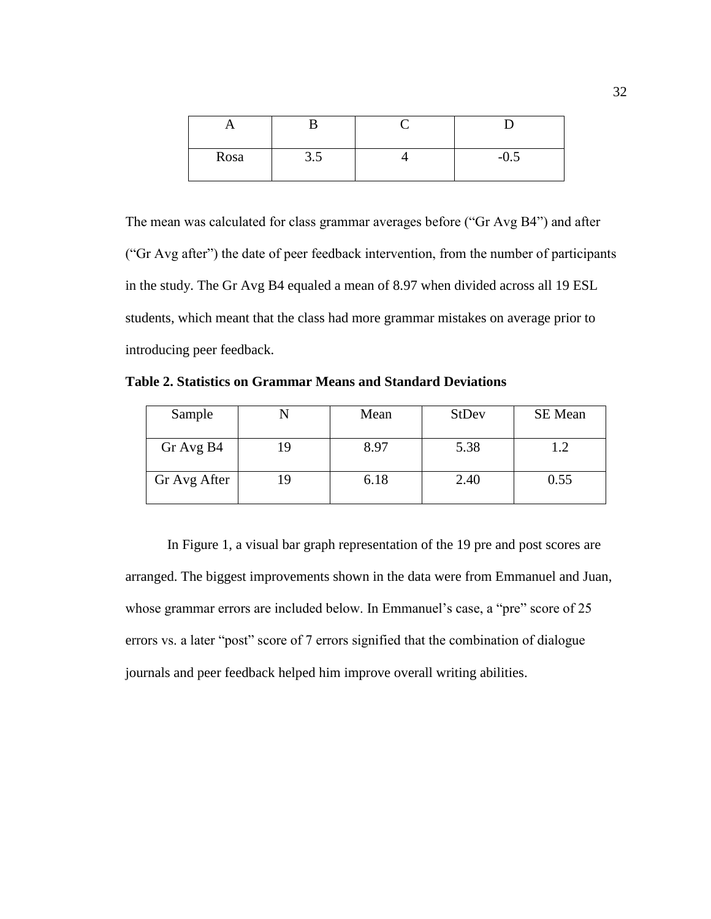| Rosa | J.J | $-U.$ |
|------|-----|-------|

The mean was calculated for class grammar averages before ("Gr Avg B4") and after ("Gr Avg after") the date of peer feedback intervention, from the number of participants in the study. The Gr Avg B4 equaled a mean of 8.97 when divided across all 19 ESL students, which meant that the class had more grammar mistakes on average prior to introducing peer feedback.

**Table 2. Statistics on Grammar Means and Standard Deviations**

| Sample       |    | Mean | <b>StDev</b> | <b>SE</b> Mean |
|--------------|----|------|--------------|----------------|
| Gr Avg B4    | 19 | 8.97 | 5.38         | 1.2            |
| Gr Avg After | 19 | 6.18 | 2.40         | 0.55           |

In Figure 1, a visual bar graph representation of the 19 pre and post scores are arranged. The biggest improvements shown in the data were from Emmanuel and Juan, whose grammar errors are included below. In Emmanuel's case, a "pre" score of 25 errors vs. a later "post" score of 7 errors signified that the combination of dialogue journals and peer feedback helped him improve overall writing abilities.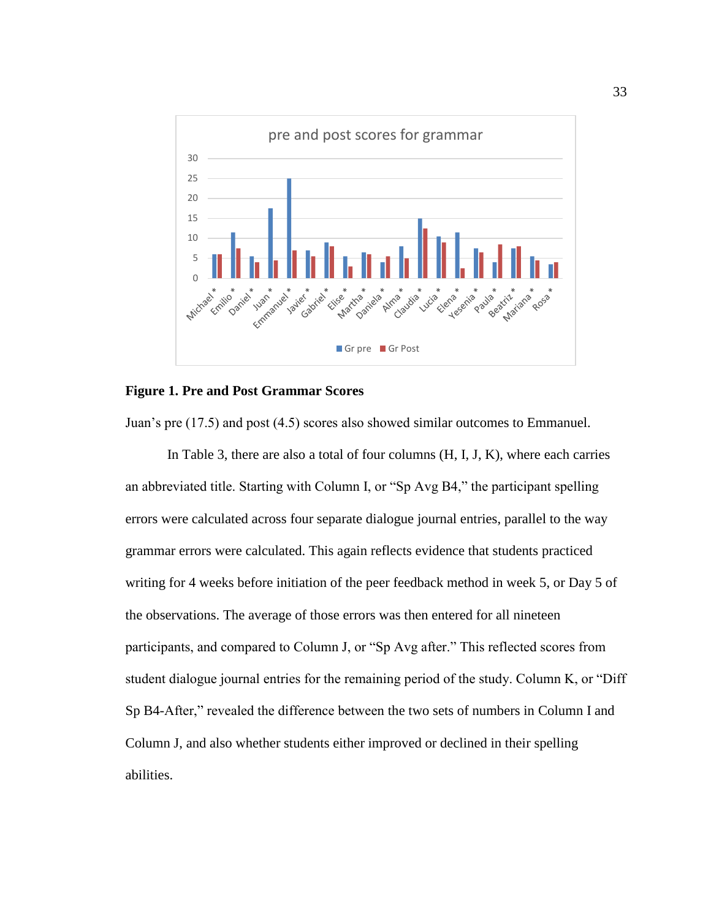

## **Figure 1. Pre and Post Grammar Scores**

Juan's pre (17.5) and post (4.5) scores also showed similar outcomes to Emmanuel.

In Table 3, there are also a total of four columns (H, I, J, K), where each carries an abbreviated title. Starting with Column I, or "Sp Avg B4," the participant spelling errors were calculated across four separate dialogue journal entries, parallel to the way grammar errors were calculated. This again reflects evidence that students practiced writing for 4 weeks before initiation of the peer feedback method in week 5, or Day 5 of the observations. The average of those errors was then entered for all nineteen participants, and compared to Column J, or "Sp Avg after." This reflected scores from student dialogue journal entries for the remaining period of the study. Column K, or "Diff Sp B4-After," revealed the difference between the two sets of numbers in Column I and Column J, and also whether students either improved or declined in their spelling abilities.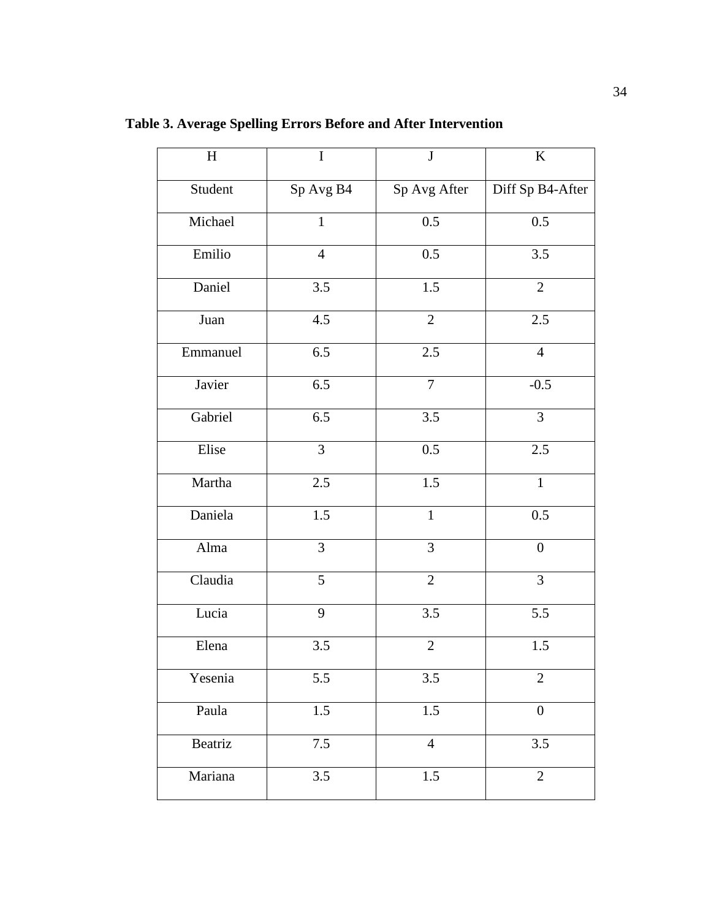| $\boldsymbol{\mathrm{H}}$ | $\mathbf I$    | J                | $\bf K$          |
|---------------------------|----------------|------------------|------------------|
| Student                   | Sp Avg B4      | Sp Avg After     | Diff Sp B4-After |
| Michael                   | $\overline{1}$ | $\overline{0.5}$ | 0.5              |
| Emilio                    | $\overline{4}$ | 0.5              | 3.5              |
| Daniel                    | 3.5            | 1.5              | $\overline{2}$   |
| Juan                      | 4.5            | $\overline{2}$   | $2.5\,$          |
| Emmanuel                  | 6.5            | 2.5              | $\overline{4}$   |
| Javier                    | 6.5            | $\overline{7}$   | $-0.5$           |
| Gabriel                   | 6.5            | 3.5              | 3                |
| Elise                     | $\mathfrak{Z}$ | 0.5              | 2.5              |
| Martha                    | $2.5\,$        | $1.5\,$          | $\mathbf{1}$     |
| Daniela                   | 1.5            | $\mathbf{1}$     | 0.5              |
| Alma                      | 3              | 3                | $\boldsymbol{0}$ |
| Claudia                   | 5              | $\overline{2}$   | 3                |
| Lucia                     | 9              | 3.5              | 5.5              |
| Elena                     | 3.5            | $\overline{2}$   | 1.5              |
| Yesenia                   | 5.5            | 3.5              | $\mathbf{2}$     |
| Paula                     | $1.5\,$        | 1.5              | $\boldsymbol{0}$ |
| Beatriz                   | 7.5            | $\overline{4}$   | 3.5              |
| Mariana                   | 3.5            | 1.5              | $\overline{2}$   |

**Table 3. Average Spelling Errors Before and After Intervention**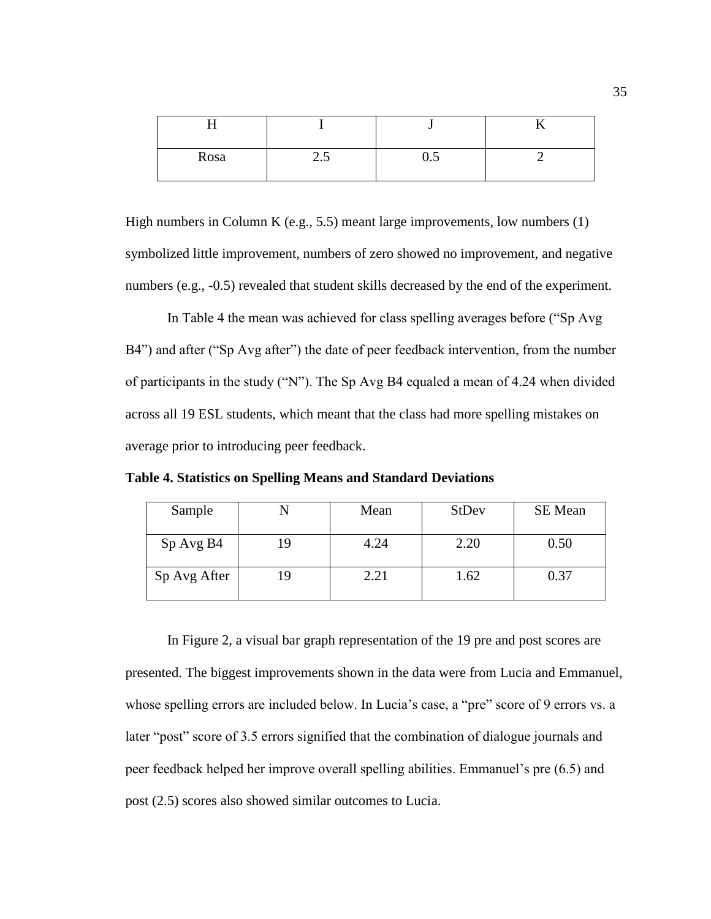| Rosa | ن ک | $\mathsf{u}.\mathsf{v}$ |  |
|------|-----|-------------------------|--|

High numbers in Column K (e.g., 5.5) meant large improvements, low numbers (1) symbolized little improvement, numbers of zero showed no improvement, and negative numbers (e.g., -0.5) revealed that student skills decreased by the end of the experiment.

In Table 4 the mean was achieved for class spelling averages before ("Sp Avg B4") and after ("Sp Avg after") the date of peer feedback intervention, from the number of participants in the study ("N"). The Sp Avg B4 equaled a mean of 4.24 when divided across all 19 ESL students, which meant that the class had more spelling mistakes on average prior to introducing peer feedback.

**Table 4. Statistics on Spelling Means and Standard Deviations**

| Sample       |    | Mean | <b>StDev</b> | <b>SE</b> Mean |
|--------------|----|------|--------------|----------------|
| Sp Avg B4    | 19 | 4.24 | 2.20         | 0.50           |
| Sp Avg After |    | 2.21 | 1.62         | 0.37           |

In Figure 2, a visual bar graph representation of the 19 pre and post scores are presented. The biggest improvements shown in the data were from Lucia and Emmanuel, whose spelling errors are included below. In Lucia's case, a "pre" score of 9 errors vs. a later "post" score of 3.5 errors signified that the combination of dialogue journals and peer feedback helped her improve overall spelling abilities. Emmanuel's pre (6.5) and post (2.5) scores also showed similar outcomes to Lucia.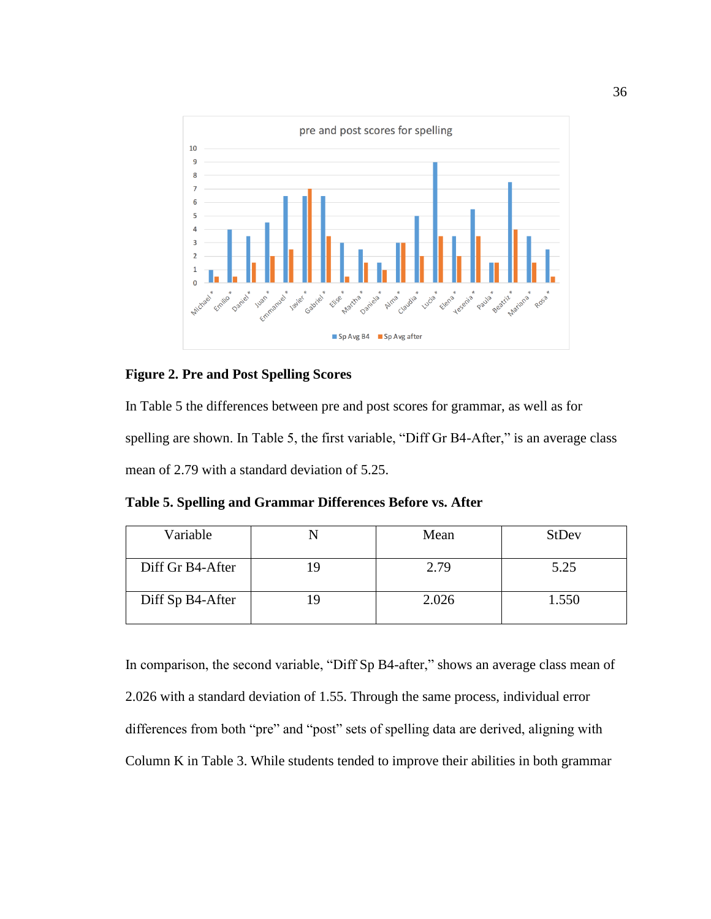

## **Figure 2. Pre and Post Spelling Scores**

In Table 5 the differences between pre and post scores for grammar, as well as for spelling are shown. In Table 5, the first variable, "Diff Gr B4-After," is an average class mean of 2.79 with a standard deviation of 5.25.

**Table 5. Spelling and Grammar Differences Before vs. After**

| Variable         |     | Mean  | <b>StDev</b> |
|------------------|-----|-------|--------------|
| Diff Gr B4-After | ١q  | 2.79  | 5.25         |
| Diff Sp B4-After | - G | 2.026 | 1.550        |

In comparison, the second variable, "Diff Sp B4-after," shows an average class mean of 2.026 with a standard deviation of 1.55. Through the same process, individual error differences from both "pre" and "post" sets of spelling data are derived, aligning with Column K in Table 3. While students tended to improve their abilities in both grammar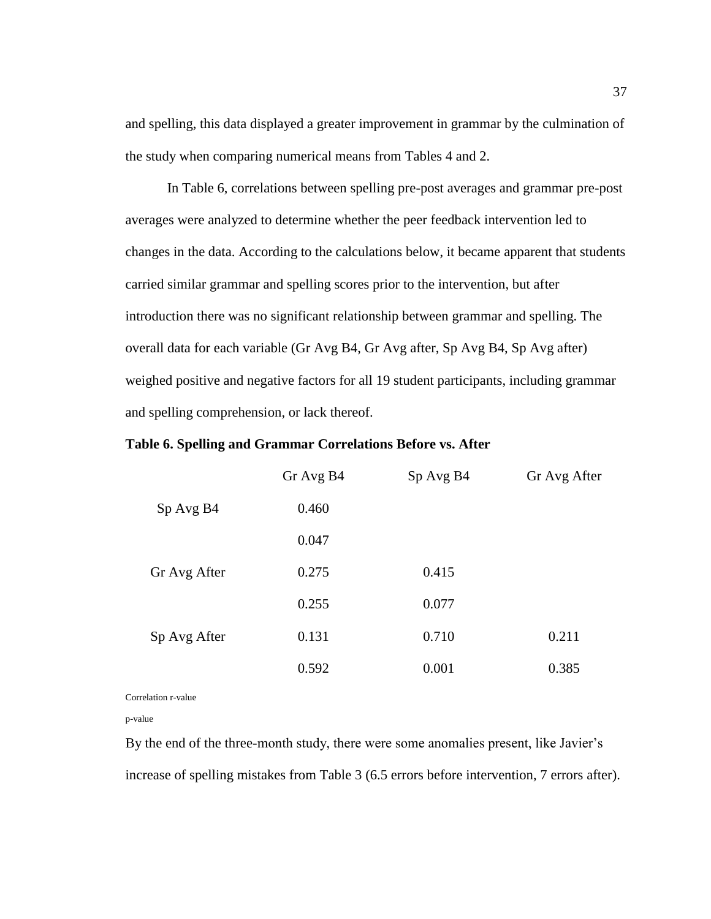and spelling, this data displayed a greater improvement in grammar by the culmination of the study when comparing numerical means from Tables 4 and 2.

In Table 6, correlations between spelling pre-post averages and grammar pre-post averages were analyzed to determine whether the peer feedback intervention led to changes in the data. According to the calculations below, it became apparent that students carried similar grammar and spelling scores prior to the intervention, but after introduction there was no significant relationship between grammar and spelling. The overall data for each variable (Gr Avg B4, Gr Avg after, Sp Avg B4, Sp Avg after) weighed positive and negative factors for all 19 student participants, including grammar and spelling comprehension, or lack thereof.

|  |  |  |  |  |  | Table 6. Spelling and Grammar Correlations Before vs. After |  |  |  |  |  |
|--|--|--|--|--|--|-------------------------------------------------------------|--|--|--|--|--|
|--|--|--|--|--|--|-------------------------------------------------------------|--|--|--|--|--|

|              | Gr Avg B4 | Sp Avg B4 | Gr Avg After |
|--------------|-----------|-----------|--------------|
| Sp Avg B4    | 0.460     |           |              |
|              | 0.047     |           |              |
| Gr Avg After | 0.275     | 0.415     |              |
|              | 0.255     | 0.077     |              |
| Sp Avg After | 0.131     | 0.710     | 0.211        |
|              | 0.592     | 0.001     | 0.385        |

Correlation r-value

p-value

By the end of the three-month study, there were some anomalies present, like Javier's increase of spelling mistakes from Table 3 (6.5 errors before intervention, 7 errors after).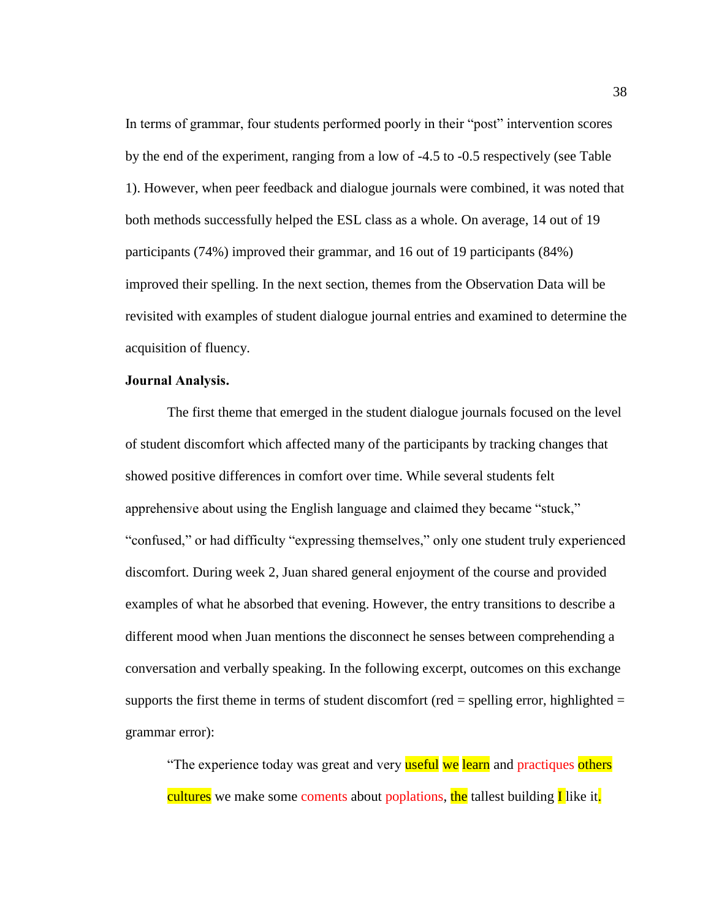In terms of grammar, four students performed poorly in their "post" intervention scores by the end of the experiment, ranging from a low of -4.5 to -0.5 respectively (see Table 1). However, when peer feedback and dialogue journals were combined, it was noted that both methods successfully helped the ESL class as a whole. On average, 14 out of 19 participants (74%) improved their grammar, and 16 out of 19 participants (84%) improved their spelling. In the next section, themes from the Observation Data will be revisited with examples of student dialogue journal entries and examined to determine the acquisition of fluency.

# **Journal Analysis.**

The first theme that emerged in the student dialogue journals focused on the level of student discomfort which affected many of the participants by tracking changes that showed positive differences in comfort over time. While several students felt apprehensive about using the English language and claimed they became "stuck," "confused," or had difficulty "expressing themselves," only one student truly experienced discomfort. During week 2, Juan shared general enjoyment of the course and provided examples of what he absorbed that evening. However, the entry transitions to describe a different mood when Juan mentions the disconnect he senses between comprehending a conversation and verbally speaking. In the following excerpt, outcomes on this exchange supports the first theme in terms of student discomfort (red  $=$  spelling error, highlighted  $=$ grammar error):

"The experience today was great and very useful we learn and practiques others cultures we make some coments about poplations, the tallest building **I** like it.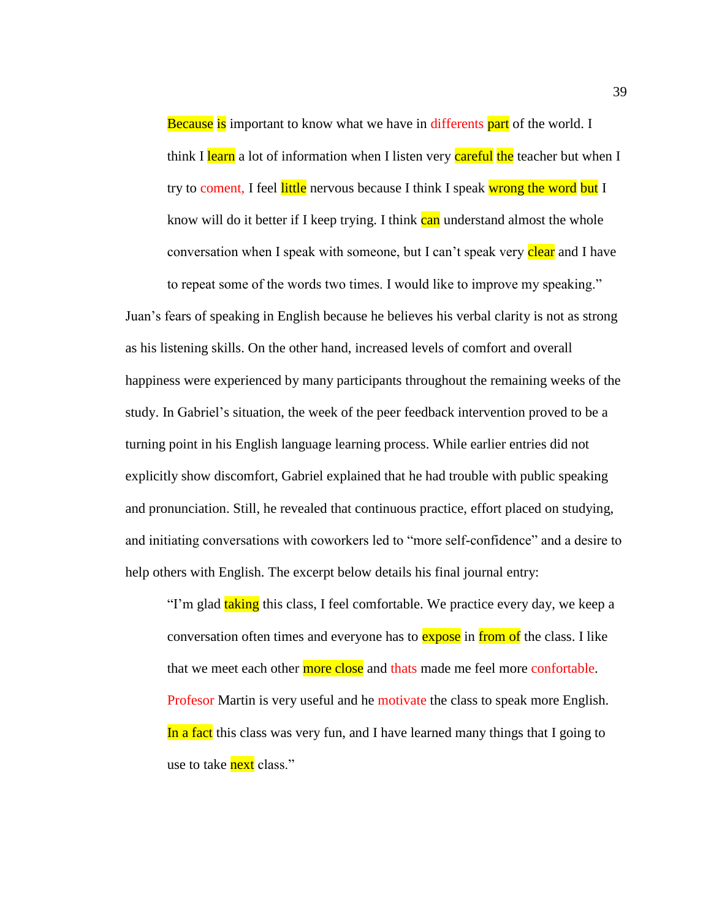Because is important to know what we have in differents part of the world. I think I learn a lot of information when I listen very careful the teacher but when I try to coment, I feel little nervous because I think I speak wrong the word but I know will do it better if I keep trying. I think can understand almost the whole conversation when I speak with someone, but I can't speak very clear and I have to repeat some of the words two times. I would like to improve my speaking."

Juan's fears of speaking in English because he believes his verbal clarity is not as strong as his listening skills. On the other hand, increased levels of comfort and overall happiness were experienced by many participants throughout the remaining weeks of the study. In Gabriel's situation, the week of the peer feedback intervention proved to be a turning point in his English language learning process. While earlier entries did not explicitly show discomfort, Gabriel explained that he had trouble with public speaking and pronunciation. Still, he revealed that continuous practice, effort placed on studying, and initiating conversations with coworkers led to "more self-confidence" and a desire to help others with English. The excerpt below details his final journal entry:

"I'm glad taking this class, I feel comfortable. We practice every day, we keep a conversation often times and everyone has to **expose** in from of the class. I like that we meet each other more close and thats made me feel more confortable. Profesor Martin is very useful and he motivate the class to speak more English. In a fact this class was very fun, and I have learned many things that I going to use to take **next** class."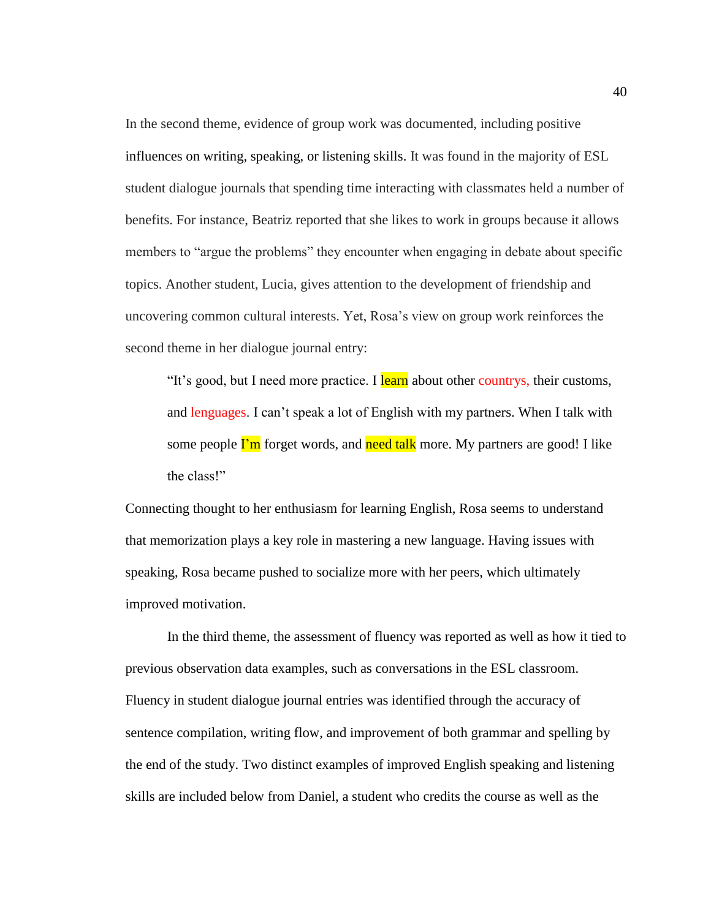In the second theme, evidence of group work was documented, including positive influences on writing, speaking, or listening skills. It was found in the majority of ESL student dialogue journals that spending time interacting with classmates held a number of benefits. For instance, Beatriz reported that she likes to work in groups because it allows members to "argue the problems" they encounter when engaging in debate about specific topics. Another student, Lucia, gives attention to the development of friendship and uncovering common cultural interests. Yet, Rosa's view on group work reinforces the second theme in her dialogue journal entry:

"It's good, but I need more practice. I learn about other countrys, their customs, and lenguages. I can't speak a lot of English with my partners. When I talk with some people *I'm* forget words, and need talk more. My partners are good! I like the class!"

Connecting thought to her enthusiasm for learning English, Rosa seems to understand that memorization plays a key role in mastering a new language. Having issues with speaking, Rosa became pushed to socialize more with her peers, which ultimately improved motivation.

In the third theme, the assessment of fluency was reported as well as how it tied to previous observation data examples, such as conversations in the ESL classroom. Fluency in student dialogue journal entries was identified through the accuracy of sentence compilation, writing flow, and improvement of both grammar and spelling by the end of the study. Two distinct examples of improved English speaking and listening skills are included below from Daniel, a student who credits the course as well as the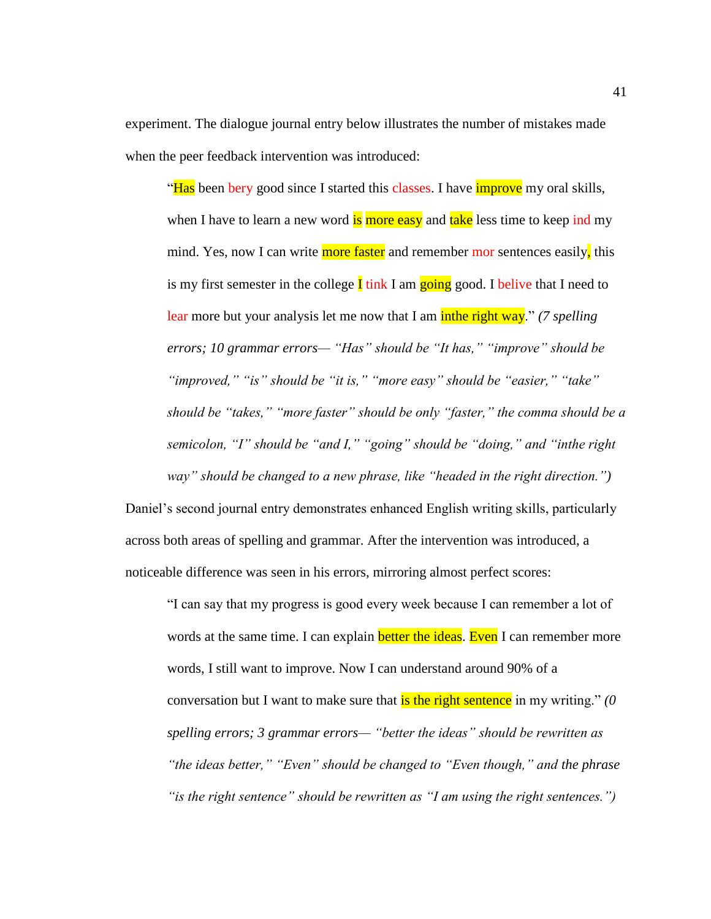experiment. The dialogue journal entry below illustrates the number of mistakes made when the peer feedback intervention was introduced:

"Has been bery good since I started this classes. I have *improve* my oral skills, when I have to learn a new word is more easy and take less time to keep ind my mind. Yes, now I can write more faster and remember mor sentences easily, this is my first semester in the college  $\mathbf I$  tink I am going good. I belive that I need to lear more but your analysis let me now that I am **inthe right way.**" *(7 spelling igures) errors; 10 grammar errors— "Has" should be "It has," "improve" should be "improved," "is" should be "it is," "more easy" should be "easier," "take" should be "takes," "more faster" should be only "faster," the comma should be a semicolon, "I" should be "and I," "going" should be "doing," and "inthe right way" should be changed to a new phrase, like "headed in the right direction.")*

Daniel's second journal entry demonstrates enhanced English writing skills, particularly across both areas of spelling and grammar. After the intervention was introduced, a noticeable difference was seen in his errors, mirroring almost perfect scores:

"I can say that my progress is good every week because I can remember a lot of words at the same time. I can explain **better the ideas**. Even I can remember more words, I still want to improve. Now I can understand around 90% of a conversation but I want to make sure that **is the right sentence** in my writing." *(0 spelling errors; 3 grammar errors— "better the ideas" should be rewritten as "the ideas better," "Even" should be changed to "Even though," and the phrase "is the right sentence" should be rewritten as "I am using the right sentences.")*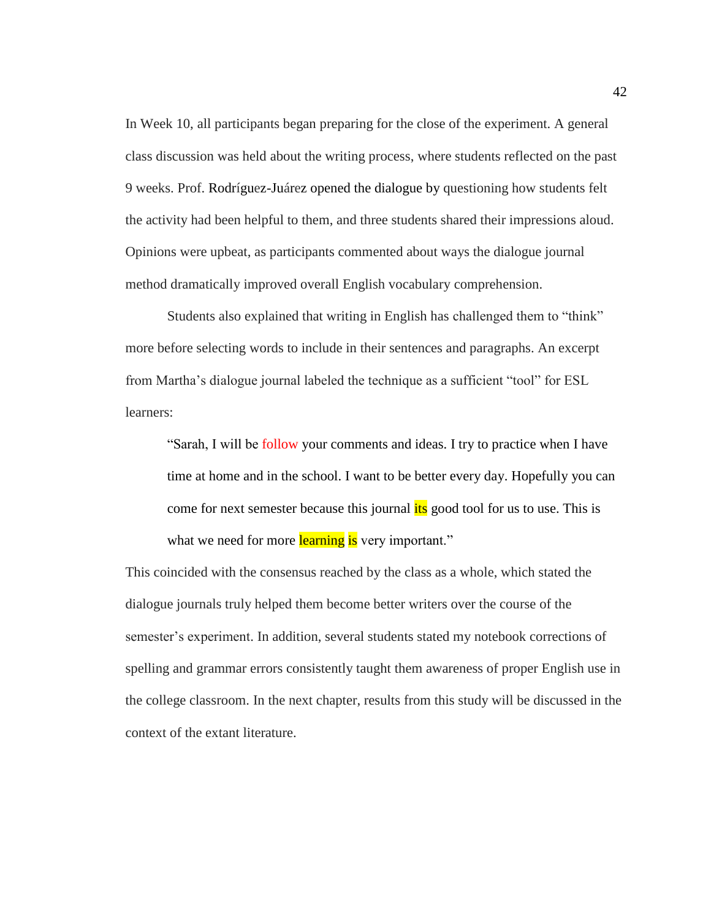In Week 10, all participants began preparing for the close of the experiment. A general class discussion was held about the writing process, where students reflected on the past 9 weeks. Prof. Rodríguez-Juárez opened the dialogue by questioning how students felt the activity had been helpful to them, and three students shared their impressions aloud. Opinions were upbeat, as participants commented about ways the dialogue journal method dramatically improved overall English vocabulary comprehension.

Students also explained that writing in English has challenged them to "think" more before selecting words to include in their sentences and paragraphs. An excerpt from Martha's dialogue journal labeled the technique as a sufficient "tool" for ESL learners:

"Sarah, I will be follow your comments and ideas. I try to practice when I have time at home and in the school. I want to be better every day. Hopefully you can come for next semester because this journal *its* good tool for us to use. This is what we need for more learning is very important."

This coincided with the consensus reached by the class as a whole, which stated the dialogue journals truly helped them become better writers over the course of the semester's experiment. In addition, several students stated my notebook corrections of spelling and grammar errors consistently taught them awareness of proper English use in the college classroom. In the next chapter, results from this study will be discussed in the context of the extant literature.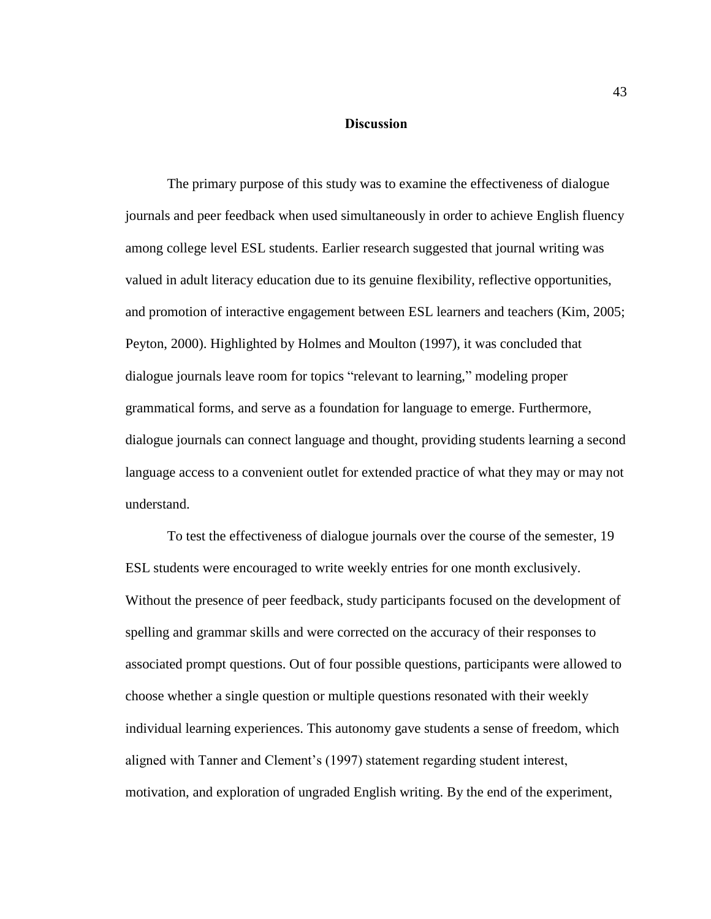# **Discussion**

The primary purpose of this study was to examine the effectiveness of dialogue journals and peer feedback when used simultaneously in order to achieve English fluency among college level ESL students. Earlier research suggested that journal writing was valued in adult literacy education due to its genuine flexibility, reflective opportunities, and promotion of interactive engagement between ESL learners and teachers (Kim, 2005; Peyton, 2000). Highlighted by Holmes and Moulton (1997), it was concluded that dialogue journals leave room for topics "relevant to learning," modeling proper grammatical forms, and serve as a foundation for language to emerge. Furthermore, dialogue journals can connect language and thought, providing students learning a second language access to a convenient outlet for extended practice of what they may or may not understand.

To test the effectiveness of dialogue journals over the course of the semester, 19 ESL students were encouraged to write weekly entries for one month exclusively. Without the presence of peer feedback, study participants focused on the development of spelling and grammar skills and were corrected on the accuracy of their responses to associated prompt questions. Out of four possible questions, participants were allowed to choose whether a single question or multiple questions resonated with their weekly individual learning experiences. This autonomy gave students a sense of freedom, which aligned with Tanner and Clement's (1997) statement regarding student interest, motivation, and exploration of ungraded English writing. By the end of the experiment,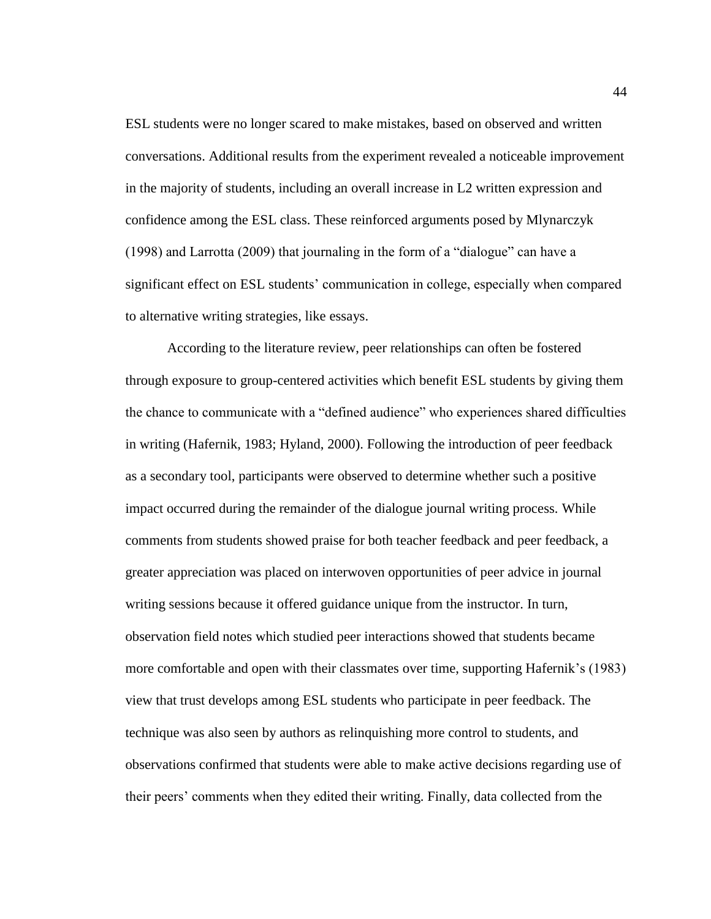ESL students were no longer scared to make mistakes, based on observed and written conversations. Additional results from the experiment revealed a noticeable improvement in the majority of students, including an overall increase in L2 written expression and confidence among the ESL class. These reinforced arguments posed by Mlynarczyk (1998) and Larrotta (2009) that journaling in the form of a "dialogue" can have a significant effect on ESL students' communication in college, especially when compared to alternative writing strategies, like essays.

According to the literature review, peer relationships can often be fostered through exposure to group-centered activities which benefit ESL students by giving them the chance to communicate with a "defined audience" who experiences shared difficulties in writing (Hafernik, 1983; Hyland, 2000). Following the introduction of peer feedback as a secondary tool, participants were observed to determine whether such a positive impact occurred during the remainder of the dialogue journal writing process. While comments from students showed praise for both teacher feedback and peer feedback, a greater appreciation was placed on interwoven opportunities of peer advice in journal writing sessions because it offered guidance unique from the instructor. In turn, observation field notes which studied peer interactions showed that students became more comfortable and open with their classmates over time, supporting Hafernik's (1983) view that trust develops among ESL students who participate in peer feedback. The technique was also seen by authors as relinquishing more control to students, and observations confirmed that students were able to make active decisions regarding use of their peers' comments when they edited their writing. Finally, data collected from the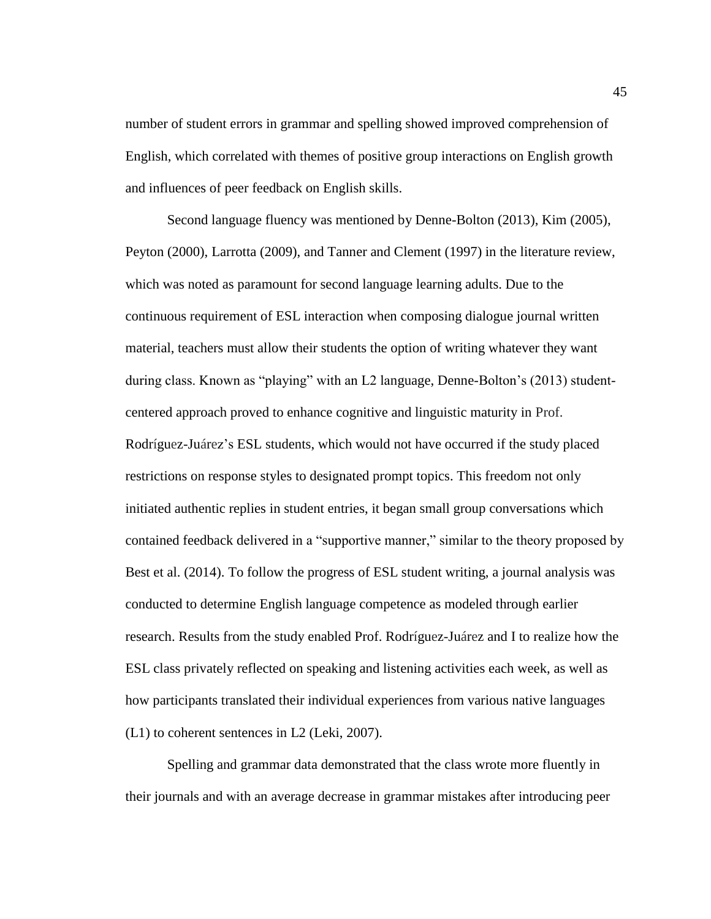number of student errors in grammar and spelling showed improved comprehension of English, which correlated with themes of positive group interactions on English growth and influences of peer feedback on English skills.

Second language fluency was mentioned by Denne-Bolton (2013), Kim (2005), Peyton (2000), Larrotta (2009), and Tanner and Clement (1997) in the literature review, which was noted as paramount for second language learning adults. Due to the continuous requirement of ESL interaction when composing dialogue journal written material, teachers must allow their students the option of writing whatever they want during class. Known as "playing" with an L2 language, Denne-Bolton's (2013) studentcentered approach proved to enhance cognitive and linguistic maturity in Prof. Rodríguez-Juárez's ESL students, which would not have occurred if the study placed restrictions on response styles to designated prompt topics. This freedom not only initiated authentic replies in student entries, it began small group conversations which contained feedback delivered in a "supportive manner," similar to the theory proposed by Best et al. (2014). To follow the progress of ESL student writing, a journal analysis was conducted to determine English language competence as modeled through earlier research. Results from the study enabled Prof. Rodríguez-Juárez and I to realize how the ESL class privately reflected on speaking and listening activities each week, as well as how participants translated their individual experiences from various native languages (L1) to coherent sentences in L2 (Leki, 2007).

Spelling and grammar data demonstrated that the class wrote more fluently in their journals and with an average decrease in grammar mistakes after introducing peer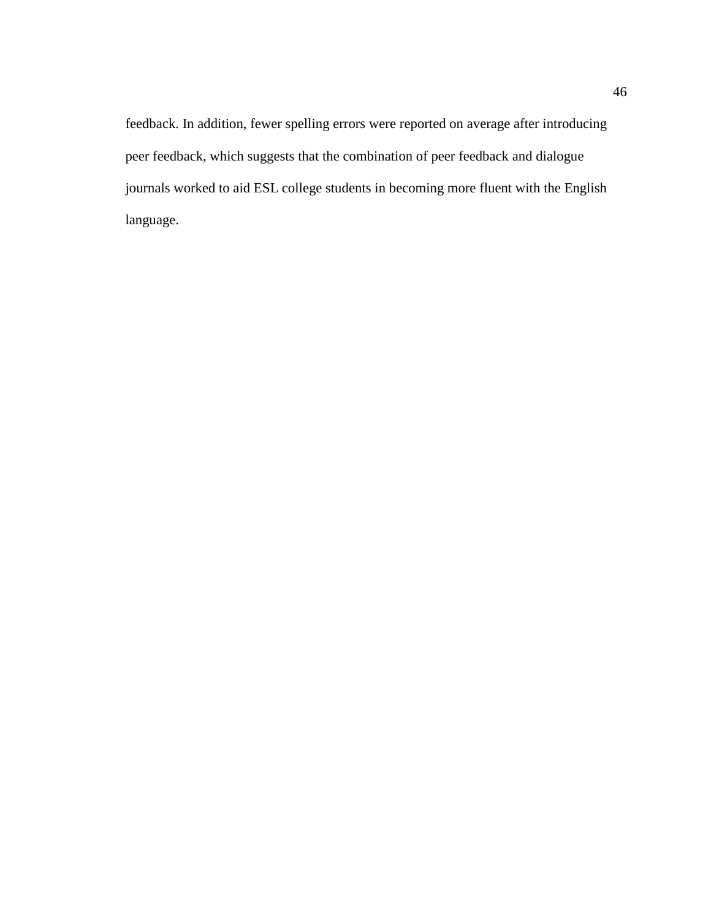feedback. In addition, fewer spelling errors were reported on average after introducing peer feedback, which suggests that the combination of peer feedback and dialogue journals worked to aid ESL college students in becoming more fluent with the English language.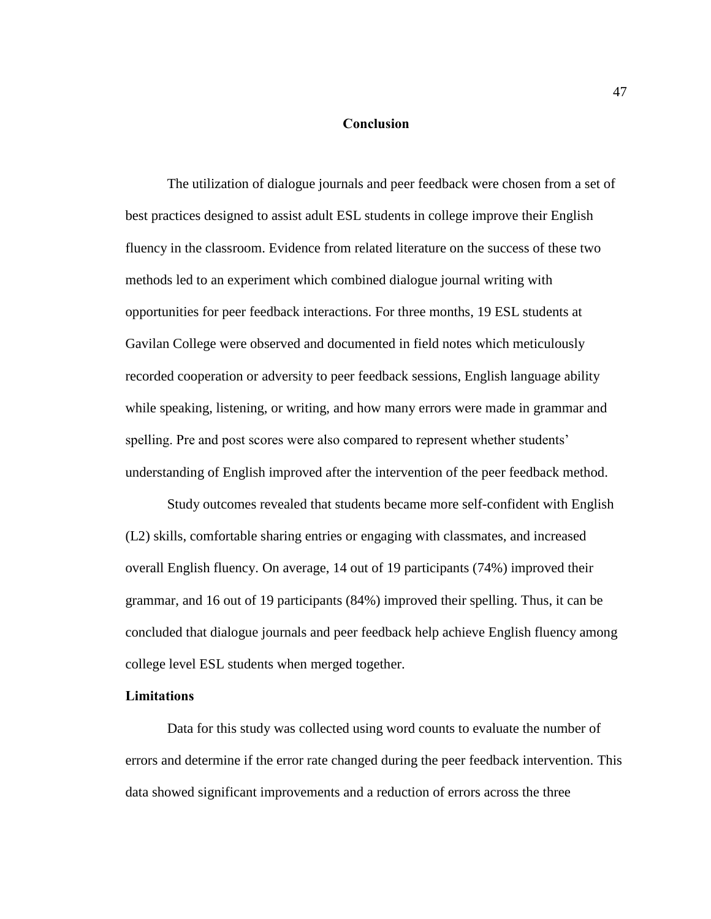### **Conclusion**

The utilization of dialogue journals and peer feedback were chosen from a set of best practices designed to assist adult ESL students in college improve their English fluency in the classroom. Evidence from related literature on the success of these two methods led to an experiment which combined dialogue journal writing with opportunities for peer feedback interactions. For three months, 19 ESL students at Gavilan College were observed and documented in field notes which meticulously recorded cooperation or adversity to peer feedback sessions, English language ability while speaking, listening, or writing, and how many errors were made in grammar and spelling. Pre and post scores were also compared to represent whether students' understanding of English improved after the intervention of the peer feedback method.

Study outcomes revealed that students became more self-confident with English (L2) skills, comfortable sharing entries or engaging with classmates, and increased overall English fluency. On average, 14 out of 19 participants (74%) improved their grammar, and 16 out of 19 participants (84%) improved their spelling. Thus, it can be concluded that dialogue journals and peer feedback help achieve English fluency among college level ESL students when merged together.

# **Limitations**

Data for this study was collected using word counts to evaluate the number of errors and determine if the error rate changed during the peer feedback intervention. This data showed significant improvements and a reduction of errors across the three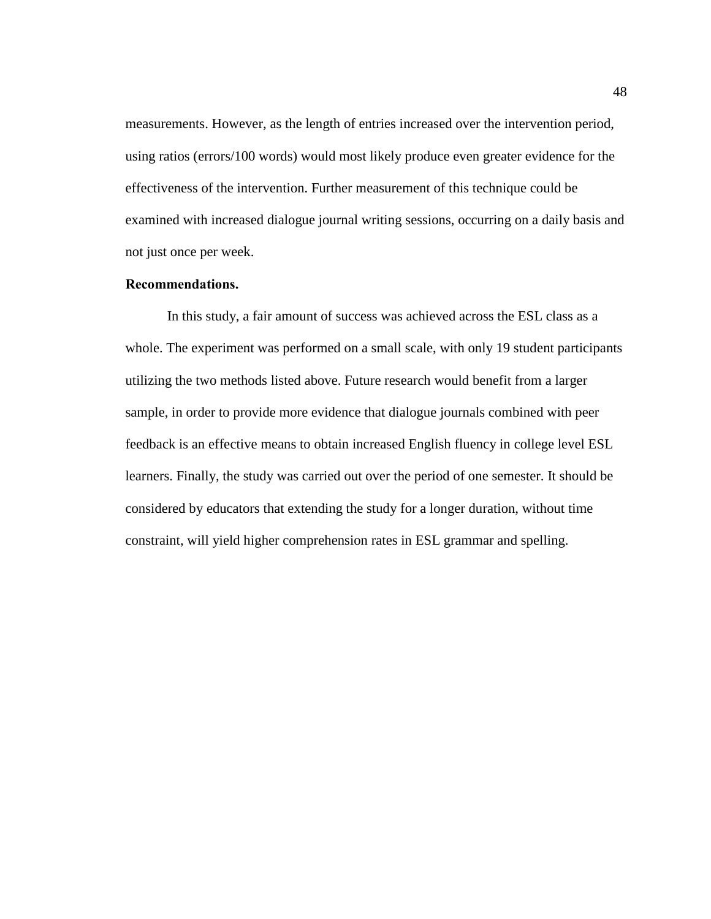measurements. However, as the length of entries increased over the intervention period, using ratios (errors/100 words) would most likely produce even greater evidence for the effectiveness of the intervention. Further measurement of this technique could be examined with increased dialogue journal writing sessions, occurring on a daily basis and not just once per week.

# **Recommendations.**

In this study, a fair amount of success was achieved across the ESL class as a whole. The experiment was performed on a small scale, with only 19 student participants utilizing the two methods listed above. Future research would benefit from a larger sample, in order to provide more evidence that dialogue journals combined with peer feedback is an effective means to obtain increased English fluency in college level ESL learners. Finally, the study was carried out over the period of one semester. It should be considered by educators that extending the study for a longer duration, without time constraint, will yield higher comprehension rates in ESL grammar and spelling.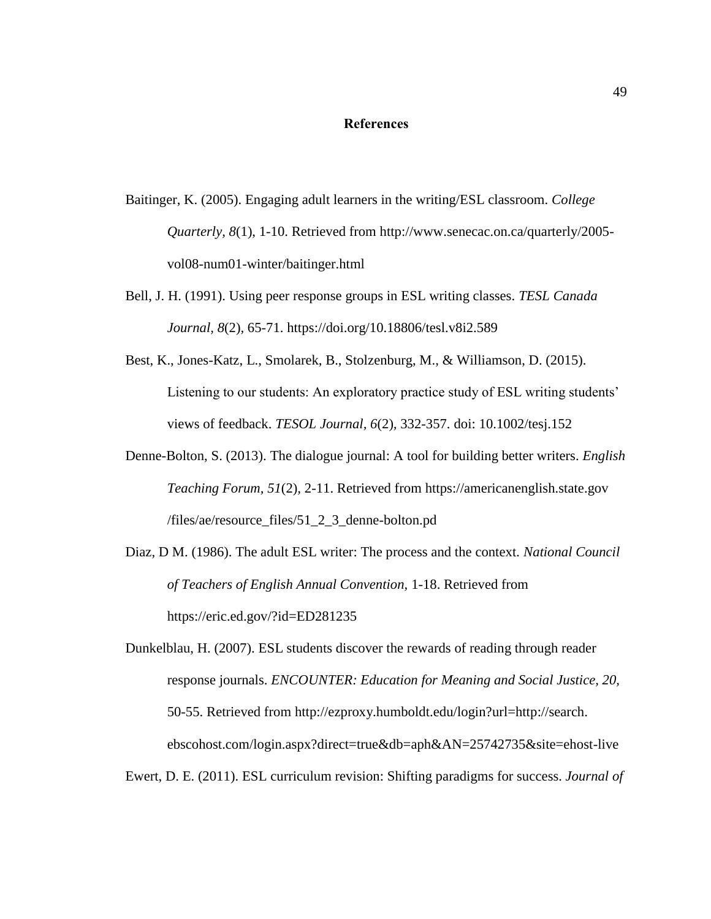### **References**

- Baitinger, K. (2005). Engaging adult learners in the writing/ESL classroom. *College Quarterly, 8*(1), 1-10. Retrieved from http://www.senecac.on.ca/quarterly/2005 vol08-num01-winter/baitinger.html
- Bell, J. H. (1991). Using peer response groups in ESL writing classes. *TESL Canada Journal, 8*(2)*,* 65-71. https://doi.org/10.18806/tesl.v8i2.589
- Best, K., Jones-Katz, L., Smolarek, B., Stolzenburg, M., & Williamson, D. (2015). Listening to our students: An exploratory practice study of ESL writing students' views of feedback. *TESOL Journal, 6*(2)*,* 332-357. doi: 10.1002/tesj.152
- Denne-Bolton, S. (2013). The dialogue journal: A tool for building better writers. *English Teaching Forum, 51*(2)*,* 2-11. Retrieved from https://americanenglish.state.gov /files/ae/resource\_files/51\_2\_3\_denne-bolton.pd
- Diaz, D M. (1986). The adult ESL writer: The process and the context*. National Council of Teachers of English Annual Convention,* 1-18. Retrieved from https://eric.ed.gov/?id=ED281235

Dunkelblau, H. (2007). ESL students discover the rewards of reading through reader response journals. *ENCOUNTER: Education for Meaning and Social Justice, 20,*  50-55. Retrieved from http://ezproxy.humboldt.edu/login?url=http://search. ebscohost.com/login.aspx?direct=true&db=aph&AN=25742735&site=ehost-live

Ewert, D. E. (2011). ESL curriculum revision: Shifting paradigms for success. *Journal of*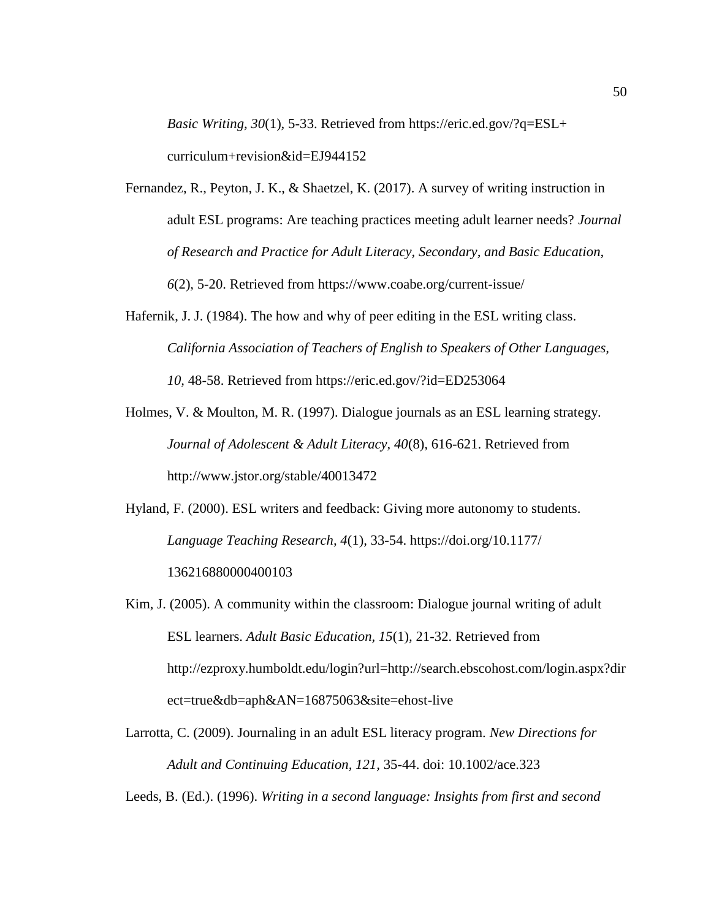*Basic Writing, 30*(1)*,* 5-33. Retrieved from https://eric.ed.gov/?q=ESL+ curriculum+revision&id=EJ944152

- Fernandez, R., Peyton, J. K., & Shaetzel, K. (2017). A survey of writing instruction in adult ESL programs: Are teaching practices meeting adult learner needs? *Journal of Research and Practice for Adult Literacy, Secondary, and Basic Education, 6*(2)*,* 5-20. Retrieved from https://www.coabe.org/current-issue/
- Hafernik, J. J. (1984). The how and why of peer editing in the ESL writing class. *California Association of Teachers of English to Speakers of Other Languages, 10,* 48-58. Retrieved from https://eric.ed.gov/?id=ED253064
- Holmes, V. & Moulton, M. R. (1997). Dialogue journals as an ESL learning strategy. *Journal of Adolescent & Adult Literacy, 40*(8)*,* 616-621. Retrieved from http://www.jstor.org/stable/40013472
- Hyland, F. (2000). ESL writers and feedback: Giving more autonomy to students. *Language Teaching Research, 4*(1)*,* 33-54. https://doi.org/10.1177/ 136216880000400103
- Kim, J. (2005). A community within the classroom: Dialogue journal writing of adult ESL learners. *Adult Basic Education, 15*(1)*,* 21-32. Retrieved from http://ezproxy.humboldt.edu/login?url=http://search.ebscohost.com/login.aspx?dir ect=true&db=aph&AN=16875063&site=ehost-live
- Larrotta, C. (2009). Journaling in an adult ESL literacy program. *New Directions for Adult and Continuing Education, 121,* 35-44. doi: 10.1002/ace.323

Leeds, B. (Ed.). (1996). *Writing in a second language: Insights from first and second*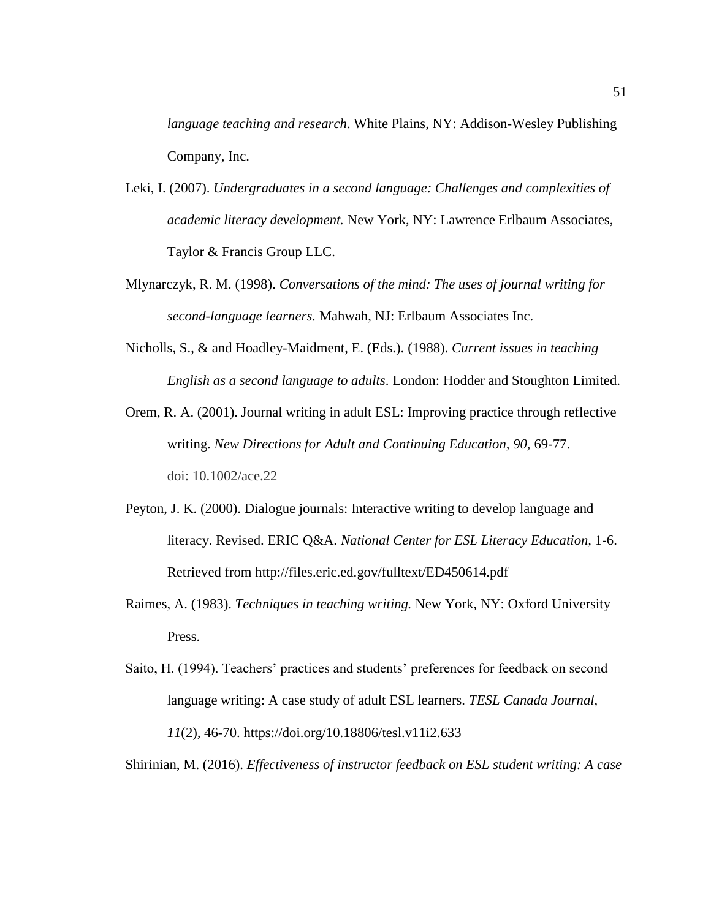*language teaching and research*. White Plains, NY: Addison-Wesley Publishing Company, Inc.

- Leki, I. (2007). *Undergraduates in a second language: Challenges and complexities of academic literacy development.* New York, NY: Lawrence Erlbaum Associates, Taylor & Francis Group LLC.
- Mlynarczyk, R. M. (1998). *Conversations of the mind: The uses of journal writing for second-language learners.* Mahwah, NJ: Erlbaum Associates Inc.
- Nicholls, S., & and Hoadley-Maidment, E. (Eds.). (1988). *Current issues in teaching English as a second language to adults*. London: Hodder and Stoughton Limited.
- Orem, R. A. (2001). Journal writing in adult ESL: Improving practice through reflective writing. *New Directions for Adult and Continuing Education, 90,* 69-77. doi: 10.1002/ace.22
- Peyton, J. K. (2000). Dialogue journals: Interactive writing to develop language and literacy. Revised. ERIC Q&A. *National Center for ESL Literacy Education,* 1-6. Retrieved from http://files.eric.ed.gov/fulltext/ED450614.pdf
- Raimes, A. (1983). *Techniques in teaching writing.* New York, NY: Oxford University Press.
- Saito, H. (1994). Teachers' practices and students' preferences for feedback on second language writing: A case study of adult ESL learners. *TESL Canada Journal, 11*(2)*,* 46-70. https://doi.org/10.18806/tesl.v11i2.633

Shirinian, M. (2016). *Effectiveness of instructor feedback on ESL student writing: A case*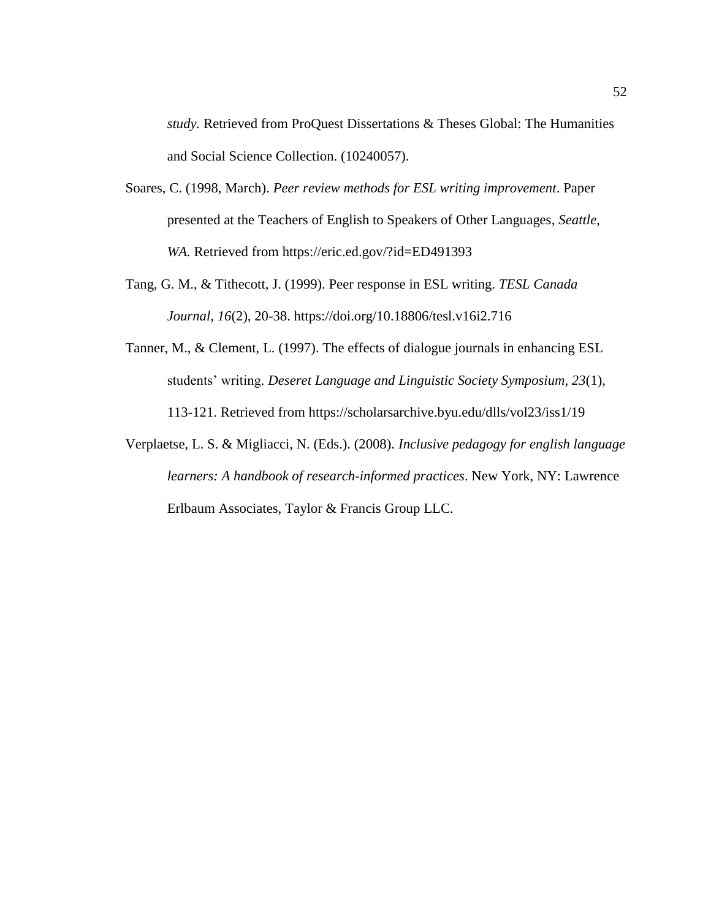*study.* Retrieved from ProQuest Dissertations & Theses Global: The Humanities and Social Science Collection. (10240057).

- Soares, C. (1998, March). *Peer review methods for ESL writing improvement*. Paper presented at the Teachers of English to Speakers of Other Languages*, Seattle,*  WA. Retrieved from https://eric.ed.gov/?id=ED491393
- Tang, G. M., & Tithecott, J. (1999). Peer response in ESL writing. *TESL Canada Journal, 16*(2)*,* 20-38. https://doi.org/10.18806/tesl.v16i2.716
- Tanner, M., & Clement, L. (1997). The effects of dialogue journals in enhancing ESL students' writing. *Deseret Language and Linguistic Society Symposium, 23*(1)*,*  113-121. Retrieved from https://scholarsarchive.byu.edu/dlls/vol23/iss1/19
- Verplaetse, L. S. & Migliacci, N. (Eds.). (2008). *Inclusive pedagogy for english language learners: A handbook of research-informed practices*. New York, NY: Lawrence Erlbaum Associates, Taylor & Francis Group LLC.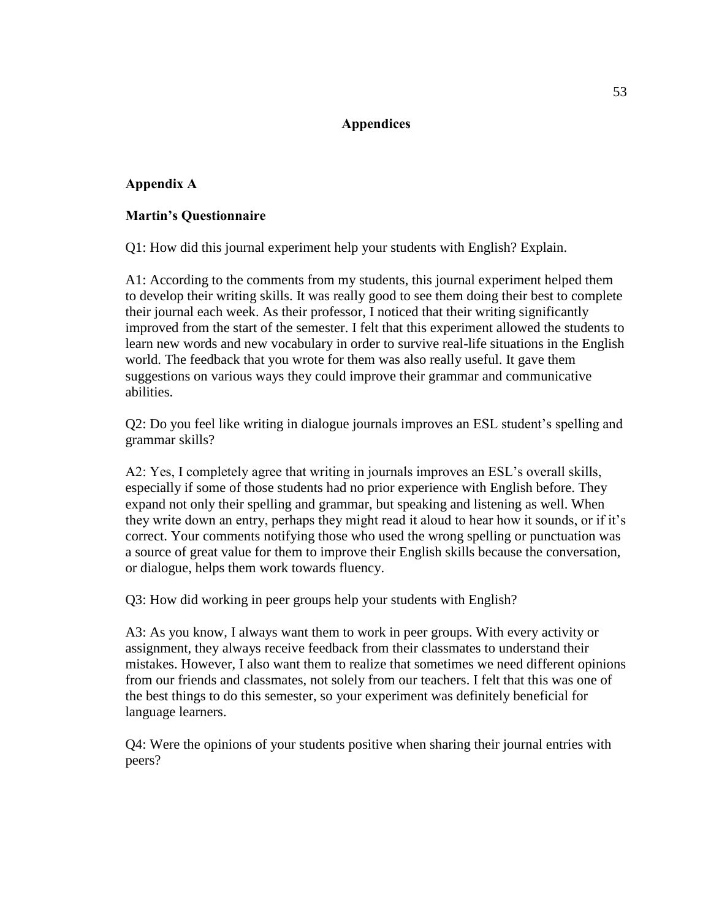# **Appendices**

# **Appendix A**

# **Martin's Questionnaire**

Q1: How did this journal experiment help your students with English? Explain.

A1: According to the comments from my students, this journal experiment helped them to develop their writing skills. It was really good to see them doing their best to complete their journal each week. As their professor, I noticed that their writing significantly improved from the start of the semester. I felt that this experiment allowed the students to learn new words and new vocabulary in order to survive real-life situations in the English world. The feedback that you wrote for them was also really useful. It gave them suggestions on various ways they could improve their grammar and communicative abilities.

Q2: Do you feel like writing in dialogue journals improves an ESL student's spelling and grammar skills?

A2: Yes, I completely agree that writing in journals improves an ESL's overall skills, especially if some of those students had no prior experience with English before. They expand not only their spelling and grammar, but speaking and listening as well. When they write down an entry, perhaps they might read it aloud to hear how it sounds, or if it's correct. Your comments notifying those who used the wrong spelling or punctuation was a source of great value for them to improve their English skills because the conversation, or dialogue, helps them work towards fluency.

Q3: How did working in peer groups help your students with English?

A3: As you know, I always want them to work in peer groups. With every activity or assignment, they always receive feedback from their classmates to understand their mistakes. However, I also want them to realize that sometimes we need different opinions from our friends and classmates, not solely from our teachers. I felt that this was one of the best things to do this semester, so your experiment was definitely beneficial for language learners.

Q4: Were the opinions of your students positive when sharing their journal entries with peers?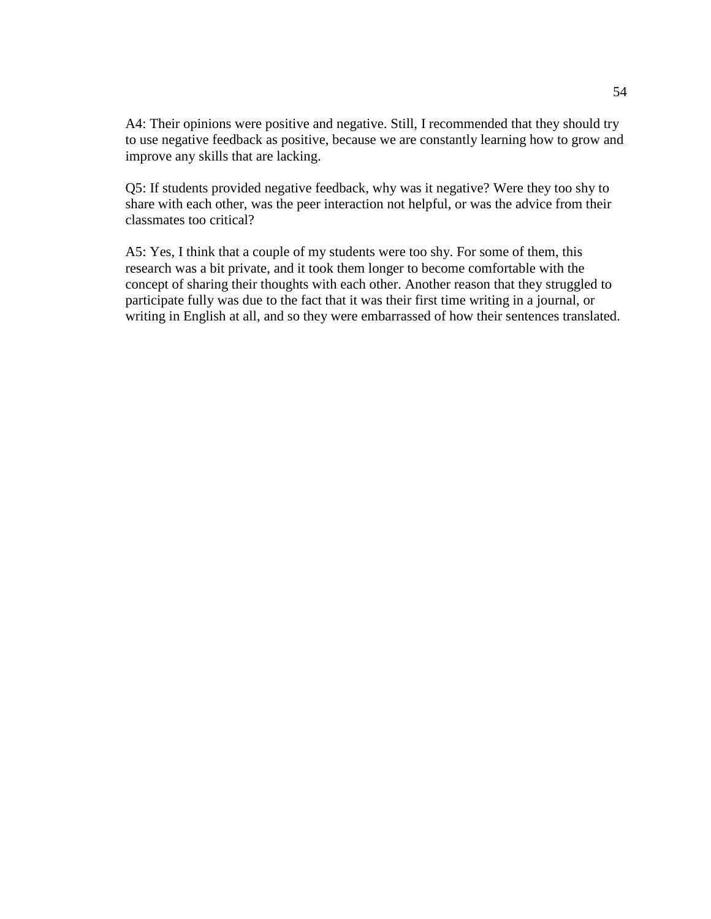A4: Their opinions were positive and negative. Still, I recommended that they should try to use negative feedback as positive, because we are constantly learning how to grow and improve any skills that are lacking.

Q5: If students provided negative feedback, why was it negative? Were they too shy to share with each other, was the peer interaction not helpful, or was the advice from their classmates too critical?

A5: Yes, I think that a couple of my students were too shy. For some of them, this research was a bit private, and it took them longer to become comfortable with the concept of sharing their thoughts with each other. Another reason that they struggled to participate fully was due to the fact that it was their first time writing in a journal, or writing in English at all, and so they were embarrassed of how their sentences translated.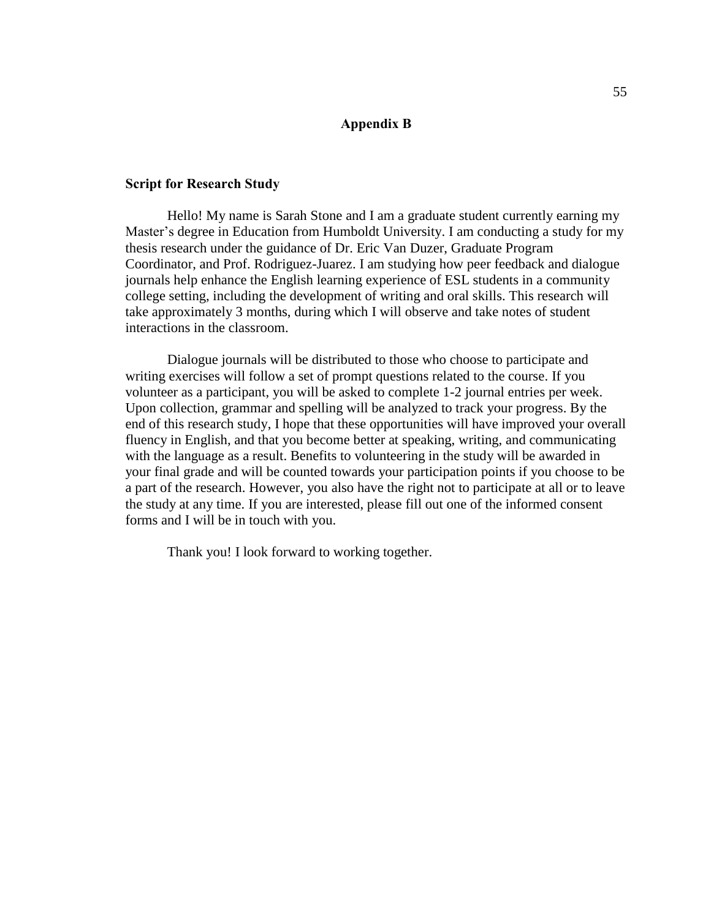# **Appendix B**

### **Script for Research Study**

Hello! My name is Sarah Stone and I am a graduate student currently earning my Master's degree in Education from Humboldt University. I am conducting a study for my thesis research under the guidance of Dr. Eric Van Duzer, Graduate Program Coordinator, and Prof. Rodriguez-Juarez. I am studying how peer feedback and dialogue journals help enhance the English learning experience of ESL students in a community college setting, including the development of writing and oral skills. This research will take approximately 3 months, during which I will observe and take notes of student interactions in the classroom.

Dialogue journals will be distributed to those who choose to participate and writing exercises will follow a set of prompt questions related to the course. If you volunteer as a participant, you will be asked to complete 1-2 journal entries per week. Upon collection, grammar and spelling will be analyzed to track your progress. By the end of this research study, I hope that these opportunities will have improved your overall fluency in English, and that you become better at speaking, writing, and communicating with the language as a result. Benefits to volunteering in the study will be awarded in your final grade and will be counted towards your participation points if you choose to be a part of the research. However, you also have the right not to participate at all or to leave the study at any time. If you are interested, please fill out one of the informed consent forms and I will be in touch with you.

Thank you! I look forward to working together.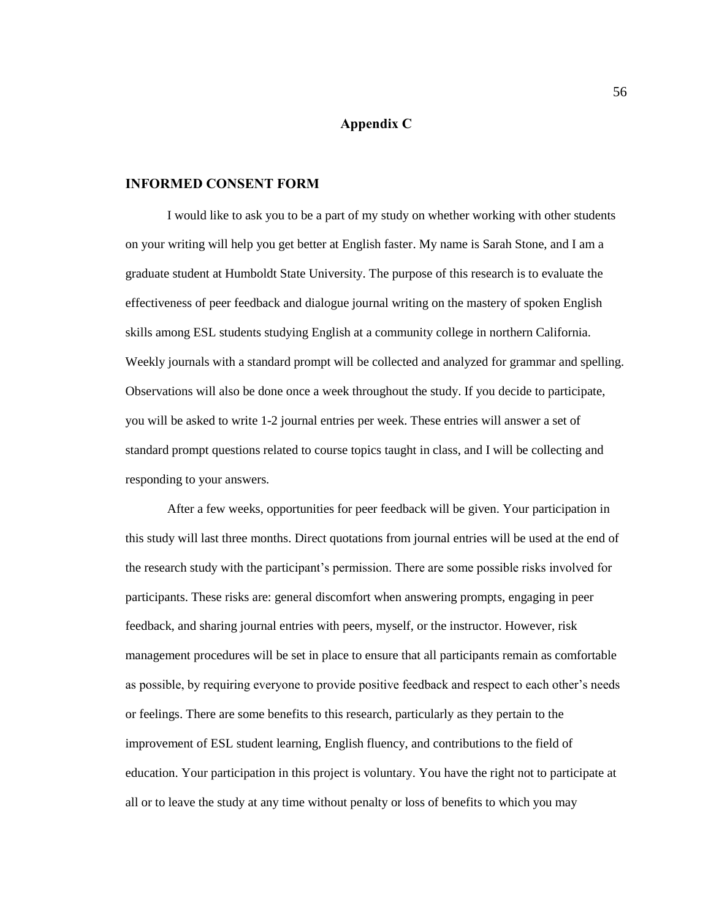# **Appendix C**

### **INFORMED CONSENT FORM**

I would like to ask you to be a part of my study on whether working with other students on your writing will help you get better at English faster. My name is Sarah Stone, and I am a graduate student at Humboldt State University. The purpose of this research is to evaluate the effectiveness of peer feedback and dialogue journal writing on the mastery of spoken English skills among ESL students studying English at a community college in northern California. Weekly journals with a standard prompt will be collected and analyzed for grammar and spelling. Observations will also be done once a week throughout the study. If you decide to participate, you will be asked to write 1-2 journal entries per week. These entries will answer a set of standard prompt questions related to course topics taught in class, and I will be collecting and responding to your answers.

After a few weeks, opportunities for peer feedback will be given. Your participation in this study will last three months. Direct quotations from journal entries will be used at the end of the research study with the participant's permission. There are some possible risks involved for participants. These risks are: general discomfort when answering prompts, engaging in peer feedback, and sharing journal entries with peers, myself, or the instructor. However, risk management procedures will be set in place to ensure that all participants remain as comfortable as possible, by requiring everyone to provide positive feedback and respect to each other's needs or feelings. There are some benefits to this research, particularly as they pertain to the improvement of ESL student learning, English fluency, and contributions to the field of education. Your participation in this project is voluntary. You have the right not to participate at all or to leave the study at any time without penalty or loss of benefits to which you may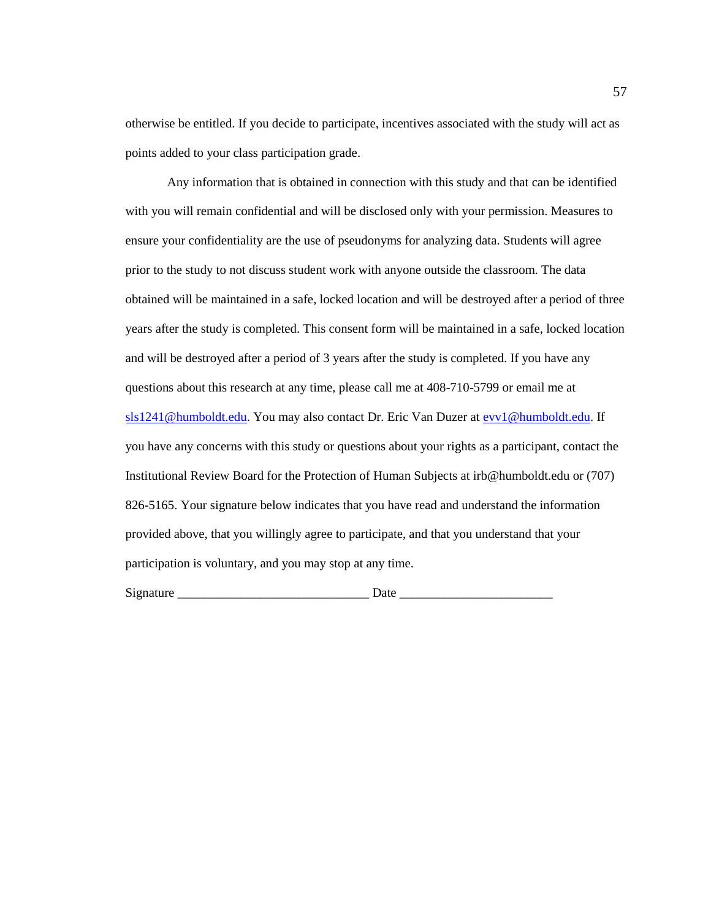otherwise be entitled. If you decide to participate, incentives associated with the study will act as points added to your class participation grade.

Any information that is obtained in connection with this study and that can be identified with you will remain confidential and will be disclosed only with your permission. Measures to ensure your confidentiality are the use of pseudonyms for analyzing data. Students will agree prior to the study to not discuss student work with anyone outside the classroom. The data obtained will be maintained in a safe, locked location and will be destroyed after a period of three years after the study is completed. This consent form will be maintained in a safe, locked location and will be destroyed after a period of 3 years after the study is completed. If you have any questions about this research at any time, please call me at 408-710-5799 or email me at [sls1241@humboldt.edu.](mailto:sls1241@humboldt.edu) You may also contact Dr. Eric Van Duzer at [evv1@humboldt.edu.](mailto:evv1@humboldt.edu) If you have any concerns with this study or questions about your rights as a participant, contact the Institutional Review Board for the Protection of Human Subjects at irb@humboldt.edu or (707) 826-5165. Your signature below indicates that you have read and understand the information provided above, that you willingly agree to participate, and that you understand that your participation is voluntary, and you may stop at any time.

Signature \_\_\_\_\_\_\_\_\_\_\_\_\_\_\_\_\_\_\_\_\_\_\_\_\_\_\_\_\_\_ Date \_\_\_\_\_\_\_\_\_\_\_\_\_\_\_\_\_\_\_\_\_\_\_\_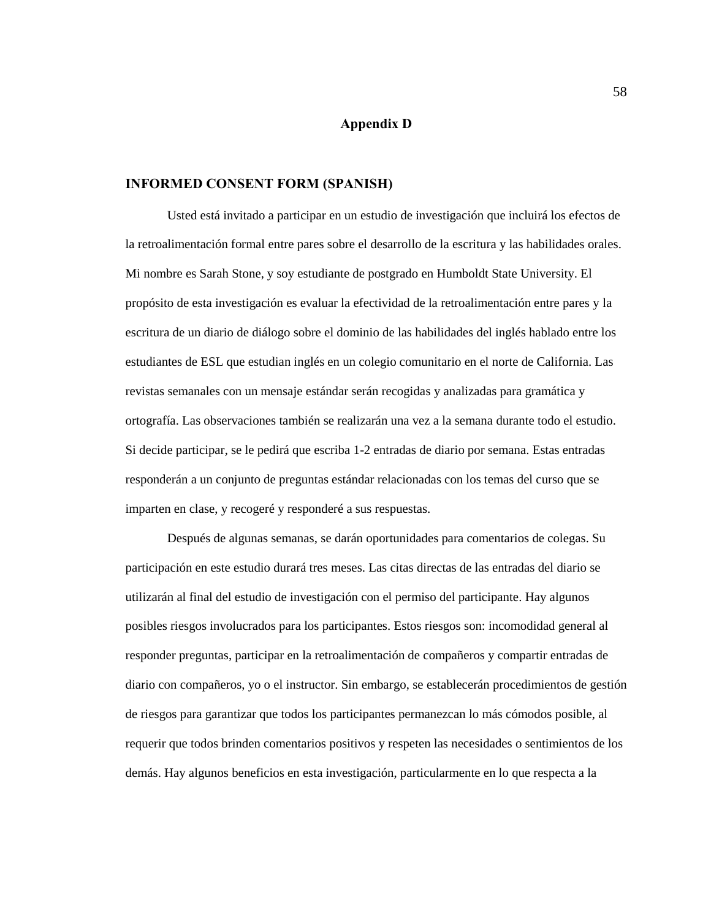# **Appendix D**

#### **INFORMED CONSENT FORM (SPANISH)**

Usted está invitado a participar en un estudio de investigación que incluirá los efectos de la retroalimentación formal entre pares sobre el desarrollo de la escritura y las habilidades orales. Mi nombre es Sarah Stone, y soy estudiante de postgrado en Humboldt State University. El propósito de esta investigación es evaluar la efectividad de la retroalimentación entre pares y la escritura de un diario de diálogo sobre el dominio de las habilidades del inglés hablado entre los estudiantes de ESL que estudian inglés en un colegio comunitario en el norte de California. Las revistas semanales con un mensaje estándar serán recogidas y analizadas para gramática y ortografía. Las observaciones también se realizarán una vez a la semana durante todo el estudio. Si decide participar, se le pedirá que escriba 1-2 entradas de diario por semana. Estas entradas responderán a un conjunto de preguntas estándar relacionadas con los temas del curso que se imparten en clase, y recogeré y responderé a sus respuestas.

Después de algunas semanas, se darán oportunidades para comentarios de colegas. Su participación en este estudio durará tres meses. Las citas directas de las entradas del diario se utilizarán al final del estudio de investigación con el permiso del participante. Hay algunos posibles riesgos involucrados para los participantes. Estos riesgos son: incomodidad general al responder preguntas, participar en la retroalimentación de compañeros y compartir entradas de diario con compañeros, yo o el instructor. Sin embargo, se establecerán procedimientos de gestión de riesgos para garantizar que todos los participantes permanezcan lo más cómodos posible, al requerir que todos brinden comentarios positivos y respeten las necesidades o sentimientos de los demás. Hay algunos beneficios en esta investigación, particularmente en lo que respecta a la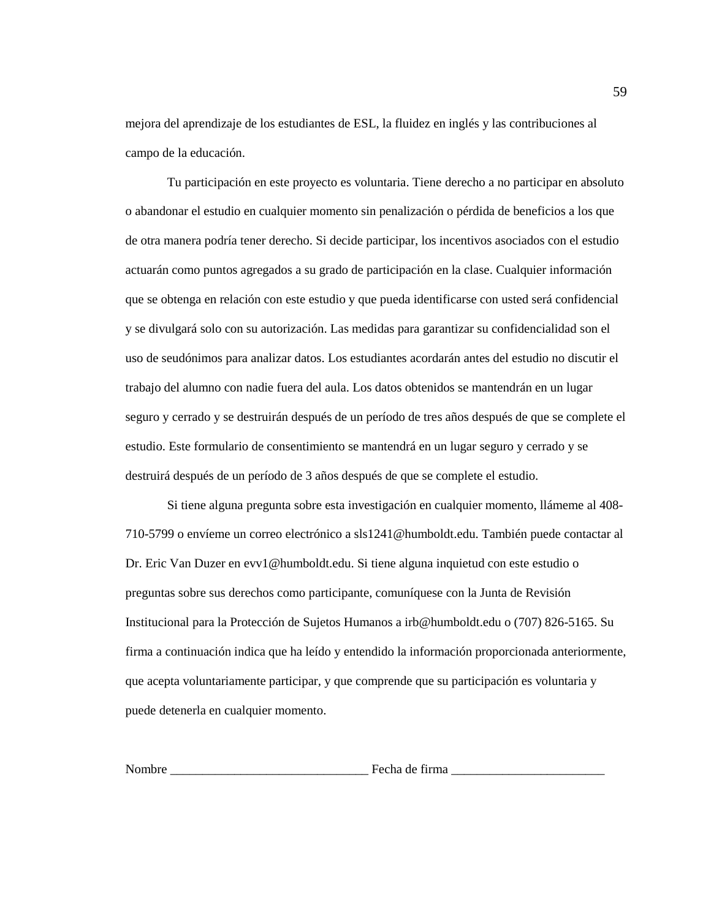mejora del aprendizaje de los estudiantes de ESL, la fluidez en inglés y las contribuciones al campo de la educación.

Tu participación en este proyecto es voluntaria. Tiene derecho a no participar en absoluto o abandonar el estudio en cualquier momento sin penalización o pérdida de beneficios a los que de otra manera podría tener derecho. Si decide participar, los incentivos asociados con el estudio actuarán como puntos agregados a su grado de participación en la clase. Cualquier información que se obtenga en relación con este estudio y que pueda identificarse con usted será confidencial y se divulgará solo con su autorización. Las medidas para garantizar su confidencialidad son el uso de seudónimos para analizar datos. Los estudiantes acordarán antes del estudio no discutir el trabajo del alumno con nadie fuera del aula. Los datos obtenidos se mantendrán en un lugar seguro y cerrado y se destruirán después de un período de tres años después de que se complete el estudio. Este formulario de consentimiento se mantendrá en un lugar seguro y cerrado y se destruirá después de un período de 3 años después de que se complete el estudio.

Si tiene alguna pregunta sobre esta investigación en cualquier momento, llámeme al 408- 710-5799 o envíeme un correo electrónico a sls1241@humboldt.edu. También puede contactar al Dr. Eric Van Duzer en evv1@humboldt.edu. Si tiene alguna inquietud con este estudio o preguntas sobre sus derechos como participante, comuníquese con la Junta de Revisión Institucional para la Protección de Sujetos Humanos a irb@humboldt.edu o (707) 826-5165. Su firma a continuación indica que ha leído y entendido la información proporcionada anteriormente, que acepta voluntariamente participar, y que comprende que su participación es voluntaria y puede detenerla en cualquier momento.

Nombre entre electronic entre electronic electronic electronic electronic electronic electronic electronic ele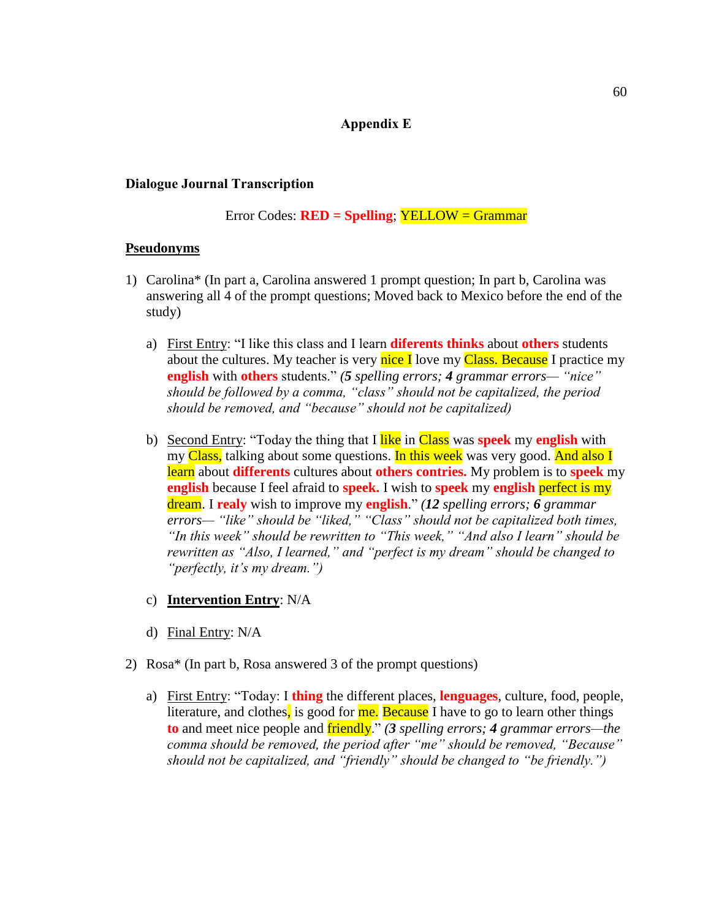# **Appendix E**

## **Dialogue Journal Transcription**

Error Codes: **RED = Spelling**; YELLOW = Grammar

# **Pseudonyms**

- 1) Carolina\* (In part a, Carolina answered 1 prompt question; In part b, Carolina was answering all 4 of the prompt questions; Moved back to Mexico before the end of the study)
	- a) First Entry: "I like this class and I learn **diferents thinks** about **others** students about the cultures. My teacher is very nice I love my Class. Because I practice my **english** with **others** students." *(5 spelling errors; 4 grammar errors— "nice" should be followed by a comma, "class" should not be capitalized, the period should be removed, and "because" should not be capitalized)*
	- b) Second Entry: "Today the thing that I like in Class was **speek** my **english** with my Class, talking about some questions. In this week was very good. And also I learn about **differents** cultures about **others contries.** My problem is to **speek** my **english** because I feel afraid to **speek.** I wish to **speek** my **english** perfect is my dream. I **realy** wish to improve my **english**." *(12 spelling errors; 6 grammar errors— "like" should be "liked," "Class" should not be capitalized both times, "In this week" should be rewritten to "This week," "And also I learn" should be rewritten as "Also, I learned," and "perfect is my dream" should be changed to "perfectly, it's my dream.")*
	- c) **Intervention Entry**: N/A
	- d) Final Entry: N/A
- 2) Rosa\* (In part b, Rosa answered 3 of the prompt questions)
	- a) First Entry: "Today: I **thing** the different places, **lenguages**, culture, food, people, literature, and clothes, is good for me. Because I have to go to learn other things **to** and meet nice people and friendly." *(3 spelling errors; 4 grammar errors—the comma should be removed, the period after "me" should be removed, "Because" should not be capitalized, and "friendly" should be changed to "be friendly.")*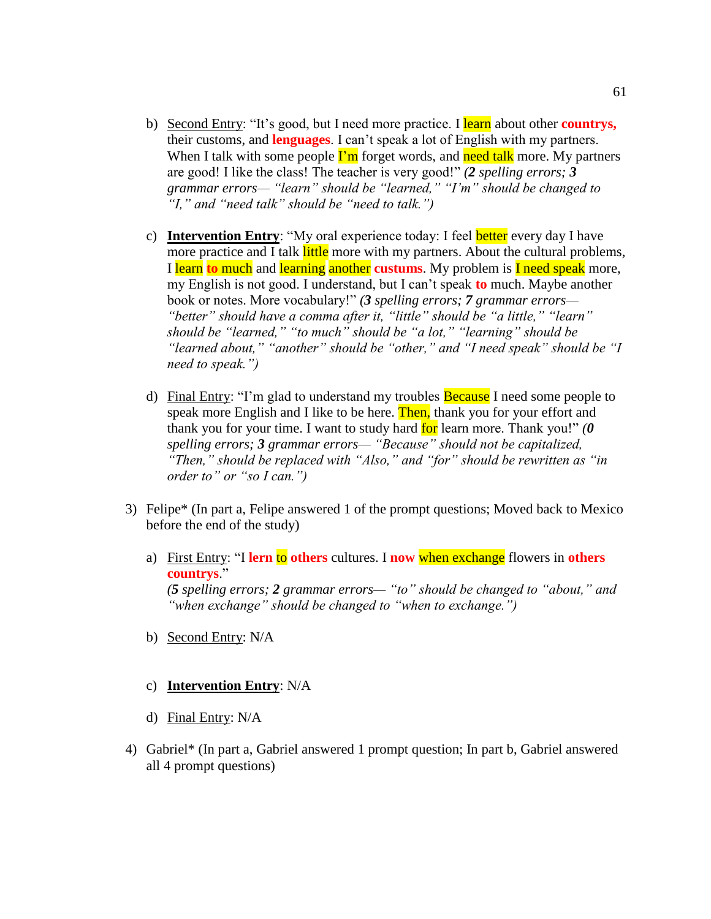- b) Second Entry: "It's good, but I need more practice. I learn about other **countrys,** their customs, and **lenguages**. I can't speak a lot of English with my partners. When I talk with some people  $\Gamma_m$  forget words, and need talk more. My partners are good! I like the class! The teacher is very good!" *(2 spelling errors; 3 grammar errors— "learn" should be "learned," "I'm" should be changed to "I," and "need talk" should be "need to talk.")*
- c) **Intervention Entry**: "My oral experience today: I feel better every day I have more practice and I talk little more with my partners. About the cultural problems, I learn **to** much and learning another **custums**. My problem is I need speak more, my English is not good. I understand, but I can't speak **to** much. Maybe another book or notes. More vocabulary!" *(3 spelling errors; 7 grammar errors— "better" should have a comma after it, "little" should be "a little," "learn" should be "learned," "to much" should be "a lot," "learning" should be "learned about," "another" should be "other," and "I need speak" should be "I need to speak.")*
- d) Final Entry: "I'm glad to understand my troubles **Because** I need some people to speak more English and I like to be here. Then, thank you for your effort and thank you for your time. I want to study hard for learn more. Thank you!" *(0 spelling errors; 3 grammar errors— "Because" should not be capitalized, "Then," should be replaced with "Also," and "for" should be rewritten as "in order to" or "so I can.")*
- 3) Felipe\* (In part a, Felipe answered 1 of the prompt questions; Moved back to Mexico before the end of the study)
	- a) First Entry: "I **lern** to **others** cultures. I **now** when exchange flowers in **others countrys**." *(5 spelling errors; 2 grammar errors— "to" should be changed to "about," and "when exchange" should be changed to "when to exchange.")*
	- b) Second Entry: N/A

# c) **Intervention Entry**: N/A

- d) Final Entry: N/A
- 4) Gabriel\* (In part a, Gabriel answered 1 prompt question; In part b, Gabriel answered all 4 prompt questions)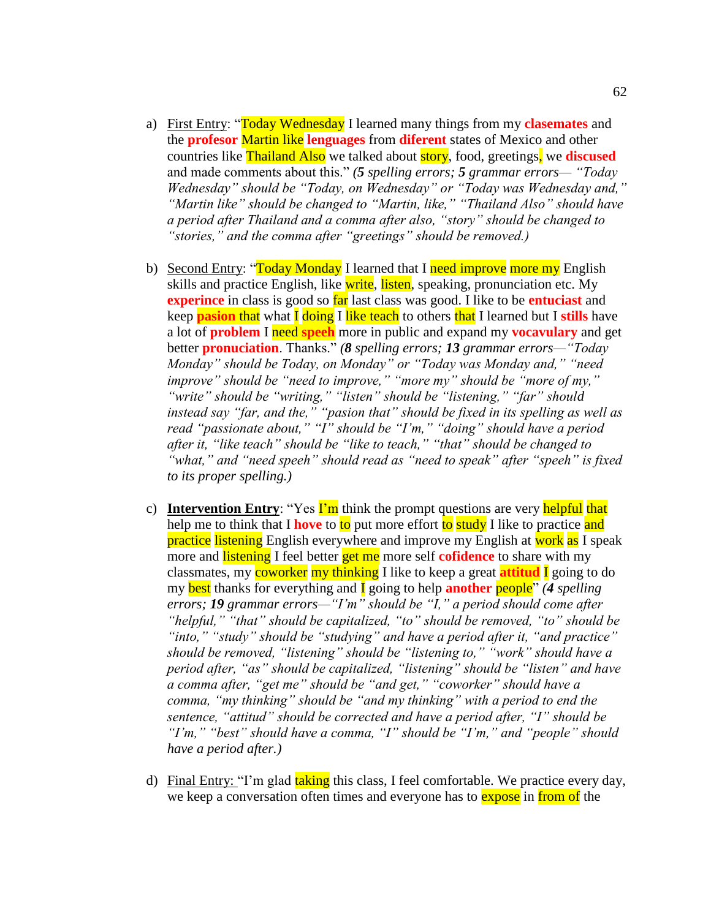- a) First Entry: "Today Wednesday I learned many things from my **clasemates** and the **profesor** Martin like **lenguages** from **diferent** states of Mexico and other countries like Thailand Also we talked about story, food, greetings, we **discused** and made comments about this." *(5 spelling errors; 5 grammar errors— "Today Wednesday" should be "Today, on Wednesday" or "Today was Wednesday and," "Martin like" should be changed to "Martin, like," "Thailand Also" should have a period after Thailand and a comma after also, "story" should be changed to "stories," and the comma after "greetings" should be removed.)*
- b) Second Entry: "Today Monday I learned that I need improve more my English skills and practice English, like write, listen, speaking, pronunciation etc. My **experince** in class is good so **far** last class was good. I like to be **entuciast** and keep **pasion** that what I doing I like teach to others that I learned but I **stills** have a lot of **problem** I need **speeh** more in public and expand my **vocavulary** and get better **pronuciation**. Thanks." *(8 spelling errors; 13 grammar errors—"Today Monday" should be Today, on Monday" or "Today was Monday and," "need improve" should be "need to improve," "more my" should be "more of my," "write" should be "writing," "listen" should be "listening," "far" should instead say "far, and the," "pasion that" should be fixed in its spelling as well as read "passionate about," "I" should be "I'm," "doing" should have a period after it, "like teach" should be "like to teach," "that" should be changed to "what," and "need speeh" should read as "need to speak" after "speeh" is fixed to its proper spelling.)*
- c) **Intervention Entry**: "Yes **I'm** think the prompt questions are very helpful that help me to think that I **hove** to to put more effort to study I like to practice and **practice listening** English everywhere and improve my English at **work** as I speak more and listening I feel better get me more self **cofidence** to share with my classmates, my coworker my thinking I like to keep a great **attitud** I going to do my best thanks for everything and I going to help **another** people" *(4 spelling errors; 19 grammar errors—"I'm" should be "I," a period should come after "helpful," "that" should be capitalized, "to" should be removed, "to" should be "into," "study" should be "studying" and have a period after it, "and practice" should be removed, "listening" should be "listening to," "work" should have a period after, "as" should be capitalized, "listening" should be "listen" and have a comma after, "get me" should be "and get," "coworker" should have a comma, "my thinking" should be "and my thinking" with a period to end the sentence, "attitud" should be corrected and have a period after, "I" should be "I'm," "best" should have a comma, "I" should be "I'm," and "people" should have a period after.)*
- d) Final Entry: "I'm glad taking this class, I feel comfortable. We practice every day, we keep a conversation often times and everyone has to **expose** in from of the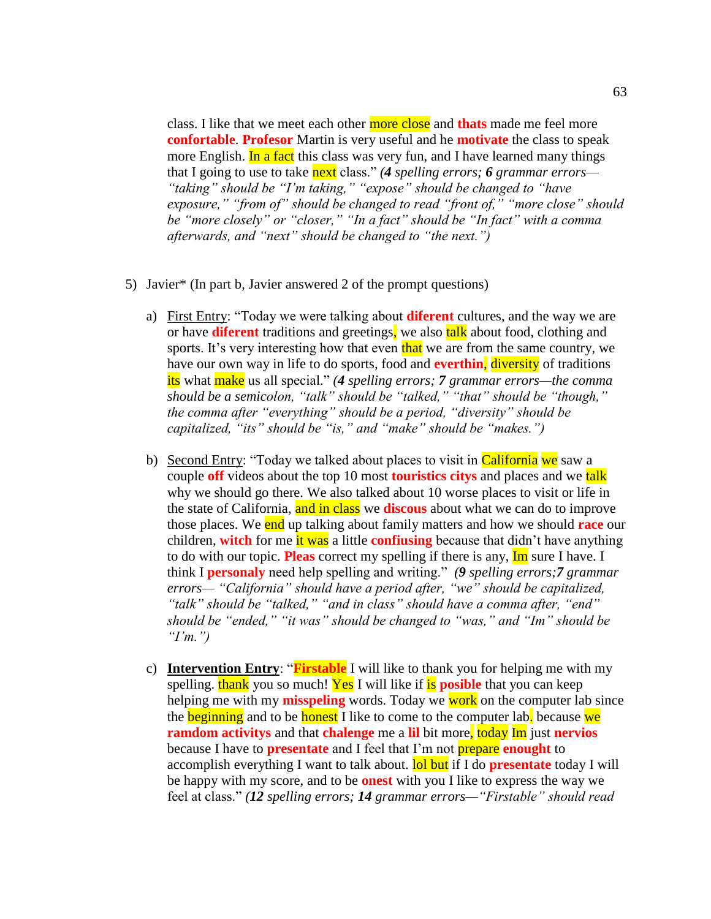class. I like that we meet each other more close and **thats** made me feel more **confortable**. **Profesor** Martin is very useful and he **motivate** the class to speak more English. In a fact this class was very fun, and I have learned many things that I going to use to take next class." *(4 spelling errors; 6 grammar errors— "taking" should be "I'm taking," "expose" should be changed to "have exposure," "from of" should be changed to read "front of," "more close" should be "more closely" or "closer," "In a fact" should be "In fact" with a comma afterwards, and "next" should be changed to "the next.")*

- 5) Javier\* (In part b, Javier answered 2 of the prompt questions)
	- a) First Entry: "Today we were talking about **diferent** cultures, and the way we are or have **diferent** traditions and greetings, we also talk about food, clothing and sports. It's very interesting how that even that we are from the same country, we have our own way in life to do sports, food and **everthin**, diversity of traditions its what make us all special." *(4 spelling errors; 7 grammar errors—the comma should be a semicolon, "talk" should be "talked," "that" should be "though," the comma after "everything" should be a period, "diversity" should be capitalized, "its" should be "is," and "make" should be "makes.")*
	- b) Second Entry: "Today we talked about places to visit in California we saw a couple **off** videos about the top 10 most **touristics citys** and places and we talk why we should go there. We also talked about 10 worse places to visit or life in the state of California, and in class we **discous** about what we can do to improve those places. We end up talking about family matters and how we should **race** our children, **witch** for me it was a little **confiusing** because that didn't have anything to do with our topic. **Pleas** correct my spelling if there is any, Im sure I have. I think I **personaly** need help spelling and writing." *(9 spelling errors;7 grammar errors— "California" should have a period after, "we" should be capitalized, "talk" should be "talked," "and in class" should have a comma after, "end" should be "ended," "it was" should be changed to "was," and "Im" should be "I'm.")*
	- c) **Intervention Entry**: "**Firstable** I will like to thank you for helping me with my spelling. thank you so much! Yes I will like if is **posible** that you can keep helping me with my **misspeling** words. Today we work on the computer lab since the **beginning** and to be **honest** I like to come to the computer lab. because we **ramdom activitys** and that **chalenge** me a **lil** bit more, today Im just **nervios** because I have to **presentate** and I feel that I'm not prepare **enought** to accomplish everything I want to talk about. lol but if I do **presentate** today I will be happy with my score, and to be **onest** with you I like to express the way we feel at class." *(12 spelling errors; 14 grammar errors—"Firstable" should read*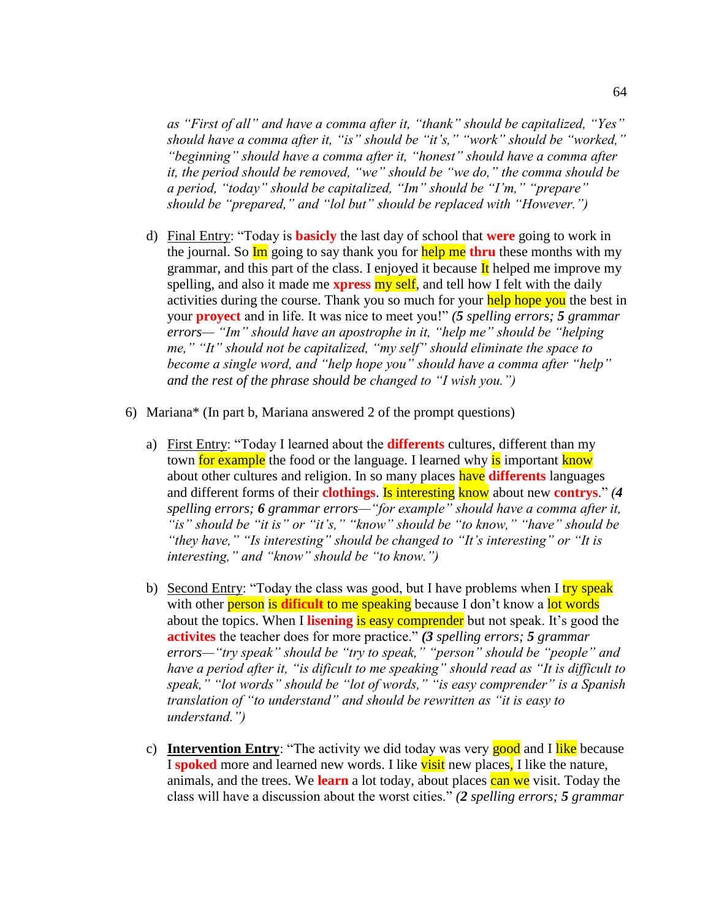*as "First of all" and have a comma after it, "thank" should be capitalized, "Yes" should have a comma after it, "is" should be "it's," "work" should be "worked," "beginning" should have a comma after it, "honest" should have a comma after it, the period should be removed, "we" should be "we do," the comma should be a period, "today" should be capitalized, "Im" should be "I'm," "prepare" should be "prepared," and "lol but" should be replaced with "However.")* 

- d) Final Entry: "Today is **basicly** the last day of school that **were** going to work in the journal. So Im going to say thank you for help me **thru** these months with my grammar, and this part of the class. I enjoyed it because  $\mathbf{I}$ t helped me improve my spelling, and also it made me **xpress** my self, and tell how I felt with the daily activities during the course. Thank you so much for your help hope you the best in your **proyect** and in life. It was nice to meet you!" *(5 spelling errors; 5 grammar errors— "Im" should have an apostrophe in it, "help me" should be "helping me," "It" should not be capitalized, "my self" should eliminate the space to become a single word, and "help hope you" should have a comma after "help" and the rest of the phrase should be changed to "I wish you.")*
- 6) Mariana\* (In part b, Mariana answered 2 of the prompt questions)
	- a) First Entry: "Today I learned about the **differents** cultures, different than my town for example the food or the language. I learned why is important know about other cultures and religion. In so many places have **differents** languages and different forms of their **clothings**. Is interesting know about new **contrys**." *(4 spelling errors; 6 grammar errors—"for example" should have a comma after it, "is" should be "it is" or "it's," "know" should be "to know," "have" should be "they have," "Is interesting" should be changed to "It's interesting" or "It is interesting," and "know" should be "to know.")*
	- b) Second Entry: "Today the class was good, but I have problems when I  $\frac{try}{try}$  speak with other **person** is **dificult** to me speaking because I don't know a lot words about the topics. When I **lisening** is easy comprender but not speak. It's good the **activites** the teacher does for more practice." *(3 spelling errors; 5 grammar errors—"try speak" should be "try to speak," "person" should be "people" and have a period after it, "is dificult to me speaking" should read as "It is difficult to speak," "lot words" should be "lot of words," "is easy comprender" is a Spanish translation of "to understand" and should be rewritten as "it is easy to understand.")*
	- c) **Intervention Entry**: "The activity we did today was very good and I like because I **spoked** more and learned new words. I like **visit** new places, I like the nature, animals, and the trees. We **learn** a lot today, about places can we visit. Today the class will have a discussion about the worst cities." *(2 spelling errors; 5 grammar*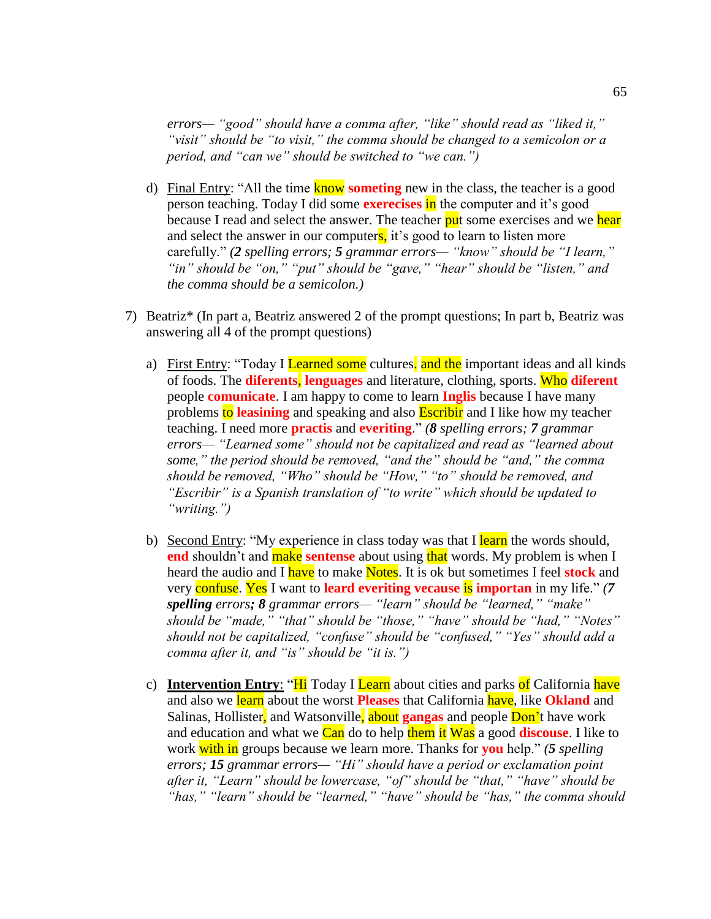*errors— "good" should have a comma after, "like" should read as "liked it," "visit" should be "to visit," the comma should be changed to a semicolon or a period, and "can we" should be switched to "we can.")* 

- d) Final Entry: "All the time know **someting** new in the class, the teacher is a good person teaching. Today I did some **exerecises** in the computer and it's good because I read and select the answer. The teacher put some exercises and we hear and select the answer in our computers, it's good to learn to listen more carefully." *(2 spelling errors; 5 grammar errors— "know" should be "I learn," "in" should be "on," "put" should be "gave," "hear" should be "listen," and the comma should be a semicolon.)*
- 7) Beatriz\* (In part a, Beatriz answered 2 of the prompt questions; In part b, Beatriz was answering all 4 of the prompt questions)
	- a) First Entry: "Today I Learned some cultures. and the important ideas and all kinds of foods. The **diferents**, **lenguages** and literature, clothing, sports. Who **diferent** people **comunicate**. I am happy to come to learn **Inglis** because I have many problems to **leasining** and speaking and also Escribir and I like how my teacher teaching. I need more **practis** and **everiting**." *(8 spelling errors; 7 grammar errors— "Learned some" should not be capitalized and read as "learned about some," the period should be removed, "and the" should be "and," the comma should be removed, "Who" should be "How," "to" should be removed, and "Escribir" is a Spanish translation of "to write" which should be updated to "writing.")*
	- b) Second Entry: "My experience in class today was that I learn the words should, **end** shouldn't and **make sentense** about using that words. My problem is when I heard the audio and I have to make Notes. It is ok but sometimes I feel **stock** and very confuse. Yes I want to **leard everiting vecause** is **importan** in my life." *(7 spelling errors; 8 grammar errors— "learn" should be "learned," "make" should be "made," "that" should be "those," "have" should be "had," "Notes" should not be capitalized, "confuse" should be "confused," "Yes" should add a comma after it, and "is" should be "it is.")*
	- c) **Intervention Entry:** "Hi Today I Learn about cities and parks of California have and also we learn about the worst **Pleases** that California have, like **Okland** and Salinas, Hollister, and Watsonville, about **gangas** and people Don't have work and education and what we Can do to help them it Was a good **discouse**. I like to work with in groups because we learn more. Thanks for **you** help." *(5 spelling errors; 15 grammar errors— "Hi" should have a period or exclamation point after it, "Learn" should be lowercase, "of" should be "that," "have" should be "has," "learn" should be "learned," "have" should be "has," the comma should*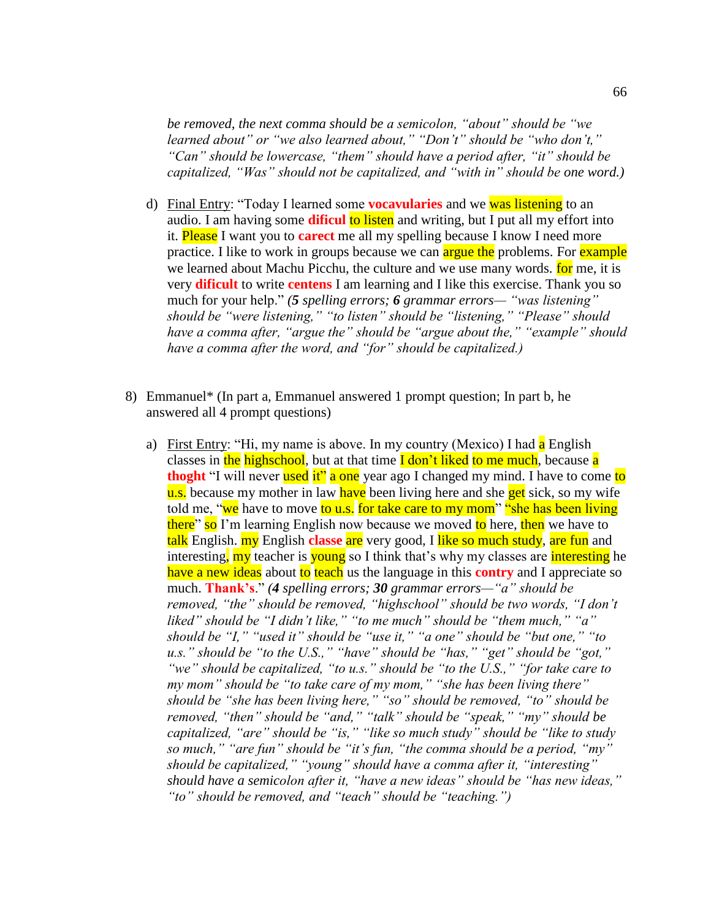*be removed, the next comma should be a semicolon, "about" should be "we learned about" or "we also learned about," "Don't" should be "who don't," "Can" should be lowercase, "them" should have a period after, "it" should be capitalized, "Was" should not be capitalized, and "with in" should be one word.)* 

- d) Final Entry: "Today I learned some **vocavularies** and we was listening to an audio. I am having some **dificul** to listen and writing, but I put all my effort into it. Please I want you to **carect** me all my spelling because I know I need more practice. I like to work in groups because we can argue the problems. For example we learned about Machu Picchu, the culture and we use many words. **for** me, it is very **dificult** to write **centens** I am learning and I like this exercise. Thank you so much for your help." *(5 spelling errors; 6 grammar errors— "was listening" should be "were listening," "to listen" should be "listening," "Please" should have a comma after, "argue the" should be "argue about the," "example" should have a comma after the word, and "for" should be capitalized.)*
- 8) Emmanuel\* (In part a, Emmanuel answered 1 prompt question; In part b, he answered all 4 prompt questions)
	- a) First Entry: "Hi, my name is above. In my country (Mexico) I had a English classes in the highschool, but at that time **I** don't liked to me much, because a **thoght** "I will never used it" a one year ago I changed my mind. I have to come to u.s. because my mother in law have been living here and she **get** sick, so my wife told me, "we have to move to u.s. for take care to my mom" "she has been living" there" so I'm learning English now because we moved to here, then we have to talk English. my English **classe** are very good, I like so much study, are fun and interesting, my teacher is young so I think that's why my classes are interesting he have a new ideas about to teach us the language in this **contry** and I appreciate so much. **Thank's**." *(4 spelling errors; 30 grammar errors—"a" should be removed, "the" should be removed, "highschool" should be two words, "I don't liked" should be "I didn't like," "to me much" should be "them much," "a" should be "I," "used it" should be "use it," "a one" should be "but one," "to u.s." should be "to the U.S.," "have" should be "has," "get" should be "got," "we" should be capitalized, "to u.s." should be "to the U.S.," "for take care to my mom" should be "to take care of my mom," "she has been living there" should be "she has been living here," "so" should be removed, "to" should be removed, "then" should be "and," "talk" should be "speak," "my" should be capitalized, "are" should be "is," "like so much study" should be "like to study so much," "are fun" should be "it's fun, "the comma should be a period, "my" should be capitalized," "young" should have a comma after it, "interesting" should have a semicolon after it, "have a new ideas" should be "has new ideas," "to" should be removed, and "teach" should be "teaching.")*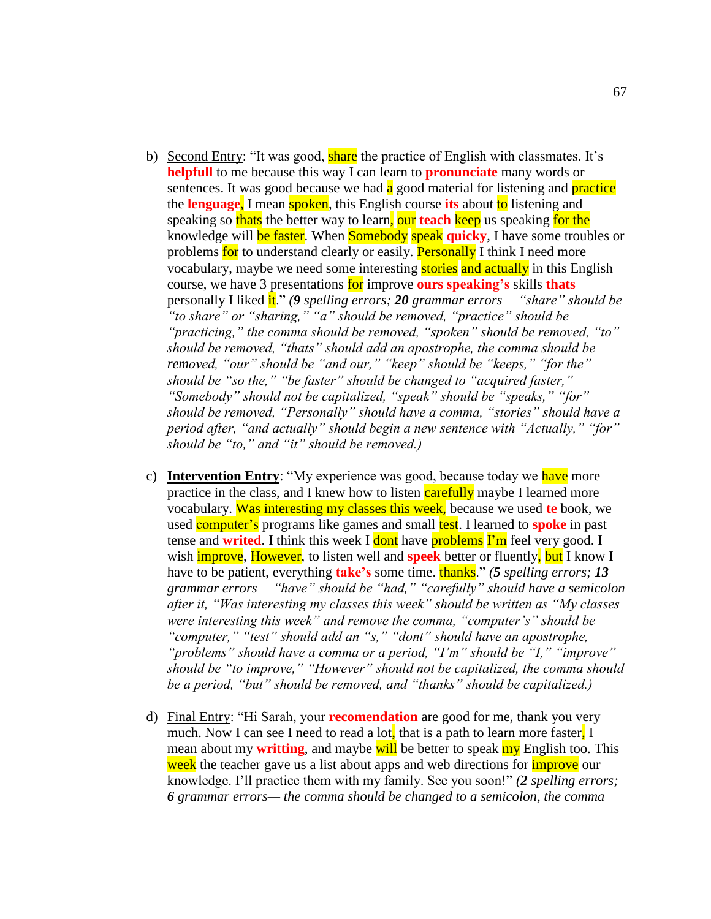- b) Second Entry: "It was good, **share** the practice of English with classmates. It's **helpfull** to me because this way I can learn to **pronunciate** many words or sentences. It was good because we had  $\alpha$  good material for listening and **practice** the **lenguage**, I mean spoken, this English course **its** about to listening and speaking so thats the better way to learn, our **teach** keep us speaking for the knowledge will be faster. When Somebody speak **quicky**, I have some troubles or problems for to understand clearly or easily. **Personally** I think I need more vocabulary, maybe we need some interesting stories and actually in this English course, we have 3 presentations for improve **ours speaking's** skills **thats**  personally I liked it." *(9 spelling errors; 20 grammar errors— "share" should be "to share" or "sharing," "a" should be removed, "practice" should be "practicing," the comma should be removed, "spoken" should be removed, "to" should be removed, "thats" should add an apostrophe, the comma should be removed, "our" should be "and our," "keep" should be "keeps," "for the" should be "so the," "be faster" should be changed to "acquired faster," "Somebody" should not be capitalized, "speak" should be "speaks," "for" should be removed, "Personally" should have a comma, "stories" should have a period after, "and actually" should begin a new sentence with "Actually," "for" should be "to," and "it" should be removed.)*
- c) **Intervention Entry**: "My experience was good, because today we have more practice in the class, and I knew how to listen **carefully** maybe I learned more vocabulary. Was interesting my classes this week, because we used **te** book, we used **computer's** programs like games and small **test**. I learned to **spoke** in past tense and **writed**. I think this week I dont have **problems** I'm feel very good. I wish improve, However, to listen well and **speek** better or fluently, but I know I have to be patient, everything **take's** some time. **thanks.**" *(5 spelling errors; 13 grammar errors— "have" should be "had," "carefully" should have a semicolon after it, "Was interesting my classes this week" should be written as "My classes were interesting this week" and remove the comma, "computer's" should be "computer," "test" should add an "s," "dont" should have an apostrophe, "problems" should have a comma or a period, "I'm" should be "I," "improve" should be "to improve," "However" should not be capitalized, the comma should be a period, "but" should be removed, and "thanks" should be capitalized.)*
- d) Final Entry: "Hi Sarah, your **recomendation** are good for me, thank you very much. Now I can see I need to read a lot, that is a path to learn more faster, I mean about my **writting**, and maybe will be better to speak my English too. This week the teacher gave us a list about apps and web directions for *improve* our knowledge. I'll practice them with my family. See you soon!" *(2 spelling errors; 6 grammar errors— the comma should be changed to a semicolon, the comma*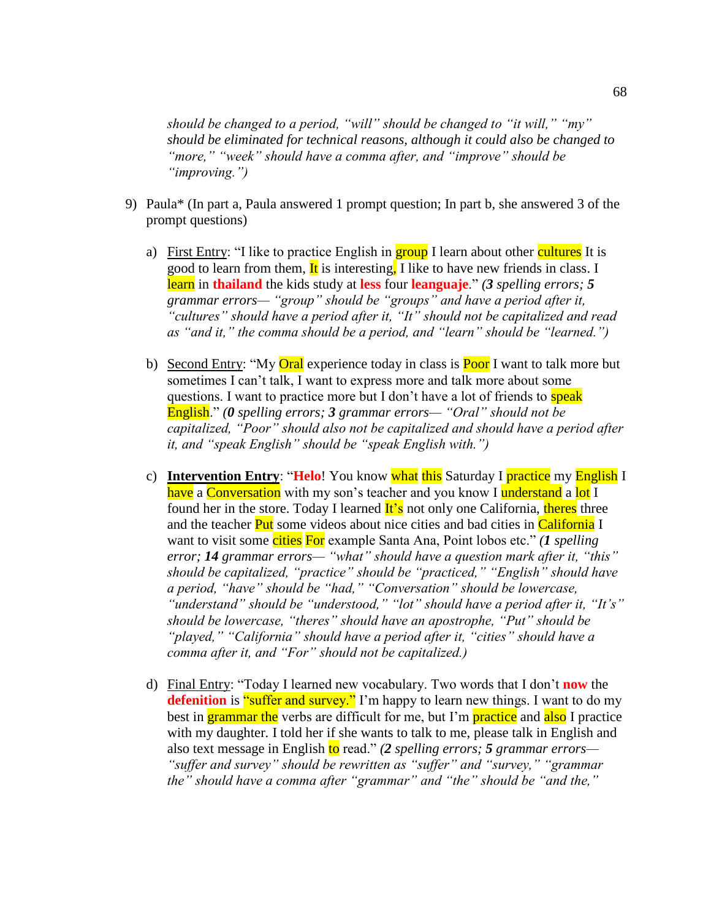*should be changed to a period, "will" should be changed to "it will," "my" should be eliminated for technical reasons, although it could also be changed to "more," "week" should have a comma after, and "improve" should be "improving.")*

- 9) Paula\* (In part a, Paula answered 1 prompt question; In part b, she answered 3 of the prompt questions)
	- a) First Entry: "I like to practice English in group I learn about other cultures It is good to learn from them,  $\mathbf{I}t$  is interesting, I like to have new friends in class. I learn in **thailand** the kids study at **less** four **leanguaje**." *(3 spelling errors; 5 grammar errors— "group" should be "groups" and have a period after it, "cultures" should have a period after it, "It" should not be capitalized and read as "and it," the comma should be a period, and "learn" should be "learned.")*
	- b) Second Entry: "My **Oral** experience today in class is **Poor** I want to talk more but sometimes I can't talk, I want to express more and talk more about some questions. I want to practice more but I don't have a lot of friends to **speak** English." *(0 spelling errors; 3 grammar errors— "Oral" should not be capitalized, "Poor" should also not be capitalized and should have a period after it, and "speak English" should be "speak English with.")*
	- c) **Intervention Entry**: "**Helo**! You know what this Saturday I practice my English I have a Conversation with my son's teacher and you know I understand a lot I found her in the store. Today I learned **It's** not only one California, theres three and the teacher Put some videos about nice cities and bad cities in California I want to visit some cities For example Santa Ana, Point lobos etc." *(1 spelling error; 14 grammar errors— "what" should have a question mark after it, "this" should be capitalized, "practice" should be "practiced," "English" should have a period, "have" should be "had," "Conversation" should be lowercase, "understand" should be "understood," "lot" should have a period after it, "It's" should be lowercase, "theres" should have an apostrophe, "Put" should be "played," "California" should have a period after it, "cities" should have a comma after it, and "For" should not be capitalized.)*
	- d) Final Entry: "Today I learned new vocabulary. Two words that I don't **now** the **defenition** is **"suffer and survey."** I'm happy to learn new things. I want to do my best in **grammar the** verbs are difficult for me, but I'm **practice** and also I practice with my daughter. I told her if she wants to talk to me, please talk in English and also text message in English to read." *(2 spelling errors; 5 grammar errors— "suffer and survey" should be rewritten as "suffer" and "survey," "grammar the" should have a comma after "grammar" and "the" should be "and the,"*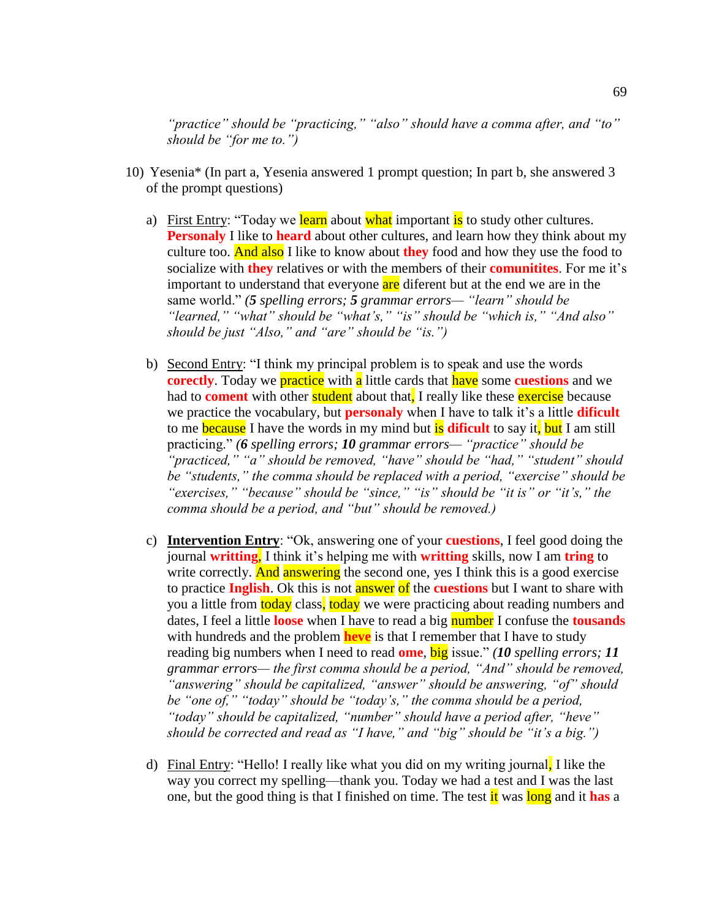*"practice" should be "practicing," "also" should have a comma after, and "to" should be "for me to.")*

- 10) Yesenia\* (In part a, Yesenia answered 1 prompt question; In part b, she answered 3 of the prompt questions)
	- a) First Entry: "Today we learn about what important is to study other cultures. **Personaly** I like to **heard** about other cultures, and learn how they think about my culture too. And also I like to know about **they** food and how they use the food to socialize with **they** relatives or with the members of their **comunitites**. For me it's important to understand that everyone are diferent but at the end we are in the same world." *(5 spelling errors; 5 grammar errors— "learn" should be "learned," "what" should be "what's," "is" should be "which is," "And also" should be just "Also," and "are" should be "is.")*
	- b) Second Entry: "I think my principal problem is to speak and use the words **corectly**. Today we **practice** with **a** little cards that **have** some **cuestions** and we had to **coment** with other student about that, I really like these exercise because we practice the vocabulary, but **personaly** when I have to talk it's a little **dificult** to me because I have the words in my mind but is **dificult** to say it, but I am still practicing." *(6 spelling errors; 10 grammar errors— "practice" should be "practiced," "a" should be removed, "have" should be "had," "student" should be "students," the comma should be replaced with a period, "exercise" should be "exercises," "because" should be "since," "is" should be "it is" or "it's," the comma should be a period, and "but" should be removed.)*
	- c) **Intervention Entry**: "Ok, answering one of your **cuestions**, I feel good doing the journal **writting**, I think it's helping me with **writting** skills, now I am **tring** to write correctly. And answering the second one, yes I think this is a good exercise to practice **Inglish**. Ok this is not **answer** of the **cuestions** but I want to share with you a little from today class, today we were practicing about reading numbers and dates, I feel a little **loose** when I have to read a big number I confuse the **tousands** with hundreds and the problem **heve** is that I remember that I have to study reading big numbers when I need to read **ome**, big issue." *(10 spelling errors; 11 grammar errors— the first comma should be a period, "And" should be removed, "answering" should be capitalized, "answer" should be answering, "of" should be "one of," "today" should be "today's," the comma should be a period, "today" should be capitalized, "number" should have a period after, "heve" should be corrected and read as "I have," and "big" should be "it's a big.")*
	- d) Final Entry: "Hello! I really like what you did on my writing journal, I like the way you correct my spelling—thank you. Today we had a test and I was the last one, but the good thing is that I finished on time. The test it was long and it **has** a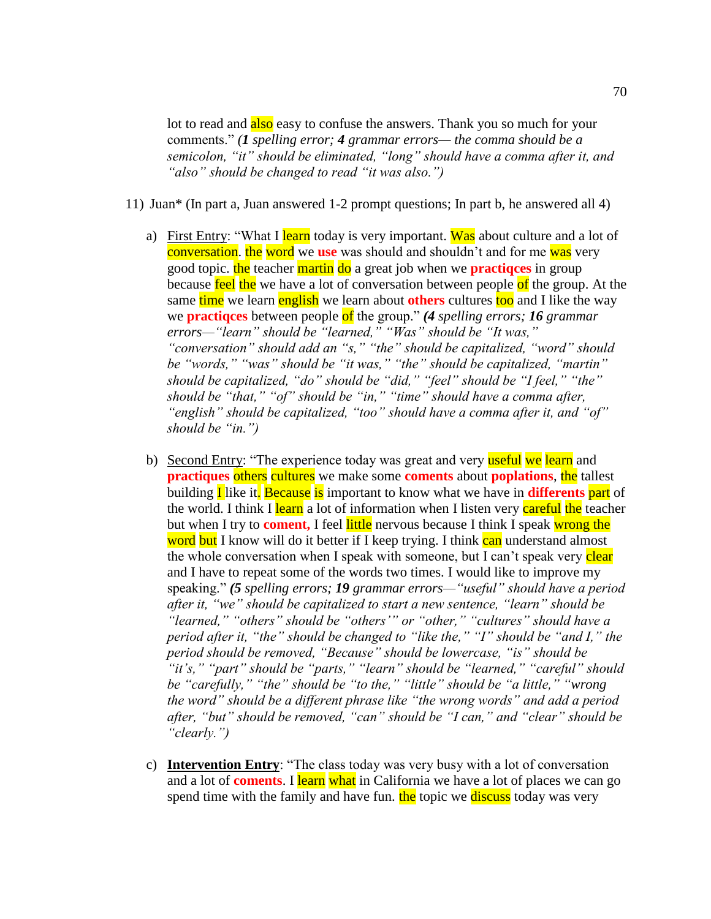lot to read and also easy to confuse the answers. Thank you so much for your comments." *(1 spelling error; 4 grammar errors— the comma should be a semicolon, "it" should be eliminated, "long" should have a comma after it, and "also" should be changed to read "it was also.")*

- 11) Juan\* (In part a, Juan answered 1-2 prompt questions; In part b, he answered all 4)
	- a) First Entry: "What I learn today is very important. Was about culture and a lot of conversation. the word we **use** was should and shouldn't and for me was very good topic. the teacher martin do a great job when we **practiqces** in group because feel the we have a lot of conversation between people of the group. At the same time we learn english we learn about others cultures too and I like the way we **practiqces** between people of the group." *(4 spelling errors; 16 grammar errors—"learn" should be "learned," "Was" should be "It was," "conversation" should add an "s," "the" should be capitalized, "word" should be "words," "was" should be "it was," "the" should be capitalized, "martin" should be capitalized, "do" should be "did," "feel" should be "I feel," "the" should be "that," "of" should be "in," "time" should have a comma after, "english" should be capitalized, "too" should have a comma after it, and "of" should be "in.")*
	- b) Second Entry: "The experience today was great and very useful we learn and **practiques others cultures** we make some **coments** about **poplations**, the tallest building I like it. Because is important to know what we have in **differents** part of the world. I think I learn a lot of information when I listen very careful the teacher but when I try to **coment,** I feel little nervous because I think I speak wrong the word but I know will do it better if I keep trying. I think can understand almost the whole conversation when I speak with someone, but I can't speak very clear and I have to repeat some of the words two times. I would like to improve my speaking." *(5 spelling errors; 19 grammar errors—"useful" should have a period after it, "we" should be capitalized to start a new sentence, "learn" should be "learned," "others" should be "others'" or "other," "cultures" should have a period after it, "the" should be changed to "like the," "I" should be "and I," the period should be removed, "Because" should be lowercase, "is" should be "it's," "part" should be "parts," "learn" should be "learned," "careful" should be "carefully," "the" should be "to the," "little" should be "a little," "wrong the word" should be a different phrase like "the wrong words" and add a period after, "but" should be removed, "can" should be "I can," and "clear" should be "clearly.")*
	- c) **Intervention Entry**: "The class today was very busy with a lot of conversation and a lot of **coments**. I learn what in California we have a lot of places we can go spend time with the family and have fun. the topic we discuss today was very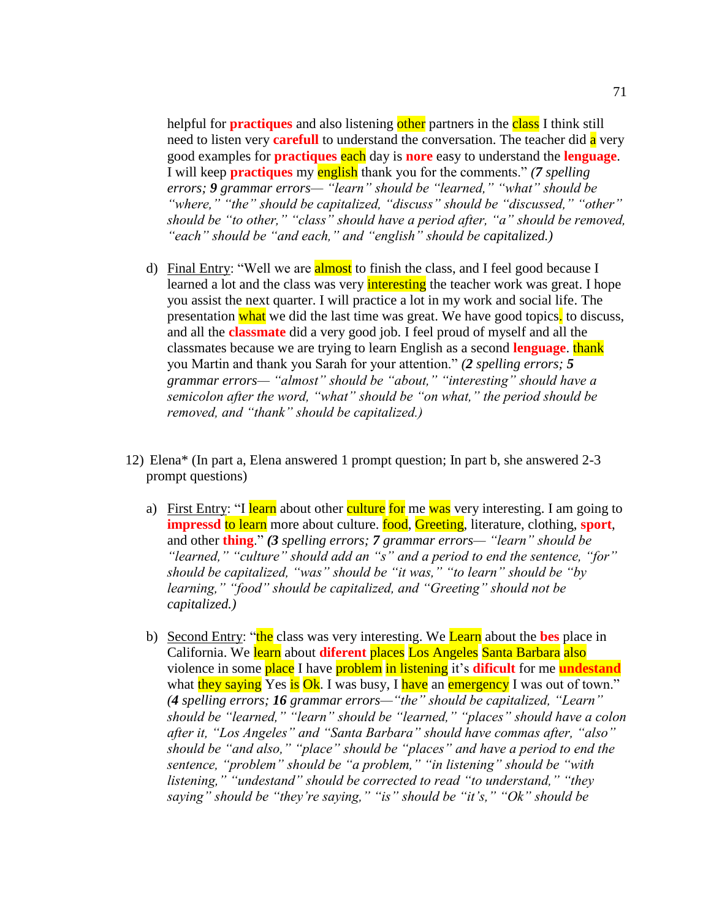helpful for **practiques** and also listening other partners in the class I think still need to listen very **carefull** to understand the conversation. The teacher did a very good examples for **practiques** each day is **nore** easy to understand the **lenguage**. I will keep **practiques** my english thank you for the comments." *(7 spelling errors; 9 grammar errors— "learn" should be "learned," "what" should be "where," "the" should be capitalized, "discuss" should be "discussed," "other" should be "to other," "class" should have a period after, "a" should be removed, "each" should be "and each," and "english" should be capitalized.)*

- d) Final Entry: "Well we are **almost** to finish the class, and I feel good because I learned a lot and the class was very *interesting* the teacher work was great. I hope you assist the next quarter. I will practice a lot in my work and social life. The presentation what we did the last time was great. We have good topics, to discuss, and all the **classmate** did a very good job. I feel proud of myself and all the classmates because we are trying to learn English as a second **lenguage**. thank you Martin and thank you Sarah for your attention." *(2 spelling errors; 5 grammar errors— "almost" should be "about," "interesting" should have a semicolon after the word, "what" should be "on what," the period should be removed, and "thank" should be capitalized.)*
- 12) Elena\* (In part a, Elena answered 1 prompt question; In part b, she answered 2-3 prompt questions)
	- a) First Entry: "I learn about other culture for me was very interesting. I am going to **impressd** to learn more about culture. food, Greeting, literature, clothing, **sport**, and other **thing**." *(3 spelling errors; 7 grammar errors— "learn" should be "learned," "culture" should add an "s" and a period to end the sentence, "for" should be capitalized, "was" should be "it was," "to learn" should be "by learning," "food" should be capitalized, and "Greeting" should not be capitalized.)*
	- b) Second Entry: "the class was very interesting. We Learn about the **bes** place in California. We learn about **diferent** places Los Angeles Santa Barbara also violence in some place I have problem in listening it's **dificult** for me **undestand** what they saying Yes is Ok. I was busy, I have an emergency I was out of town." *(4 spelling errors; 16 grammar errors—"the" should be capitalized, "Learn" should be "learned," "learn" should be "learned," "places" should have a colon after it, "Los Angeles" and "Santa Barbara" should have commas after, "also" should be "and also," "place" should be "places" and have a period to end the sentence, "problem" should be "a problem," "in listening" should be "with listening," "undestand" should be corrected to read "to understand," "they saying" should be "they're saying," "is" should be "it's," "Ok" should be*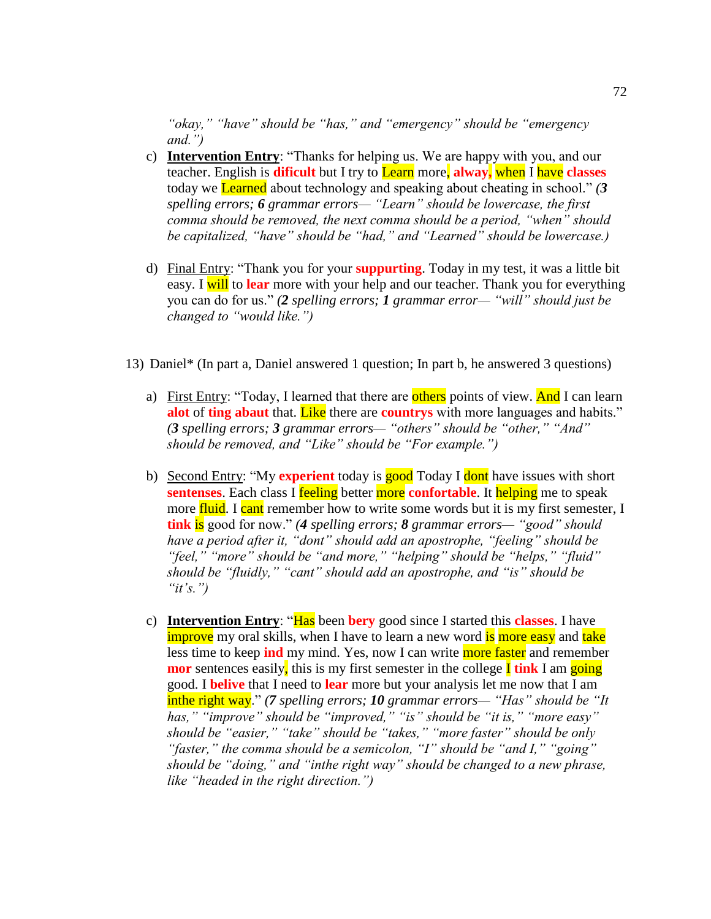*"okay," "have" should be "has," and "emergency" should be "emergency and.")* 

- c) **Intervention Entry**: "Thanks for helping us. We are happy with you, and our teacher. English is **dificult** but I try to Learn more, **alway,** when I have **classes** today we Learned about technology and speaking about cheating in school." *(3 spelling errors; 6 grammar errors— "Learn" should be lowercase, the first comma should be removed, the next comma should be a period, "when" should be capitalized, "have" should be "had," and "Learned" should be lowercase.)*
- d) Final Entry: "Thank you for your **suppurting**. Today in my test, it was a little bit easy. I will to **lear** more with your help and our teacher. Thank you for everything you can do for us." *(2 spelling errors; 1 grammar error— "will" should just be changed to "would like.")*
- 13) Daniel\* (In part a, Daniel answered 1 question; In part b, he answered 3 questions)
	- a) First Entry: "Today, I learned that there are others points of view. And I can learn **alot** of **ting abaut** that. Like there are **countrys** with more languages and habits." *(3 spelling errors; 3 grammar errors— "others" should be "other," "And" should be removed, and "Like" should be "For example.")*
	- b) Second Entry: "My **experient** today is good Today I dont have issues with short **sentenses**. Each class I **feeling** better **more confortable**. It helping me to speak more fluid. I cant remember how to write some words but it is my first semester, I **tink** is good for now." *(4 spelling errors; 8 grammar errors— "good" should have a period after it, "dont" should add an apostrophe, "feeling" should be "feel," "more" should be "and more," "helping" should be "helps," "fluid" should be "fluidly," "cant" should add an apostrophe, and "is" should be "it's.")*
	- c) **Intervention Entry**: "Has been **bery** good since I started this **classes**. I have improve my oral skills, when I have to learn a new word is more easy and take less time to keep **ind** my mind. Yes, now I can write more faster and remember **mor** sentences easily, this is my first semester in the college **I** tink I am going good. I **belive** that I need to **lear** more but your analysis let me now that I am inthe right way." *(7 spelling errors; 10 grammar errors— "Has" should be "It has," "improve" should be "improved," "is" should be "it is," "more easy" should be "easier," "take" should be "takes," "more faster" should be only "faster," the comma should be a semicolon, "I" should be "and I," "going" should be "doing," and "inthe right way" should be changed to a new phrase, like "headed in the right direction.")*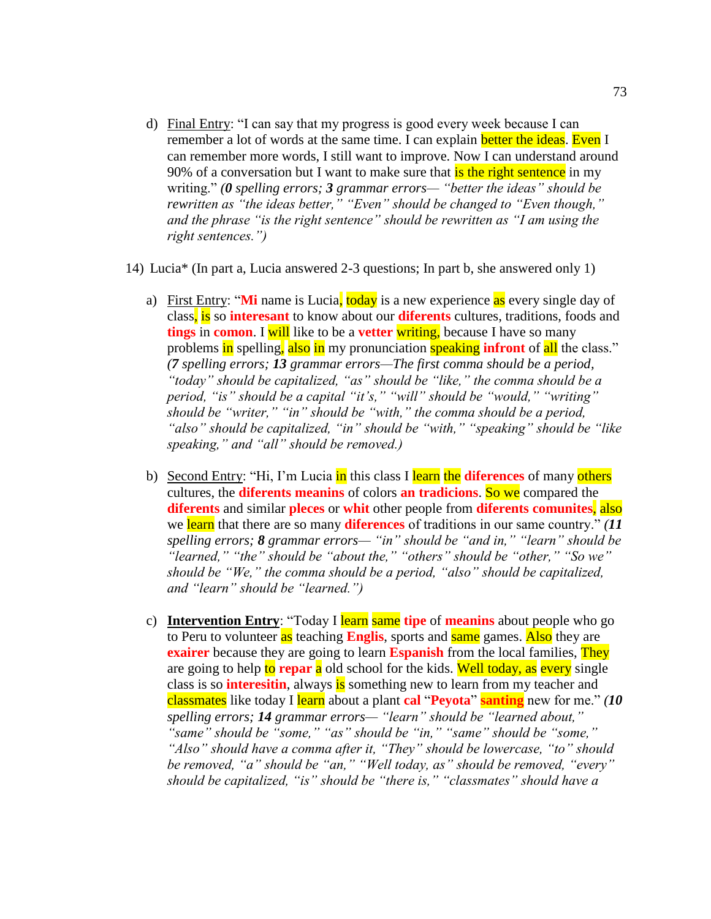- d) Final Entry: "I can say that my progress is good every week because I can remember a lot of words at the same time. I can explain **better the ideas**. Even I can remember more words, I still want to improve. Now I can understand around 90% of a conversation but I want to make sure that **is the right sentence** in my writing." *(0 spelling errors; 3 grammar errors— "better the ideas" should be rewritten as "the ideas better," "Even" should be changed to "Even though," and the phrase "is the right sentence" should be rewritten as "I am using the right sentences.")*
- 14) Lucia\* (In part a, Lucia answered 2-3 questions; In part b, she answered only 1)
	- a) First Entry: "Mi name is Lucia, today is a new experience as every single day of class, is so **interesant** to know about our **diferents** cultures, traditions, foods and **tings** in **comon**. I will like to be a **vetter** writing, because I have so many problems in spelling, also in my pronunciation speaking **infront** of all the class." *(7 spelling errors; 13 grammar errors—The first comma should be a period, "today" should be capitalized, "as" should be "like," the comma should be a period, "is" should be a capital "it's," "will" should be "would," "writing" should be "writer," "in" should be "with," the comma should be a period, "also" should be capitalized, "in" should be "with," "speaking" should be "like speaking," and "all" should be removed.)*
	- b) Second Entry: "Hi, I'm Lucia in this class I learn the diferences of many others cultures, the **diferents meanins** of colors **an tradicions**. So we compared the **diferents** and similar **pleces** or **whit** other people from **diferents comunites**, also we learn that there are so many **diferences** of traditions in our same country." *(11 spelling errors; 8 grammar errors— "in" should be "and in," "learn" should be "learned," "the" should be "about the," "others" should be "other," "So we" should be "We," the comma should be a period, "also" should be capitalized, and "learn" should be "learned.")*
	- c) **Intervention Entry**: "Today I learn same **tipe** of **meanins** about people who go to Peru to volunteer as teaching **Englis**, sports and same games. Also they are **exairer** because they are going to learn **Espanish** from the local families, They are going to help to **repar** a old school for the kids. Well today, as every single class is so **interesitin**, always is something new to learn from my teacher and classmates like today I learn about a plant **cal** "**Peyota**" **santing** new for me." *(10 spelling errors; 14 grammar errors— "learn" should be "learned about," "same" should be "some," "as" should be "in," "same" should be "some," "Also" should have a comma after it, "They" should be lowercase, "to" should be removed, "a" should be "an," "Well today, as" should be removed, "every" should be capitalized, "is" should be "there is," "classmates" should have a*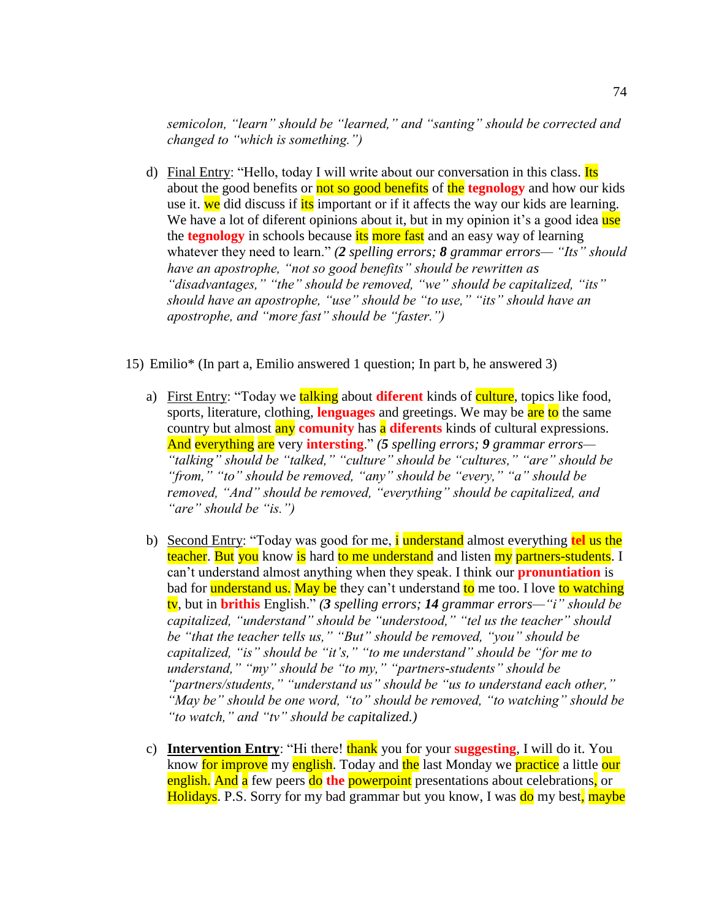*semicolon, "learn" should be "learned," and "santing" should be corrected and changed to "which is something.")* 

- d) Final Entry: "Hello, today I will write about our conversation in this class. Its about the good benefits or not so good benefits of the **tegnology** and how our kids use it. we did discuss if its important or if it affects the way our kids are learning. We have a lot of diferent opinions about it, but in my opinion it's a good idea use the **tegnology** in schools because its more fast and an easy way of learning whatever they need to learn." *(2 spelling errors; 8 grammar errors— "Its" should have an apostrophe, "not so good benefits" should be rewritten as "disadvantages," "the" should be removed, "we" should be capitalized, "its" should have an apostrophe, "use" should be "to use," "its" should have an apostrophe, and "more fast" should be "faster.")*
- 15) Emilio\* (In part a, Emilio answered 1 question; In part b, he answered 3)
	- a) First Entry: "Today we **talking** about **diferent** kinds of **culture**, topics like food, sports, literature, clothing, **lenguages** and greetings. We may be are to the same country but almost any **comunity** has a **diferents** kinds of cultural expressions. And everything are very **intersting**." *(5 spelling errors; 9 grammar errors— "talking" should be "talked," "culture" should be "cultures," "are" should be "from," "to" should be removed, "any" should be "every," "a" should be removed, "And" should be removed, "everything" should be capitalized, and "are" should be "is.")*
	- b) Second Entry: "Today was good for me, i understand almost everything **tel** us the teacher. But you know is hard to me understand and listen my partners-students. I can't understand almost anything when they speak. I think our **pronuntiation** is bad for **understand us. May be** they can't understand to me too. I love to watching tv, but in **brithis** English." *(3 spelling errors; 14 grammar errors—"i" should be capitalized, "understand" should be "understood," "tel us the teacher" should be "that the teacher tells us," "But" should be removed, "you" should be capitalized, "is" should be "it's," "to me understand" should be "for me to understand," "my" should be "to my," "partners-students" should be "partners/students," "understand us" should be "us to understand each other," "May be" should be one word, "to" should be removed, "to watching" should be "to watch," and "tv" should be capitalized.)*
	- c) **Intervention Entry**: "Hi there! **thank** you for your **suggesting**, I will do it. You know for improve my english. Today and the last Monday we practice a little our english. And a few peers do **the** powerpoint presentations about celebrations, or Holidays. P.S. Sorry for my bad grammar but you know, I was do my best, maybe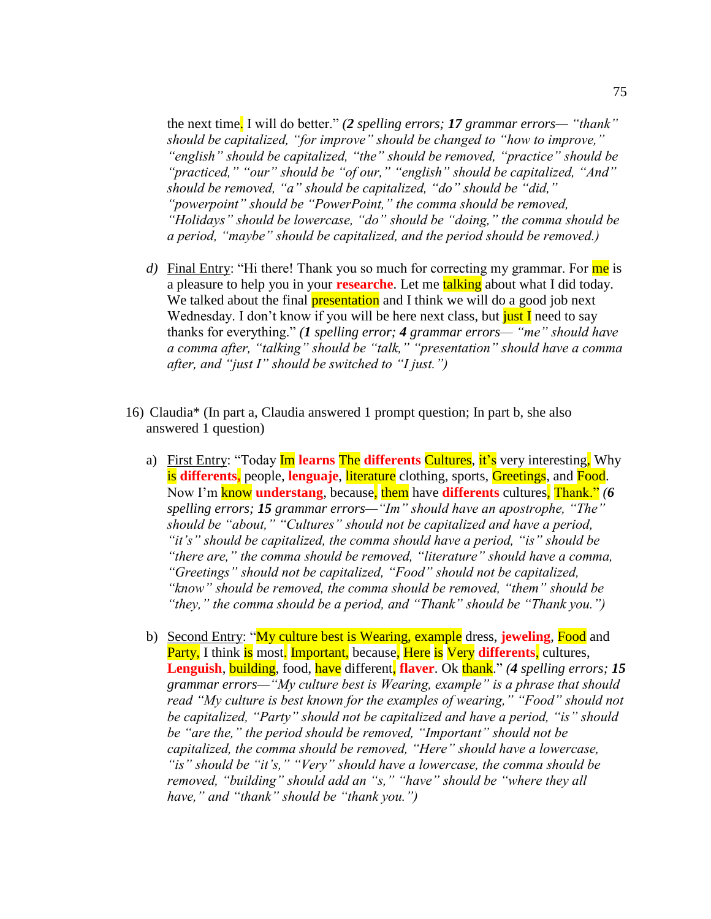the next time. I will do better." *(2 spelling errors; 17 grammar errors— "thank" should be capitalized, "for improve" should be changed to "how to improve," "english" should be capitalized, "the" should be removed, "practice" should be "practiced," "our" should be "of our," "english" should be capitalized, "And" should be removed, "a" should be capitalized, "do" should be "did," "powerpoint" should be "PowerPoint," the comma should be removed, "Holidays" should be lowercase, "do" should be "doing," the comma should be a period, "maybe" should be capitalized, and the period should be removed.)* 

- d) Final Entry: "Hi there! Thank you so much for correcting my grammar. For me is a pleasure to help you in your **researche**. Let me talking about what I did today. We talked about the final **presentation** and I think we will do a good job next Wednesday. I don't know if you will be here next class, but just I need to say thanks for everything." *(1 spelling error; 4 grammar errors— "me" should have a comma after, "talking" should be "talk," "presentation" should have a comma after, and "just I" should be switched to "I just.")*
- 16) Claudia\* (In part a, Claudia answered 1 prompt question; In part b, she also answered 1 question)
	- a) First Entry: "Today Im **learns** The **differents** Cultures, it's very interesting, Why is **differents,** people, **lenguaje**, literature clothing, sports, Greetings, and Food. Now I'm know **understang**, because, them have **differents** cultures, Thank." *(6 spelling errors; 15 grammar errors—"Im" should have an apostrophe, "The" should be "about," "Cultures" should not be capitalized and have a period, "it's" should be capitalized, the comma should have a period, "is" should be "there are," the comma should be removed, "literature" should have a comma, "Greetings" should not be capitalized, "Food" should not be capitalized, "know" should be removed, the comma should be removed, "them" should be "they," the comma should be a period, and "Thank" should be "Thank you.")*
	- b) Second Entry: "My culture best is Wearing, example dress, **jeweling**, Food and Party, I think is most. Important, because, Here is Very **differents**, cultures, **Lenguish**, building, food, have different, **flaver**. Ok thank." *(4 spelling errors; 15 grammar errors—"My culture best is Wearing, example" is a phrase that should read "My culture is best known for the examples of wearing," "Food" should not be capitalized, "Party" should not be capitalized and have a period, "is" should be "are the," the period should be removed, "Important" should not be capitalized, the comma should be removed, "Here" should have a lowercase, "is" should be "it's," "Very" should have a lowercase, the comma should be removed, "building" should add an "s," "have" should be "where they all have," and "thank" should be "thank you.")*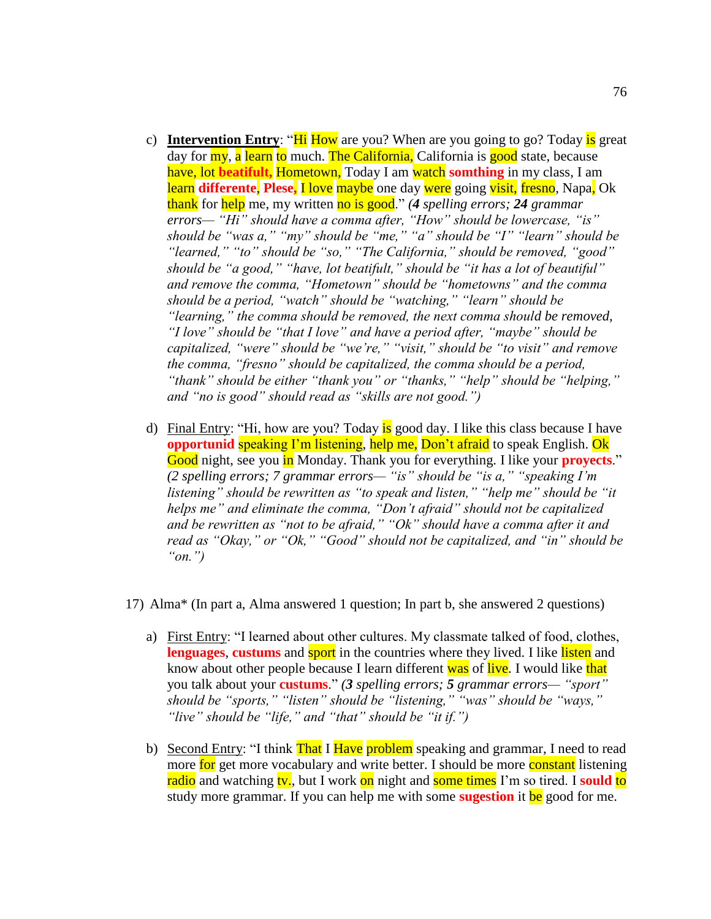- c) **Intervention Entry:** "Hi How are you? When are you going to go? Today is great day for my, a learn to much. The California, California is good state, because have, lot **beatifult,** Hometown, Today I am watch **somthing** in my class, I am learn **differente**, **Plese,** I love maybe one day were going visit, fresno, Napa, Ok thank for help me, my written no is good." *(4 spelling errors; 24 grammar errors— "Hi" should have a comma after, "How" should be lowercase, "is" should be "was a," "my" should be "me," "a" should be "I" "learn" should be "learned," "to" should be "so," "The California," should be removed, "good" should be "a good," "have, lot beatifult," should be "it has a lot of beautiful" and remove the comma, "Hometown" should be "hometowns" and the comma should be a period, "watch" should be "watching," "learn" should be "learning," the comma should be removed, the next comma should be removed, "I love" should be "that I love" and have a period after, "maybe" should be capitalized, "were" should be "we're," "visit," should be "to visit" and remove the comma, "fresno" should be capitalized, the comma should be a period, "thank" should be either "thank you" or "thanks," "help" should be "helping," and "no is good" should read as "skills are not good.")*
- d) Final Entry: "Hi, how are you? Today is good day. I like this class because I have **opportunid** speaking I'm listening, help me, Don't afraid to speak English. Ok Good night, see you in Monday. Thank you for everything. I like your **provects**." *(2 spelling errors; 7 grammar errors— "is" should be "is a," "speaking I'm listening" should be rewritten as "to speak and listen," "help me" should be "it helps me" and eliminate the comma, "Don't afraid" should not be capitalized and be rewritten as "not to be afraid," "Ok" should have a comma after it and read as "Okay," or "Ok," "Good" should not be capitalized, and "in" should be "on.")*
- 17) Alma\* (In part a, Alma answered 1 question; In part b, she answered 2 questions)
	- a) First Entry: "I learned about other cultures. My classmate talked of food, clothes, **lenguages, custums** and sport in the countries where they lived. I like listen and know about other people because I learn different was of live. I would like that you talk about your **custums**." *(3 spelling errors; 5 grammar errors— "sport" should be "sports," "listen" should be "listening," "was" should be "ways," "live" should be "life," and "that" should be "it if.")*
	- b) Second Entry: "I think That I Have problem speaking and grammar, I need to read more for get more vocabulary and write better. I should be more constant listening radio and watching tv., but I work on night and some times I'm so tired. I **sould to** study more grammar. If you can help me with some **sugestion** it be good for me.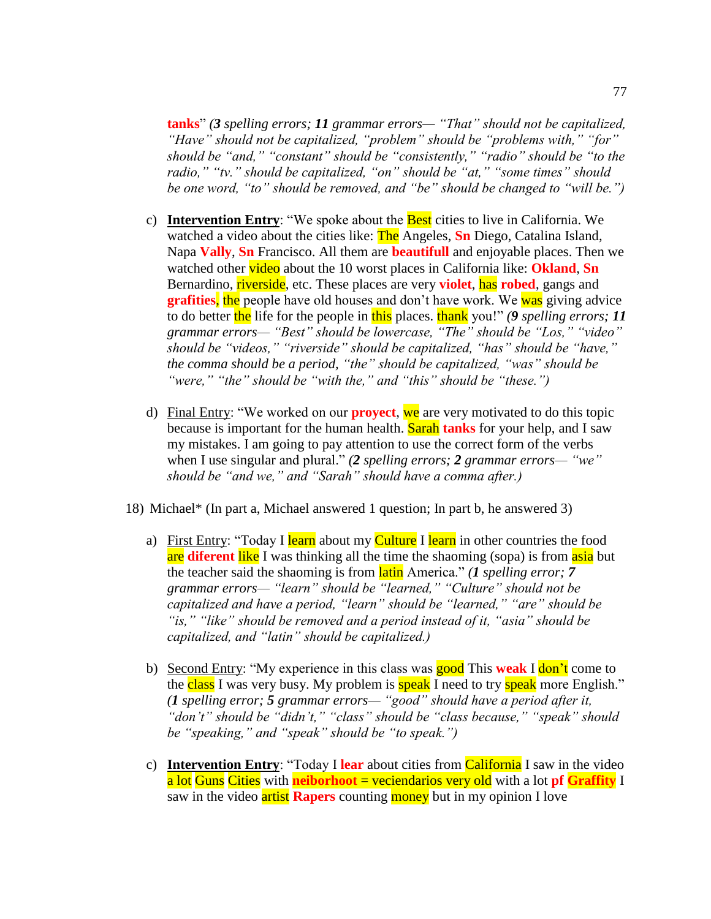**tanks**" *(3 spelling errors; 11 grammar errors— "That" should not be capitalized, "Have" should not be capitalized, "problem" should be "problems with," "for" should be "and," "constant" should be "consistently," "radio" should be "to the radio," "tv." should be capitalized, "on" should be "at," "some times" should be one word, "to" should be removed, and "be" should be changed to "will be.")* 

- c) **Intervention Entry**: "We spoke about the Best cities to live in California. We watched a video about the cities like: The Angeles, **Sn** Diego, Catalina Island, Napa **Vally**, **Sn** Francisco. All them are **beautifull** and enjoyable places. Then we watched other video about the 10 worst places in California like: **Okland**, **Sn** Bernardino, *riverside*, etc. These places are very **violet**, has **robed**, gangs and **grafities**, the people have old houses and don't have work. We was giving advice to do better the life for the people in this places. thank you!" *(9 spelling errors; 11 grammar errors— "Best" should be lowercase, "The" should be "Los," "video" should be "videos," "riverside" should be capitalized, "has" should be "have," the comma should be a period, "the" should be capitalized, "was" should be "were," "the" should be "with the," and "this" should be "these.")*
- d) Final Entry: "We worked on our **proyect**, we are very motivated to do this topic because is important for the human health. Sarah **tanks** for your help, and I saw my mistakes. I am going to pay attention to use the correct form of the verbs when I use singular and plural." *(2 spelling errors; 2 grammar errors— "we" should be "and we," and "Sarah" should have a comma after.)*
- 18) Michael\* (In part a, Michael answered 1 question; In part b, he answered 3)
	- a) First Entry: "Today I learn about my Culture I learn in other countries the food are **diferent** like I was thinking all the time the shaoming (sopa) is from asia but the teacher said the shaoming is from latin America." *(1 spelling error; 7 grammar errors— "learn" should be "learned," "Culture" should not be capitalized and have a period, "learn" should be "learned," "are" should be "is," "like" should be removed and a period instead of it, "asia" should be capitalized, and "latin" should be capitalized.)*
	- b) Second Entry: "My experience in this class was good This **weak** I don't come to the class I was very busy. My problem is **speak** I need to try **speak** more English." *(1 spelling error; 5 grammar errors— "good" should have a period after it, "don't" should be "didn't," "class" should be "class because," "speak" should be "speaking," and "speak" should be "to speak.")*
	- c) **Intervention Entry**: "Today I **lear** about cities from California I saw in the video a lot Guns Cities with **neiborhoot** = veciendarios very old with a lot **pf Graffity** I saw in the video **artist Rapers** counting **money** but in my opinion I love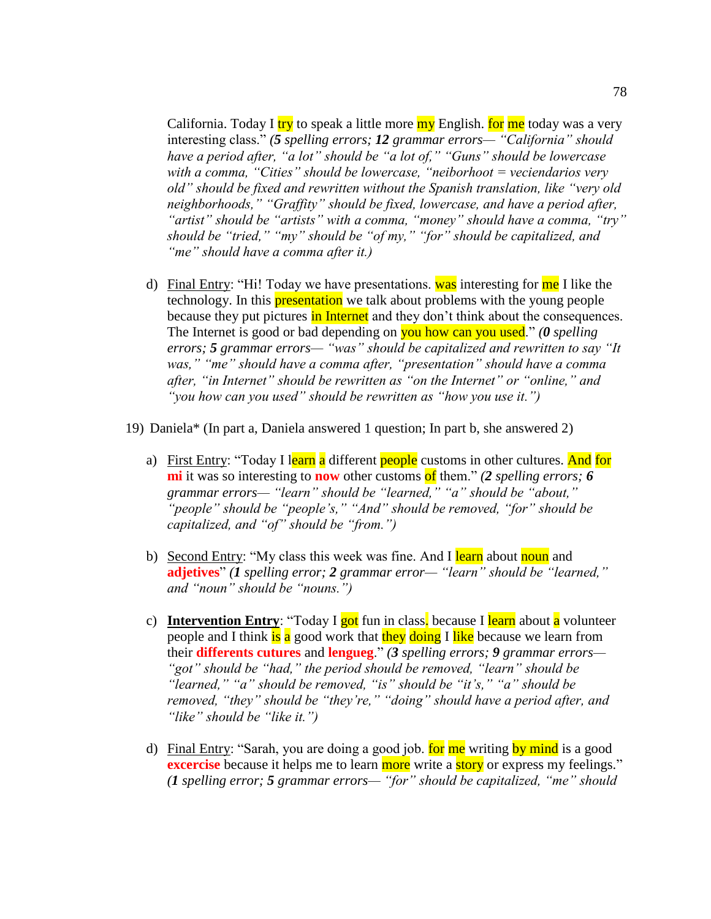California. Today I try to speak a little more my English. **for me** today was a very interesting class." *(5 spelling errors; 12 grammar errors— "California" should have a period after, "a lot" should be "a lot of," "Guns" should be lowercase with a comma, "Cities" should be lowercase, "neiborhoot = veciendarios very old" should be fixed and rewritten without the Spanish translation, like "very old neighborhoods," "Graffity" should be fixed, lowercase, and have a period after, "artist" should be "artists" with a comma, "money" should have a comma, "try" should be "tried," "my" should be "of my," "for" should be capitalized, and "me" should have a comma after it.)*

- d) Final Entry: "Hi! Today we have presentations. was interesting for  $\text{me}$  I like the technology. In this **presentation** we talk about problems with the young people because they put pictures in Internet and they don't think about the consequences. The Internet is good or bad depending on you how can you used." *(0 spelling values*) *errors; 5 grammar errors— "was" should be capitalized and rewritten to say "It was," "me" should have a comma after, "presentation" should have a comma after, "in Internet" should be rewritten as "on the Internet" or "online," and "you how can you used" should be rewritten as "how you use it.")*
- 19) Daniela\* (In part a, Daniela answered 1 question; In part b, she answered 2)
	- a) First Entry: "Today I learn a different people customs in other cultures. And for **mi** it was so interesting to **now** other customs of them." *(2 spelling errors;* 6 *grammar errors— "learn" should be "learned," "a" should be "about," "people" should be "people's," "And" should be removed, "for" should be capitalized, and "of" should be "from.")*
	- b) Second Entry: "My class this week was fine. And I learn about noun and **adjetives**" *(1 spelling error; 2 grammar error— "learn" should be "learned," and "noun" should be "nouns.")*
	- c) **Intervention Entry**: "Today I got fun in class. because I learn about a volunteer people and I think is a good work that they doing I like because we learn from their **differents cutures** and **lengueg**." *(3 spelling errors; 9 grammar errors— "got" should be "had," the period should be removed, "learn" should be "learned," "a" should be removed, "is" should be "it's," "a" should be removed, "they" should be "they're," "doing" should have a period after, and "like" should be "like it.")*
	- d) Final Entry: "Sarah, you are doing a good job. for me writing by mind is a good **excercise** because it helps me to learn more write a **story** or express my feelings." *(1 spelling error; 5 grammar errors— "for" should be capitalized, "me" should*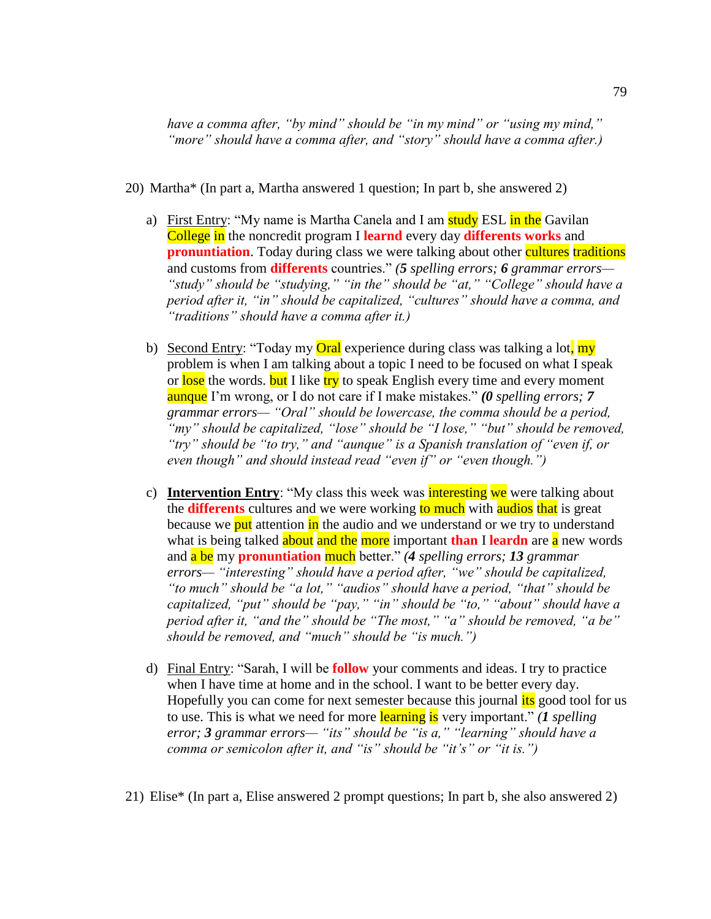*have a comma after, "by mind" should be "in my mind" or "using my mind," "more" should have a comma after, and "story" should have a comma after.)* 

- 20) Martha\* (In part a, Martha answered 1 question; In part b, she answered 2)
	- a) First Entry: "My name is Martha Canela and I am **study ESL** in the Gavilan College in the noncredit program I **learnd** every day **differents works** and **pronuntiation**. Today during class we were talking about other cultures traditions and customs from **differents** countries." *(5 spelling errors; 6 grammar errors— "study" should be "studying," "in the" should be "at," "College" should have a period after it, "in" should be capitalized, "cultures" should have a comma, and "traditions" should have a comma after it.)*
	- b) Second Entry: "Today my **Oral** experience during class was talking a lot, my problem is when I am talking about a topic I need to be focused on what I speak or lose the words. but I like try to speak English every time and every moment aunque I'm wrong, or I do not care if I make mistakes." *(0 spelling errors; 7 grammar errors— "Oral" should be lowercase, the comma should be a period, "my" should be capitalized, "lose" should be "I lose," "but" should be removed, "try" should be "to try," and "aunque" is a Spanish translation of "even if, or even though" and should instead read "even if" or "even though.")*
	- c) **Intervention Entry**: "My class this week was interesting we were talking about the **differents** cultures and we were working to much with audios that is great because we put attention in the audio and we understand or we try to understand what is being talked **about and the more** important **than** I **leardn** are **a** new words and a be my **pronuntiation** much better." *(4 spelling errors; 13 grammar errors— "interesting" should have a period after, "we" should be capitalized, "to much" should be "a lot," "audios" should have a period, "that" should be capitalized, "put" should be "pay," "in" should be "to," "about" should have a period after it, "and the" should be "The most," "a" should be removed, "a be" should be removed, and "much" should be "is much.")*
	- d) Final Entry: "Sarah, I will be **follow** your comments and ideas. I try to practice when I have time at home and in the school. I want to be better every day. Hopefully you can come for next semester because this journal *its* good tool for us to use. This is what we need for more learning is very important." *(1 spelling error; 3 grammar errors— "its" should be "is a," "learning" should have a comma or semicolon after it, and "is" should be "it's" or "it is.")*
- 21) Elise\* (In part a, Elise answered 2 prompt questions; In part b, she also answered 2)